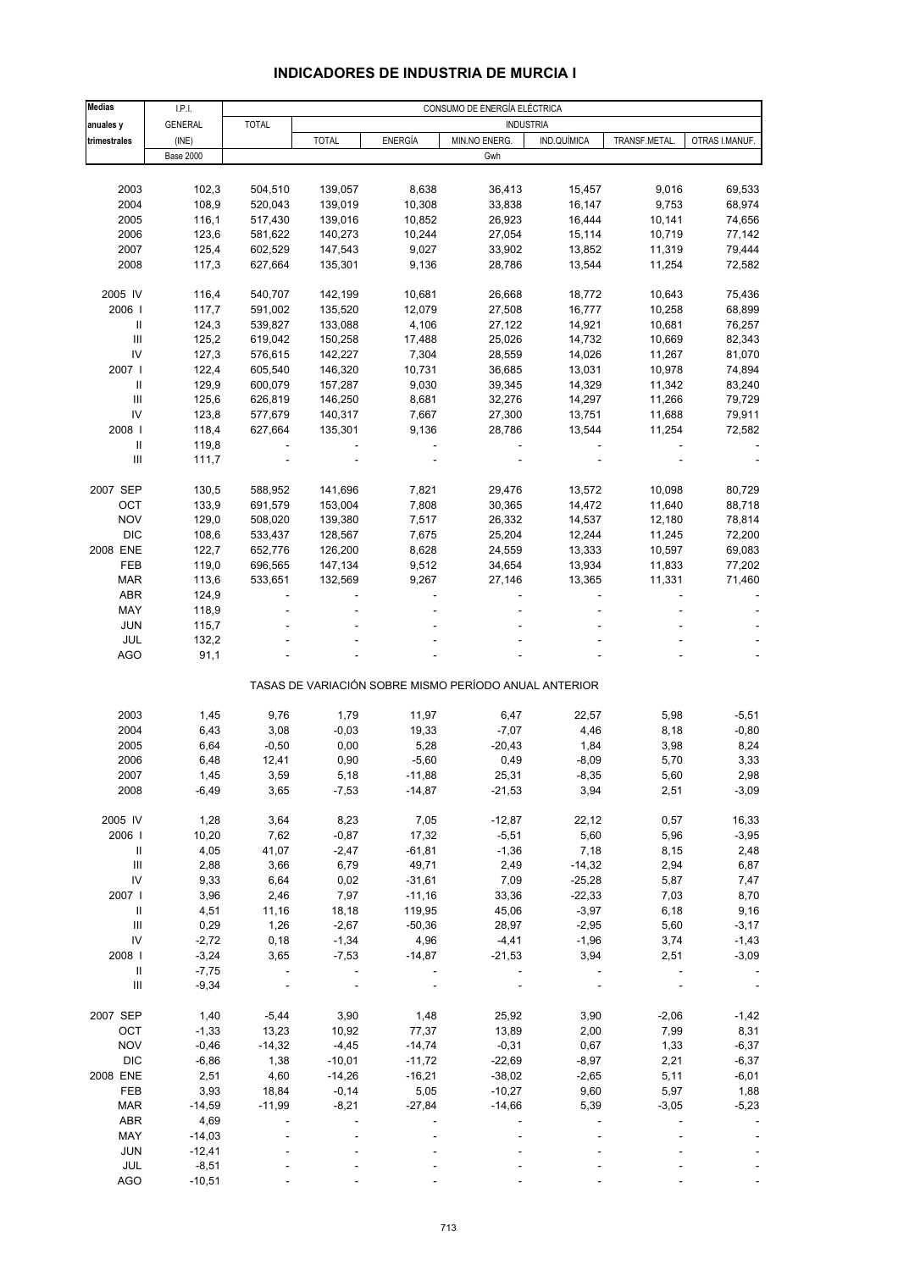# **INDICADORES DE INDUSTRIA DE MURCIA I**

| <b>Medias</b>                      | I.P.I.           |              |              |                | CONSUMO DE ENERGÍA ELÉCTRICA                          |                  |               |                |
|------------------------------------|------------------|--------------|--------------|----------------|-------------------------------------------------------|------------------|---------------|----------------|
| anuales y                          | <b>GENERAL</b>   | <b>TOTAL</b> |              |                |                                                       | <b>INDUSTRIA</b> |               |                |
| trimestrales                       | (INE)            |              | <b>TOTAL</b> | <b>ENERGÍA</b> | MIN.NO ENERG.                                         | IND.QUÍMICA      | TRANSF.METAL. | OTRAS I.MANUF. |
|                                    | <b>Base 2000</b> |              |              |                | Gwh                                                   |                  |               |                |
|                                    |                  |              |              |                |                                                       |                  |               |                |
|                                    |                  |              |              |                |                                                       |                  |               |                |
| 2003                               | 102,3            | 504,510      | 139,057      | 8,638          | 36,413                                                | 15,457           | 9,016         | 69,533         |
| 2004                               | 108,9            | 520,043      | 139,019      | 10,308         | 33,838                                                | 16,147           | 9,753         | 68,974         |
| 2005                               | 116,1            | 517,430      | 139,016      | 10,852         | 26,923                                                | 16,444           | 10,141        | 74,656         |
| 2006                               | 123,6            | 581,622      | 140,273      | 10,244         | 27,054                                                | 15,114           | 10,719        | 77,142         |
| 2007                               | 125,4            | 602,529      | 147,543      | 9,027          | 33,902                                                | 13,852           | 11,319        | 79,444         |
| 2008                               | 117,3            | 627,664      | 135,301      | 9,136          | 28,786                                                | 13,544           | 11,254        | 72,582         |
|                                    |                  |              |              |                |                                                       |                  |               |                |
| 2005 IV                            | 116,4            | 540,707      | 142,199      | 10,681         | 26,668                                                | 18,772           | 10,643        | 75,436         |
| 2006                               | 117,7            | 591,002      | 135,520      | 12,079         | 27,508                                                | 16,777           | 10,258        | 68,899         |
| $\ensuremath{\mathsf{II}}$         | 124,3            | 539,827      | 133,088      | 4,106          | 27,122                                                | 14,921           | 10,681        | 76,257         |
| $\mathbf{III}$                     | 125,2            | 619,042      | 150,258      | 17,488         | 25,026                                                | 14,732           | 10,669        | 82,343         |
| IV                                 | 127,3            | 576,615      | 142,227      | 7,304          | 28,559                                                | 14,026           | 11,267        | 81,070         |
|                                    |                  |              |              |                |                                                       |                  |               |                |
| 2007 l                             | 122,4            | 605,540      | 146,320      | 10,731         | 36,685                                                | 13,031           | 10,978        | 74,894         |
| $\mathbf{II}$                      | 129,9            | 600,079      | 157,287      | 9,030          | 39,345                                                | 14,329           | 11,342        | 83,240         |
| $\mathbf{III}$                     | 125,6            | 626,819      | 146,250      | 8,681          | 32,276                                                | 14,297           | 11,266        | 79,729         |
| IV                                 | 123,8            | 577,679      | 140,317      | 7,667          | 27,300                                                | 13,751           | 11,688        | 79,911         |
| 2008                               | 118,4            | 627,664      | 135,301      | 9,136          | 28,786                                                | 13,544           | 11,254        | 72,582         |
| $\ensuremath{\mathsf{II}}$         | 119,8            |              |              |                |                                                       |                  |               |                |
| $\mathbf{III}$                     | 111,7            |              |              |                |                                                       |                  |               |                |
|                                    |                  |              |              |                |                                                       |                  |               |                |
| 2007 SEP                           | 130,5            | 588,952      | 141,696      | 7,821          | 29,476                                                | 13,572           | 10,098        | 80,729         |
| OCT                                | 133,9            | 691,579      | 153,004      | 7,808          | 30,365                                                | 14,472           | 11,640        | 88,718         |
| <b>NOV</b>                         | 129,0            | 508,020      | 139,380      | 7,517          | 26,332                                                | 14,537           | 12,180        | 78,814         |
| <b>DIC</b>                         |                  |              |              |                |                                                       |                  |               |                |
|                                    | 108,6            | 533,437      | 128,567      | 7,675          | 25,204                                                | 12,244           | 11,245        | 72,200         |
| 2008 ENE                           | 122,7            | 652,776      | 126,200      | 8,628          | 24,559                                                | 13,333           | 10,597        | 69,083         |
| FEB                                | 119,0            | 696,565      | 147,134      | 9,512          | 34,654                                                | 13,934           | 11,833        | 77,202         |
| <b>MAR</b>                         | 113,6            | 533,651      | 132,569      | 9,267          | 27,146                                                | 13,365           | 11,331        | 71,460         |
| <b>ABR</b>                         | 124,9            |              |              |                |                                                       |                  |               |                |
| MAY                                | 118,9            |              |              |                |                                                       |                  |               |                |
| <b>JUN</b>                         | 115,7            |              |              |                |                                                       |                  |               |                |
| JUL                                | 132,2            |              |              |                |                                                       |                  |               |                |
| AGO                                | 91,1             |              |              |                |                                                       |                  |               |                |
|                                    |                  |              |              |                |                                                       |                  |               |                |
|                                    |                  |              |              |                | TASAS DE VARIACIÓN SOBRE MISMO PERÍODO ANUAL ANTERIOR |                  |               |                |
|                                    |                  |              |              |                |                                                       |                  |               |                |
| 2003                               | 1,45             | 9,76         | 1,79         | 11,97          | 6,47                                                  | 22,57            | 5,98          | $-5,51$        |
| 2004                               | 6,43             | 3,08         | $-0,03$      | 19,33          | $-7,07$                                               | 4,46             | 8,18          | $-0,80$        |
| 2005                               | 6,64             | $-0,50$      | 0,00         | 5,28           | $-20,43$                                              | 1,84             | 3,98          | 8,24           |
| 2006                               | 6,48             | 12,41        | 0,90         | $-5,60$        | 0,49                                                  | $-8,09$          | 5,70          | 3,33           |
| 2007                               | 1,45             | 3,59         | 5,18         | $-11,88$       | 25,31                                                 | $-8,35$          | 5,60          | 2,98           |
| 2008                               | $-6,49$          | 3,65         | $-7,53$      | $-14,87$       | $-21,53$                                              | 3,94             | 2,51          | $-3,09$        |
|                                    |                  |              |              |                |                                                       |                  |               |                |
|                                    |                  |              |              |                |                                                       |                  |               |                |
| 2005 IV                            | 1,28             | 3,64         | 8,23         | 7,05           | $-12,87$                                              | 22,12            | 0,57          | 16,33          |
| 2006                               | 10,20            | 7,62         | $-0,87$      | 17,32          | $-5,51$                                               | 5,60             | 5,96          | $-3,95$        |
| Ш                                  | 4,05             | 41,07        | $-2,47$      | $-61,81$       | $-1,36$                                               | 7,18             | 8,15          | 2,48           |
| $\ensuremath{\mathsf{III}}\xspace$ | 2,88             | 3,66         | 6,79         | 49,71          | 2,49                                                  | $-14,32$         | 2,94          | 6,87           |
| IV                                 | 9,33             | 6,64         | 0,02         | $-31,61$       | 7,09                                                  | $-25,28$         | 5,87          | 7,47           |
| 2007 l                             | 3,96             | 2,46         | 7,97         | $-11,16$       | 33,36                                                 | $-22,33$         | 7,03          | 8,70           |
| $\ensuremath{\mathsf{II}}$         | 4,51             | 11,16        | 18,18        | 119,95         | 45,06                                                 | $-3,97$          | 6,18          | 9,16           |
| $\ensuremath{\mathsf{III}}\xspace$ | 0,29             | 1,26         | $-2,67$      | $-50,36$       | 28,97                                                 | $-2,95$          | 5,60          | $-3,17$        |
| IV                                 | $-2,72$          | 0,18         | $-1,34$      | 4,96           | $-4,41$                                               | $-1,96$          | 3,74          | $-1,43$        |
| 2008                               | $-3,24$          | 3,65         | $-7,53$      | $-14,87$       | $-21,53$                                              | 3,94             | 2,51          | $-3,09$        |
| $\ensuremath{\mathsf{II}}$         | $-7,75$          |              |              |                |                                                       |                  |               |                |
| Ш                                  |                  |              |              |                |                                                       |                  |               |                |
|                                    | $-9,34$          |              |              |                |                                                       |                  |               |                |
|                                    |                  |              |              |                |                                                       |                  |               |                |
| 2007 SEP                           | 1,40             | $-5,44$      | 3,90         | 1,48           | 25,92                                                 | 3,90             | $-2,06$       | $-1,42$        |
| OCT                                | $-1,33$          | 13,23        | 10,92        | 77,37          | 13,89                                                 | 2,00             | 7,99          | 8,31           |
| <b>NOV</b>                         | $-0,46$          | $-14,32$     | $-4,45$      | $-14,74$       | $-0,31$                                               | 0,67             | 1,33          | $-6,37$        |
| <b>DIC</b>                         | $-6,86$          | 1,38         | $-10,01$     | $-11,72$       | $-22,69$                                              | $-8,97$          | 2,21          | $-6,37$        |
| 2008 ENE                           | 2,51             | 4,60         | $-14,26$     | $-16,21$       | $-38,02$                                              | $-2,65$          | 5,11          | $-6,01$        |
| FEB                                | 3,93             | 18,84        | $-0,14$      | 5,05           | $-10,27$                                              | 9,60             | 5,97          | 1,88           |
| <b>MAR</b>                         | $-14,59$         | $-11,99$     | $-8,21$      | $-27,84$       | $-14,66$                                              | 5,39             | $-3,05$       | $-5,23$        |
| ABR                                | 4,69             |              |              |                |                                                       |                  |               |                |
| MAY                                | $-14,03$         |              |              |                |                                                       |                  |               |                |
|                                    |                  |              |              |                |                                                       |                  |               |                |
| <b>JUN</b>                         | $-12,41$         |              |              |                |                                                       |                  |               |                |
| JUL                                | $-8,51$          |              |              |                |                                                       |                  |               |                |
| <b>AGO</b>                         | $-10,51$         |              |              |                |                                                       |                  |               |                |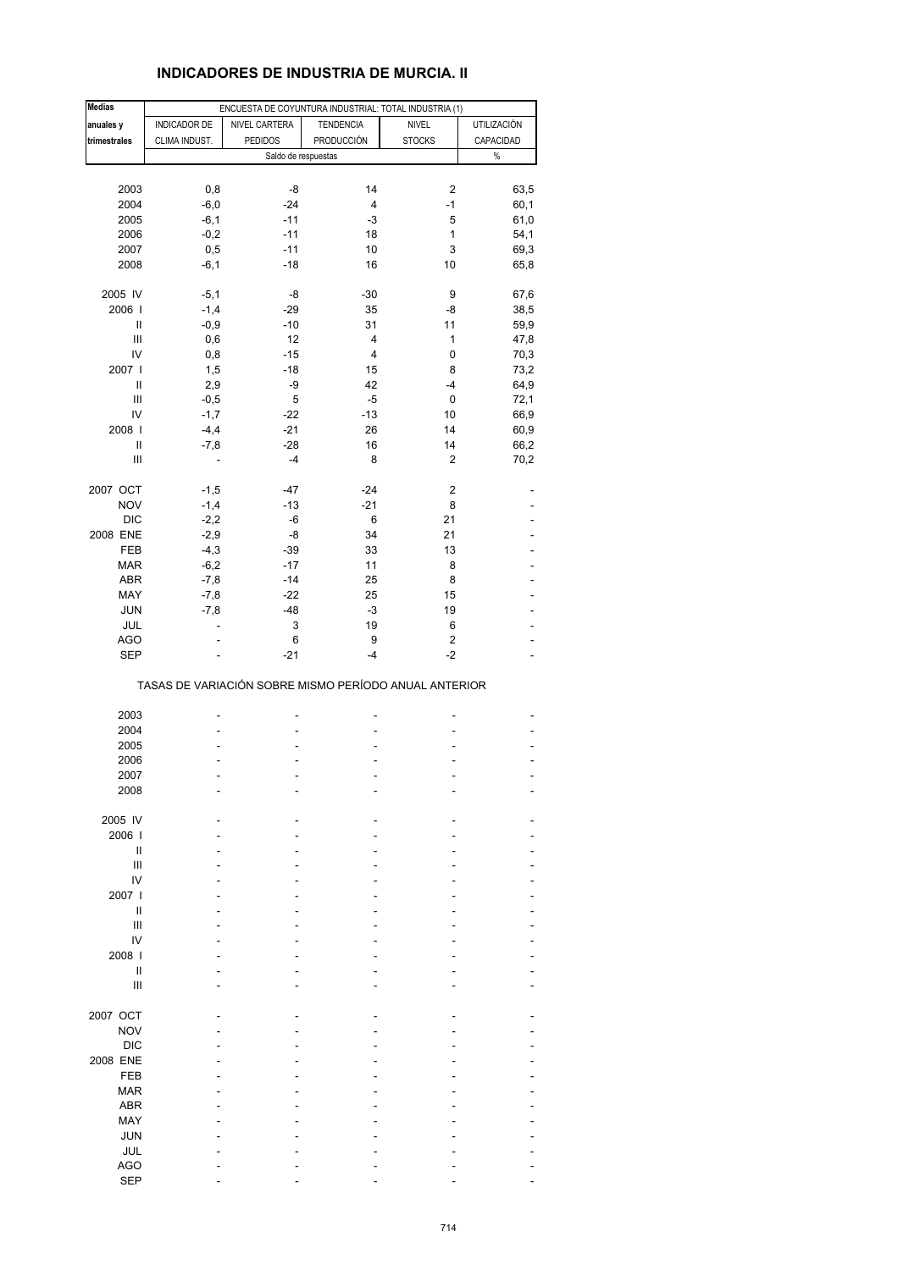# **INDICADORES DE INDUSTRIA DE MURCIA. II**

| <b>Medias</b>                      |               | ENCUESTA DE COYUNTURA INDUSTRIAL: TOTAL INDUSTRIA (1) |                   |               |             |
|------------------------------------|---------------|-------------------------------------------------------|-------------------|---------------|-------------|
| anuales y                          | INDICADOR DE  | NIVEL CARTERA                                         | <b>TENDENCIA</b>  | <b>NIVEL</b>  | UTILIZACIÓN |
| trimestrales                       | CLIMA INDUST. | <b>PEDIDOS</b>                                        | <b>PRODUCCIÓN</b> | <b>STOCKS</b> | CAPACIDAD   |
|                                    |               | Saldo de respuestas                                   |                   |               | $\%$        |
|                                    |               |                                                       |                   |               |             |
|                                    |               |                                                       |                   |               |             |
| 2003                               | 0,8           | -8                                                    | 14                | 2             | 63,5        |
| 2004                               | $-6,0$        | $-24$                                                 | 4                 | $-1$          | 60,1        |
| 2005                               | $-6,1$        | $-11$                                                 | -3                | 5             | 61,0        |
| 2006                               | $-0,2$        | $-11$                                                 | 18                | 1             | 54,1        |
| 2007                               | 0,5           | $-11$                                                 | 10                | 3             | 69,3        |
| 2008                               | $-6,1$        | $-18$                                                 | 16                | 10            | 65,8        |
|                                    |               |                                                       |                   |               |             |
| 2005 IV                            | $-5,1$        | -8                                                    | -30               | 9             | 67,6        |
| 2006                               | $-1,4$        | $-29$                                                 | 35                | -8            | 38,5        |
| Ш                                  | $-0,9$        | $-10$                                                 | 31                | 11            | 59,9        |
| $\ensuremath{\mathsf{III}}\xspace$ | 0,6           | 12                                                    | 4                 | $\mathbf{1}$  |             |
| IV                                 |               |                                                       | 4                 |               | 47,8        |
|                                    | 0,8           | $-15$                                                 |                   | 0             | 70,3        |
| 2007                               | 1,5           | $-18$                                                 | 15                | 8             | 73,2        |
| Ш                                  | 2,9           | -9                                                    | 42                | $-4$          | 64,9        |
| Ш                                  | $-0,5$        | 5                                                     | -5                | 0             | 72,1        |
| IV                                 | $-1,7$        | $-22$                                                 | $-13$             | 10            | 66,9        |
| 2008                               | $-4,4$        | $-21$                                                 | 26                | 14            | 60,9        |
| $\ensuremath{\mathsf{II}}$         | $-7,8$        | $-28$                                                 | 16                | 14            | 66,2        |
| $\mathsf{III}$                     | ä,            | -4                                                    | 8                 | 2             | 70,2        |
|                                    |               |                                                       |                   |               |             |
| 2007 OCT                           | $-1,5$        | -47                                                   | $-24$             | 2             |             |
| <b>NOV</b>                         | $-1,4$        | $-13$                                                 | $-21$             | 8             |             |
| <b>DIC</b>                         | $-2,2$        | $-6$                                                  | 6                 | 21            |             |
|                                    |               |                                                       |                   |               |             |
| 2008 ENE                           | $-2,9$        | -8                                                    | 34                | 21            |             |
| FEB                                | $-4,3$        | $-39$                                                 | 33                | 13            |             |
| <b>MAR</b>                         | $-6,2$        | $-17$                                                 | 11                | 8             |             |
| ABR                                | $-7,8$        | $-14$                                                 | 25                | 8             |             |
| MAY                                | $-7,8$        | $-22$                                                 | 25                | 15            |             |
| <b>JUN</b>                         | $-7,8$        | $-48$                                                 | $-3$              | 19            |             |
| JUL                                | ÷             | 3                                                     | 19                | 6             |             |
| AGO                                |               | 6                                                     | 9                 | 2             |             |
| <b>SEP</b>                         |               | $-21$                                                 | $-4$              | $-2$          |             |
|                                    |               |                                                       |                   |               |             |
|                                    |               | TASAS DE VARIACIÓN SOBRE MISMO PERÍODO ANUAL ANTERIOR |                   |               |             |
|                                    |               |                                                       |                   |               |             |
| 2003                               |               |                                                       | ÷,                |               |             |
| 2004                               |               |                                                       |                   |               |             |
| 2005                               |               |                                                       |                   |               |             |
| 2006                               |               |                                                       | L,                |               |             |
| 2007                               |               |                                                       |                   |               |             |
| 2008                               |               |                                                       |                   |               |             |
|                                    |               |                                                       |                   |               |             |
| 2005 IV                            |               |                                                       |                   |               |             |
| 2006                               |               |                                                       |                   |               |             |
|                                    |               |                                                       |                   |               |             |
| Ш                                  |               |                                                       |                   |               |             |
| Ш                                  |               |                                                       |                   |               |             |
| IV                                 |               |                                                       |                   |               |             |
| 2007 l                             |               |                                                       |                   |               |             |
| Ш                                  |               |                                                       |                   |               |             |
| Ш                                  |               |                                                       |                   |               |             |
| IV                                 |               |                                                       |                   |               |             |
| 2008                               |               |                                                       |                   |               |             |
| Ш                                  |               |                                                       |                   |               |             |
| Ш                                  |               |                                                       |                   |               |             |
|                                    |               |                                                       |                   |               |             |
| 2007 OCT                           |               |                                                       |                   |               |             |
| <b>NOV</b>                         |               |                                                       |                   |               |             |
| <b>DIC</b>                         |               |                                                       |                   |               |             |
| 2008 ENE                           |               |                                                       |                   |               |             |
|                                    |               |                                                       |                   |               |             |
| <b>FEB</b>                         |               |                                                       |                   |               |             |
| <b>MAR</b>                         |               |                                                       |                   |               |             |
| <b>ABR</b>                         |               |                                                       |                   |               |             |
| MAY                                |               |                                                       |                   |               |             |
| <b>JUN</b>                         |               |                                                       |                   |               |             |
| JUL                                |               |                                                       |                   |               |             |
| <b>AGO</b>                         |               |                                                       |                   |               |             |
| <b>SEP</b>                         |               |                                                       |                   |               |             |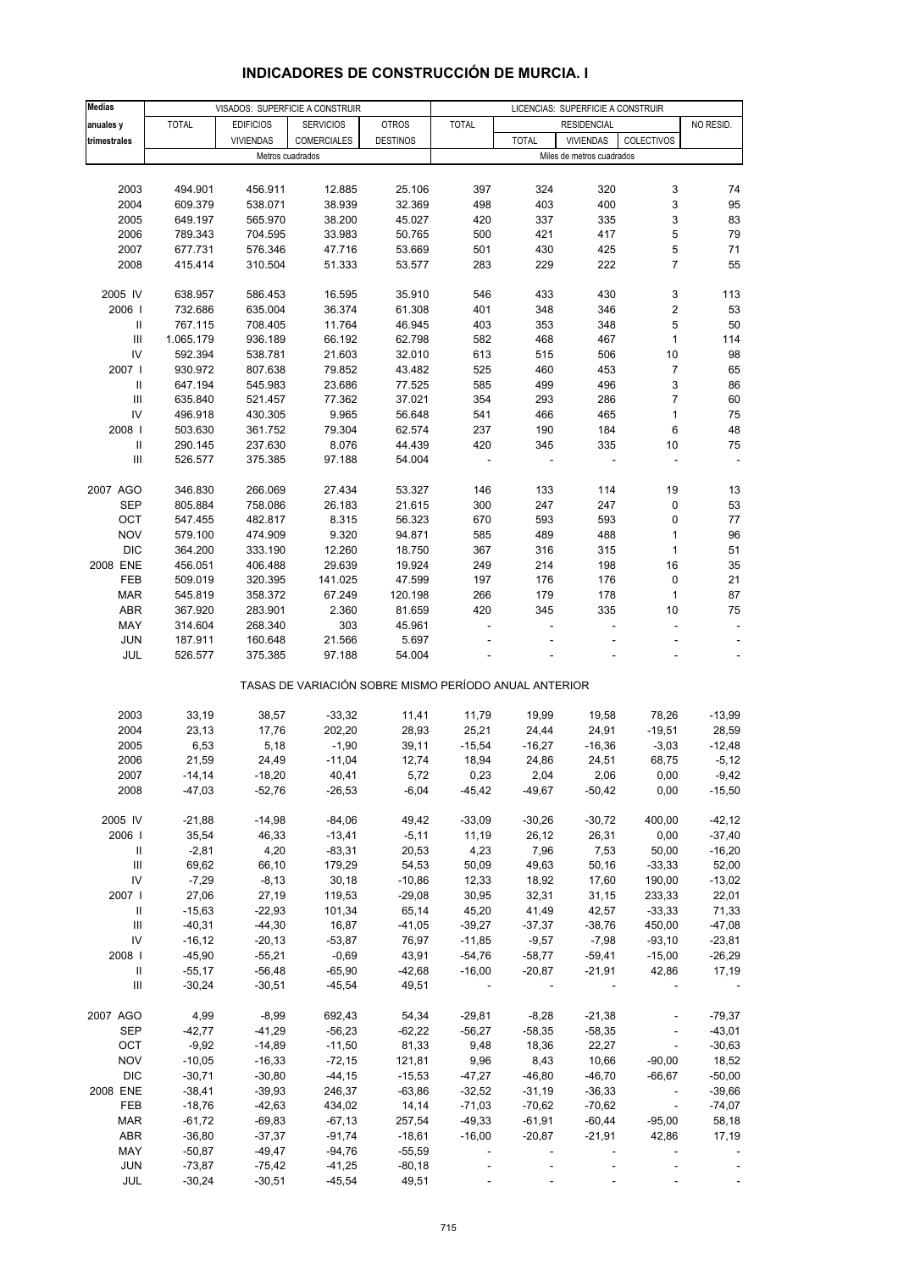| <b>Medias</b>                                |                      |                      | VISADOS: SUPERFICIE A CONSTRUIR                       |                      | LICENCIAS: SUPERFICIE A CONSTRUIR |                   |                           |                              |                              |
|----------------------------------------------|----------------------|----------------------|-------------------------------------------------------|----------------------|-----------------------------------|-------------------|---------------------------|------------------------------|------------------------------|
| anuales y                                    | <b>TOTAL</b>         | <b>EDIFICIOS</b>     | <b>SERVICIOS</b>                                      | <b>OTROS</b>         | <b>TOTAL</b>                      |                   | <b>RESIDENCIAL</b>        |                              | NO RESID.                    |
| trimestrales                                 |                      | <b>VIVIENDAS</b>     | COMERCIALES                                           | <b>DESTINOS</b>      |                                   | <b>TOTAL</b>      | <b>VIVIENDAS</b>          | COLECTIVOS                   |                              |
|                                              |                      |                      | Metros cuadrados                                      |                      |                                   |                   | Miles de metros cuadrados |                              |                              |
|                                              |                      |                      |                                                       |                      |                                   |                   |                           |                              |                              |
| 2003                                         | 494.901              | 456.911              | 12.885                                                | 25.106               | 397                               | 324               | 320                       | 3                            | 74                           |
| 2004                                         | 609.379              | 538.071              | 38.939                                                | 32.369               | 498                               | 403               | 400                       | 3                            | 95                           |
| 2005                                         | 649.197              | 565.970              | 38.200                                                | 45.027               | 420                               | 337               | 335                       | 3                            | 83                           |
| 2006                                         | 789.343              | 704.595              | 33.983                                                | 50.765               | 500                               | 421               | 417                       | 5                            | 79                           |
| 2007                                         | 677.731              | 576.346              | 47.716                                                | 53.669               | 501                               | 430               | 425                       | 5                            | 71                           |
| 2008                                         | 415.414              | 310.504              | 51.333                                                | 53.577               | 283                               | 229               | 222                       | $\overline{7}$               | 55                           |
|                                              |                      |                      |                                                       |                      |                                   |                   |                           |                              |                              |
| 2005 IV                                      | 638.957              | 586.453              | 16.595                                                | 35.910               | 546                               | 433               | 430                       | 3                            | 113                          |
| 2006                                         | 732.686              | 635.004              | 36.374                                                | 61.308               | 401                               | 348               | 346                       | 2                            | 53                           |
| Ш                                            | 767.115              | 708.405              | 11.764                                                | 46.945               | 403                               | 353               | 348                       | 5                            | 50                           |
| $\ensuremath{\mathsf{III}}\xspace$           | 1.065.179            | 936.189              | 66.192                                                | 62.798               | 582                               | 468               | 467                       | $\mathbf{1}$                 | 114                          |
| IV                                           | 592.394              | 538.781              | 21.603                                                | 32.010               | 613                               | 515               | 506                       | 10                           | 98                           |
| 2007                                         | 930.972              | 807.638              | 79.852                                                | 43.482               | 525                               | 460               | 453                       | 7                            | 65                           |
| Ш                                            | 647.194              | 545.983              | 23.686                                                | 77.525               | 585                               | 499               | 496                       | 3                            | 86                           |
| Ш                                            | 635.840              | 521.457              | 77.362                                                | 37.021               | 354                               | 293               | 286                       | $\overline{7}$               | 60                           |
| IV                                           | 496.918              | 430.305              | 9.965                                                 | 56.648               | 541                               | 466               | 465                       | 1                            | 75                           |
| 2008                                         | 503.630              | 361.752              | 79.304                                                | 62.574               | 237                               | 190               | 184                       | 6                            | 48                           |
| $\ensuremath{\mathsf{II}}$<br>$\mathbf{III}$ | 290.145              | 237.630              | 8.076<br>97.188                                       | 44.439               | 420                               | 345               | 335                       | 10<br>÷,                     | 75<br>$\overline{a}$         |
|                                              | 526.577              | 375.385              |                                                       | 54.004               |                                   |                   |                           |                              |                              |
| 2007 AGO                                     | 346.830              | 266.069              | 27.434                                                | 53.327               | 146                               | 133               | 114                       | 19                           | 13                           |
| <b>SEP</b>                                   | 805.884              | 758.086              | 26.183                                                | 21.615               | 300                               | 247               | 247                       | 0                            | 53                           |
| OCT                                          | 547.455              | 482.817              | 8.315                                                 | 56.323               | 670                               | 593               | 593                       | 0                            | 77                           |
| <b>NOV</b>                                   | 579.100              | 474.909              | 9.320                                                 | 94.871               | 585                               | 489               | 488                       | 1                            | 96                           |
| <b>DIC</b>                                   | 364.200              | 333.190              | 12.260                                                | 18.750               | 367                               | 316               | 315                       | $\mathbf{1}$                 | 51                           |
| 2008 ENE                                     | 456.051              | 406.488              | 29.639                                                | 19.924               | 249                               | 214               | 198                       | 16                           | 35                           |
| FEB                                          | 509.019              | 320.395              | 141.025                                               | 47.599               | 197                               | 176               | 176                       | 0                            | 21                           |
| <b>MAR</b>                                   | 545.819              | 358.372              | 67.249                                                | 120.198              | 266                               | 179               | 178                       | $\mathbf{1}$                 | 87                           |
| <b>ABR</b>                                   | 367.920              | 283.901              | 2.360                                                 | 81.659               | 420                               | 345               | 335                       | 10                           | 75                           |
| MAY                                          | 314.604              | 268.340              | 303                                                   | 45.961               | $\overline{\phantom{a}}$          | ÷,                | $\blacksquare$            | ÷,                           | $\qquad \qquad \blacksquare$ |
| <b>JUN</b>                                   | 187.911              | 160.648              | 21.566                                                | 5.697                |                                   |                   |                           |                              |                              |
| JUL                                          | 526.577              | 375.385              | 97.188                                                | 54.004               |                                   |                   |                           |                              |                              |
|                                              |                      |                      | TASAS DE VARIACIÓN SOBRE MISMO PERÍODO ANUAL ANTERIOR |                      |                                   |                   |                           |                              |                              |
|                                              |                      |                      |                                                       |                      |                                   |                   |                           |                              |                              |
| 2003<br>2004                                 | 33,19                | 38,57                | $-33,32$                                              | 11,41                | 11,79                             | 19,99             | 19,58                     | 78,26                        | $-13,99$                     |
| 2005                                         | 23,13<br>6,53        | 17,76<br>5,18        | 202,20<br>$-1,90$                                     | 28,93<br>39,11       | 25,21<br>$-15,54$                 | 24,44<br>$-16,27$ | 24,91<br>$-16,36$         | $-19,51$<br>$-3,03$          | 28,59<br>$-12,48$            |
| 2006                                         | 21,59                | 24,49                | $-11,04$                                              | 12,74                | 18,94                             | 24,86             | 24,51                     | 68,75                        | $-5,12$                      |
| 2007                                         | -14,14               | -18,20               | 40,41                                                 | 5,72                 | 0,23                              | 2,04              | 2,06                      | 0,00                         | -9,42                        |
| 2008                                         | $-47,03$             | $-52,76$             | $-26,53$                                              | $-6,04$              | $-45,42$                          | $-49,67$          | $-50,42$                  | 0,00                         | $-15,50$                     |
|                                              |                      |                      |                                                       |                      |                                   |                   |                           |                              |                              |
| 2005 IV                                      | $-21,88$             | $-14,98$             | $-84,06$                                              | 49,42                | $-33,09$                          | $-30,26$          | $-30,72$                  | 400,00                       | $-42, 12$                    |
| 2006                                         | 35,54                | 46,33                | $-13,41$                                              | $-5,11$              | 11,19                             | 26,12             | 26,31                     | 0,00                         | $-37,40$                     |
| Ш                                            | $-2,81$              | 4,20                 | $-83,31$                                              | 20,53                | 4,23                              | 7,96              | 7,53                      | 50,00                        | $-16,20$                     |
| Ш                                            | 69,62                | 66,10                | 179,29                                                | 54,53                | 50,09                             | 49,63             | 50,16                     | $-33,33$                     | 52,00                        |
| IV                                           | $-7,29$              | $-8,13$              | 30, 18                                                | $-10,86$             | 12,33                             | 18,92             | 17,60                     | 190,00                       | $-13,02$                     |
| 2007 l                                       | 27,06                | 27,19                | 119,53                                                | $-29,08$             | 30,95                             | 32,31             | 31,15                     | 233,33                       | 22,01                        |
| Ш                                            | $-15,63$             | $-22,93$             | 101,34                                                | 65,14                | 45,20                             | 41,49             | 42,57                     | $-33,33$                     | 71,33                        |
| $\ensuremath{\mathsf{III}}\xspace$           | $-40,31$             | $-44,30$             | 16,87                                                 | $-41,05$             | $-39,27$                          | $-37,37$          | $-38,76$                  | 450,00                       | $-47,08$                     |
| IV                                           | $-16, 12$            | $-20,13$             | $-53,87$                                              | 76,97                | $-11,85$                          | $-9,57$           | $-7,98$                   | $-93,10$                     | $-23,81$                     |
| 2008                                         | $-45,90$             | $-55,21$             | $-0,69$                                               | 43,91                | $-54,76$                          | $-58,77$          | $-59,41$                  | $-15,00$                     | $-26,29$                     |
| $\mathbf{II}$                                | $-55,17$             | $-56,48$             | $-65,90$                                              | $-42,68$             | $-16,00$                          | $-20,87$          | $-21,91$                  | 42,86                        | 17,19                        |
| Ш                                            | $-30,24$             | $-30,51$             | $-45,54$                                              | 49,51                |                                   |                   |                           |                              |                              |
| 2007 AGO                                     | 4,99                 | $-8,99$              | 692,43                                                | 54,34                | $-29,81$                          | $-8,28$           | $-21,38$                  | $\blacksquare$               | $-79,37$                     |
| <b>SEP</b>                                   | $-42,77$             | $-41,29$             | $-56,23$                                              | $-62,22$             | $-56,27$                          | $-58,35$          | $-58,35$                  | $\qquad \qquad \blacksquare$ | $-43,01$                     |
| OCT                                          | $-9,92$              | $-14,89$             | $-11,50$                                              | 81,33                | 9,48                              | 18,36             | 22,27                     | $\overline{\phantom{a}}$     | $-30,63$                     |
| <b>NOV</b>                                   | $-10,05$             | $-16,33$             | $-72,15$                                              | 121,81               | 9,96                              | 8,43              | 10,66                     | $-90,00$                     | 18,52                        |
| <b>DIC</b>                                   | $-30,71$             | $-30,80$             | $-44, 15$                                             | $-15,53$             | $-47,27$                          | $-46,80$          | $-46,70$                  | $-66,67$                     | $-50,00$                     |
| 2008 ENE                                     | $-38,41$             | $-39,93$             | 246,37                                                | $-63,86$             | $-32,52$                          | $-31,19$          | $-36,33$                  | $\blacksquare$               | $-39,66$                     |
| FEB                                          | $-18,76$             | $-42,63$             | 434,02                                                | 14,14                | $-71,03$                          | $-70,62$          | $-70,62$                  | $\sim$                       | $-74,07$                     |
| <b>MAR</b>                                   | $-61,72$             | $-69,83$             | $-67,13$                                              | 257,54               | $-49,33$                          | $-61,91$          | $-60,44$                  | $-95,00$                     | 58,18                        |
| ABR<br>MAY                                   | $-36,80$<br>$-50,87$ | $-37,37$<br>$-49,47$ | $-91,74$<br>$-94,76$                                  | $-18,61$<br>$-55,59$ | $-16,00$                          | $-20,87$          | $-21,91$                  | 42,86                        | 17,19                        |
| <b>JUN</b>                                   | $-73,87$             | $-75,42$             | $-41,25$                                              | $-80,18$             |                                   |                   |                           |                              |                              |
| JUL                                          | $-30,24$             | $-30,51$             | $-45,54$                                              | 49,51                |                                   |                   |                           |                              |                              |

# **INDICADORES DE CONSTRUCCIÓN DE MURCIA. I**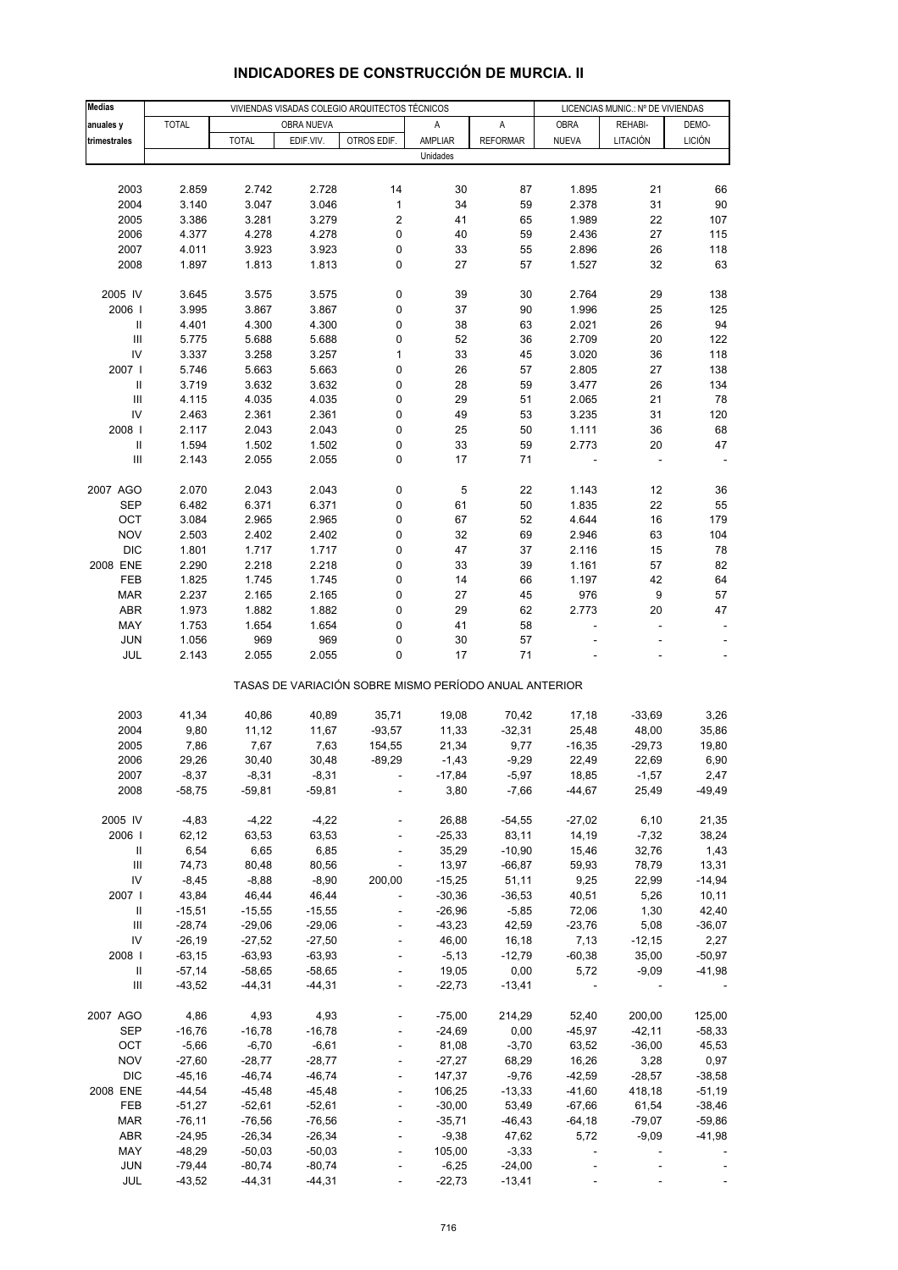| <b>Medias</b>                      |              |              |            | VIVIENDAS VISADAS COLEGIO ARQUITECTOS TÉCNICOS | LICENCIAS MUNIC.: Nº DE VIVIENDAS                     |                 |              |          |               |
|------------------------------------|--------------|--------------|------------|------------------------------------------------|-------------------------------------------------------|-----------------|--------------|----------|---------------|
| anuales y                          | <b>TOTAL</b> |              | OBRA NUEVA |                                                | Α                                                     | A               | <b>OBRA</b>  | REHABI-  | DEMO-         |
| trimestrales                       |              | <b>TOTAL</b> | EDIF.VIV.  | OTROS EDIF.                                    | AMPLIAR                                               | <b>REFORMAR</b> | <b>NUEVA</b> | LITACIÓN | <b>LICIÓN</b> |
|                                    |              |              |            |                                                | Unidades                                              |                 |              |          |               |
|                                    |              |              |            |                                                |                                                       |                 |              |          |               |
| 2003                               | 2.859        | 2.742        | 2.728      | 14                                             | 30                                                    | 87              | 1.895        | 21       | 66            |
| 2004                               | 3.140        | 3.047        | 3.046      | $\mathbf 1$                                    | 34                                                    | 59              | 2.378        | 31       | 90            |
| 2005                               | 3.386        | 3.281        | 3.279      | 2                                              | 41                                                    | 65              | 1.989        | 22       | 107           |
| 2006                               | 4.377        | 4.278        | 4.278      | 0                                              | 40                                                    | 59              | 2.436        | 27       | 115           |
| 2007                               | 4.011        | 3.923        | 3.923      | 0                                              | 33                                                    | 55              | 2.896        | 26       | 118           |
| 2008                               | 1.897        | 1.813        | 1.813      | 0                                              | 27                                                    | 57              | 1.527        | 32       | 63            |
|                                    |              |              |            |                                                |                                                       |                 |              |          |               |
| 2005 IV                            | 3.645        | 3.575        | 3.575      | $\pmb{0}$                                      | 39                                                    | 30              | 2.764        | 29       | 138           |
| 2006                               | 3.995        | 3.867        | 3.867      | 0                                              | 37                                                    | 90              | 1.996        | 25       | 125           |
| $\ensuremath{\mathsf{II}}$         | 4.401        | 4.300        | 4.300      | 0                                              | 38                                                    | 63              | 2.021        | 26       | 94            |
| $\ensuremath{\mathsf{III}}\xspace$ | 5.775        | 5.688        | 5.688      | 0                                              | 52                                                    | 36              | 2.709        | 20       | 122           |
| IV                                 | 3.337        | 3.258        | 3.257      | $\mathbf 1$                                    | 33                                                    | 45              | 3.020        | 36       | 118           |
| 2007 l                             | 5.746        | 5.663        | 5.663      | 0                                              | 26                                                    | 57              | 2.805        | 27       | 138           |
| $\ensuremath{\mathsf{II}}$         | 3.719        | 3.632        | 3.632      | 0                                              | 28                                                    | 59              | 3.477        | 26       | 134           |
| III                                | 4.115        | 4.035        | 4.035      | 0                                              | 29                                                    | 51              | 2.065        | 21       | 78            |
| IV                                 | 2.463        | 2.361        | 2.361      | 0                                              | 49                                                    | 53              | 3.235        | 31       | 120           |
| 2008                               | 2.117        | 2.043        | 2.043      | 0                                              | 25                                                    | 50              | 1.111        | 36       | 68            |
| $\ensuremath{\mathsf{II}}$         | 1.594        | 1.502        | 1.502      | 0                                              | 33                                                    | 59              | 2.773        | 20       | 47            |
| Ш                                  | 2.143        | 2.055        | 2.055      | 0                                              | 17                                                    | 71              |              |          |               |
|                                    |              |              |            |                                                |                                                       |                 |              |          |               |
| 2007 AGO                           | 2.070        | 2.043        | 2.043      | 0                                              | 5                                                     | 22              | 1.143        | 12       | 36            |
| <b>SEP</b>                         | 6.482        | 6.371        | 6.371      | 0                                              | 61                                                    | 50              | 1.835        | 22       | 55            |
| OCT                                | 3.084        | 2.965        | 2.965      | 0                                              | 67                                                    | 52              | 4.644        | 16       | 179           |
| <b>NOV</b>                         | 2.503        | 2.402        | 2.402      | 0                                              | 32                                                    | 69              | 2.946        | 63       | 104           |
| <b>DIC</b>                         | 1.801        | 1.717        | 1.717      | 0                                              | 47                                                    | 37              | 2.116        | 15       | 78            |
| 2008 ENE                           | 2.290        | 2.218        | 2.218      | 0                                              | 33                                                    | 39              | 1.161        | 57       | 82            |
| FEB                                | 1.825        | 1.745        | 1.745      | 0                                              | 14                                                    | 66              | 1.197        | 42       | 64            |
| <b>MAR</b>                         | 2.237        | 2.165        | 2.165      | 0                                              | 27                                                    | 45              | 976          | 9        | 57            |
| ABR                                | 1.973        | 1.882        | 1.882      | 0                                              | 29                                                    | 62              | 2.773        | 20       | 47            |
| MAY                                | 1.753        | 1.654        | 1.654      | 0                                              | 41                                                    | 58              |              | ÷,       |               |
| <b>JUN</b>                         | 1.056        | 969          | 969        | 0                                              | 30                                                    | 57              |              |          |               |
| JUL                                | 2.143        | 2.055        | 2.055      | 0                                              | 17                                                    | 71              |              |          |               |
|                                    |              |              |            |                                                | TASAS DE VARIACIÓN SOBRE MISMO PERÍODO ANUAL ANTERIOR |                 |              |          |               |
|                                    |              |              |            |                                                |                                                       |                 |              |          |               |
| 2003                               | 41,34        | 40,86        | 40,89      | 35,71                                          | 19,08                                                 | 70,42           | 17,18        | $-33,69$ | 3,26          |
| 2004                               | 9,80         | 11,12        | 11,67      | $-93,57$                                       | 11,33                                                 | $-32,31$        | 25,48        | 48,00    | 35,86         |
| 2005                               | 7,86         | 7,67         | 7,63       | 154,55                                         | 21,34                                                 | 9,77            | $-16,35$     | $-29,73$ | 19,80         |
| 2006                               | 29,26        | 30,40        | 30,48      | $-89,29$                                       | $-1,43$                                               | $-9,29$         | 22,49        | 22,69    | 6,90          |
| 2007                               | $-8,37$      | $-8,31$      | -8,31      |                                                | -17,84                                                | $-5,97$         | 18,85        | -1,57    | 2,47          |
| 2008                               | $-58,75$     | $-59,81$     | $-59,81$   |                                                | 3,80                                                  | $-7,66$         | $-44,67$     | 25,49    | $-49,49$      |
|                                    |              |              |            |                                                |                                                       |                 |              |          |               |
| 2005 IV                            | $-4,83$      | $-4,22$      | $-4,22$    |                                                | 26,88                                                 | $-54,55$        | $-27,02$     | 6, 10    | 21,35         |
| 2006                               | 62,12        | 63,53        | 63,53      |                                                | $-25,33$                                              | 83,11           | 14,19        | $-7,32$  | 38,24         |
| Ш                                  | 6,54         | 6,65         | 6,85       |                                                | 35,29                                                 | $-10,90$        | 15,46        | 32,76    | 1,43          |
| $\ensuremath{\mathsf{III}}\xspace$ | 74,73        | 80,48        | 80,56      |                                                | 13,97                                                 | $-66,87$        | 59,93        | 78,79    | 13,31         |
| IV                                 | $-8,45$      | $-8,88$      | $-8,90$    | 200,00                                         | $-15,25$                                              | 51,11           | 9,25         | 22,99    | $-14,94$      |
| 2007 l                             | 43,84        | 46,44        | 46,44      |                                                | $-30,36$                                              | $-36,53$        | 40,51        | 5,26     | 10,11         |
| $\, \parallel$                     | $-15,51$     | $-15,55$     | $-15,55$   |                                                | $-26,96$                                              | $-5,85$         | 72,06        | 1,30     | 42,40         |
| Ш                                  | $-28,74$     | $-29,06$     | $-29,06$   |                                                | $-43,23$                                              | 42,59           | $-23,76$     | 5,08     | $-36,07$      |
| IV                                 | $-26,19$     | $-27,52$     | $-27,50$   | $\overline{a}$                                 | 46,00                                                 | 16,18           | 7,13         | $-12,15$ | 2,27          |
| 2008 l                             | $-63,15$     | $-63,93$     | $-63,93$   |                                                | $-5,13$                                               | $-12,79$        | $-60,38$     | 35,00    | $-50,97$      |
| Ш                                  | $-57,14$     | $-58,65$     | $-58,65$   |                                                | 19,05                                                 | 0,00            | 5,72         | $-9,09$  | $-41,98$      |
| $\ensuremath{\mathsf{III}}\xspace$ | $-43,52$     | $-44,31$     | $-44,31$   | $\blacksquare$                                 | $-22,73$                                              | $-13,41$        |              |          |               |
| 2007 AGO                           | 4,86         | 4,93         | 4,93       |                                                | $-75,00$                                              | 214,29          | 52,40        | 200,00   | 125,00        |
| SEP                                | $-16,76$     | $-16,78$     | $-16,78$   |                                                | $-24,69$                                              | 0,00            | $-45,97$     | $-42,11$ | $-58,33$      |
| OCT                                | $-5,66$      | $-6,70$      | $-6,61$    |                                                | 81,08                                                 | $-3,70$         | 63,52        | $-36,00$ | 45,53         |
| <b>NOV</b>                         | $-27,60$     | $-28,77$     | $-28,77$   |                                                | $-27,27$                                              | 68,29           | 16,26        | 3,28     | 0,97          |
| <b>DIC</b>                         | $-45,16$     | $-46,74$     | $-46,74$   |                                                | 147,37                                                | $-9,76$         | $-42,59$     | $-28,57$ | $-38,58$      |
| 2008 ENE                           | $-44,54$     | $-45,48$     | $-45,48$   |                                                | 106,25                                                | $-13,33$        | $-41,60$     | 418,18   | $-51,19$      |
| FEB                                | $-51,27$     | $-52,61$     | $-52,61$   |                                                | $-30,00$                                              | 53,49           | $-67,66$     | 61,54    | $-38,46$      |
| <b>MAR</b>                         | $-76, 11$    | $-76,56$     | $-76,56$   |                                                | $-35,71$                                              | $-46, 43$       | $-64,18$     | $-79,07$ | $-59,86$      |
| ABR                                | $-24,95$     | $-26,34$     | $-26,34$   |                                                | $-9,38$                                               | 47,62           | 5,72         | $-9,09$  | $-41,98$      |
| MAY                                | $-48,29$     | $-50,03$     | $-50,03$   |                                                | 105,00                                                | $-3,33$         |              |          |               |
| <b>JUN</b>                         | $-79,44$     | $-80,74$     | $-80,74$   |                                                | $-6,25$                                               | $-24,00$        |              |          |               |
| JUL                                | $-43,52$     | $-44,31$     | $-44,31$   |                                                | $-22,73$                                              | $-13,41$        |              |          |               |

#### **INDICADORES DE CONSTRUCCIÓN DE MURCIA. II**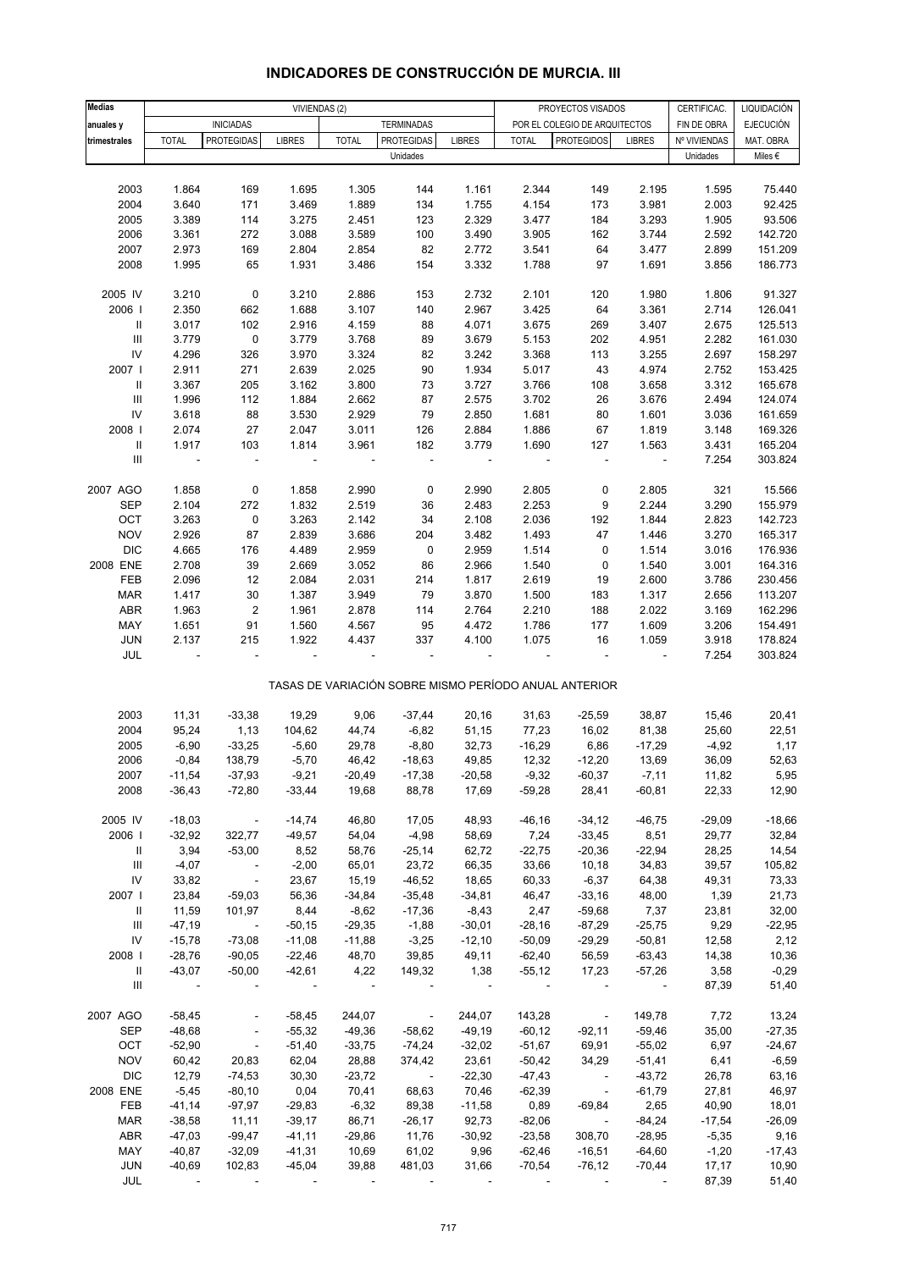| <b>Medias</b>                      |                          |                          |                          | VIVIENDAS (2) |                                                       |               |              | PROYECTOS VISADOS             |                          | CERTIFICAC.  | LIQUIDACIÓN      |
|------------------------------------|--------------------------|--------------------------|--------------------------|---------------|-------------------------------------------------------|---------------|--------------|-------------------------------|--------------------------|--------------|------------------|
|                                    |                          |                          |                          |               |                                                       |               |              |                               |                          |              |                  |
| anuales y                          |                          | <b>INICIADAS</b>         |                          |               | <b>TERMINADAS</b>                                     |               |              | POR EL COLEGIO DE ARQUITECTOS |                          | FIN DE OBRA  | <b>EJECUCIÓN</b> |
| trimestrales                       | <b>TOTAL</b>             | <b>PROTEGIDAS</b>        | <b>LIBRES</b>            | <b>TOTAL</b>  | <b>PROTEGIDAS</b>                                     | <b>LIBRES</b> | <b>TOTAL</b> | <b>PROTEGIDOS</b>             | <b>LIBRES</b>            | Nº VIVIENDAS | MAT. OBRA        |
|                                    |                          |                          |                          |               | Unidades                                              |               |              |                               |                          | Unidades     | Miles €          |
|                                    |                          |                          |                          |               |                                                       |               |              |                               |                          |              |                  |
| 2003                               | 1.864                    | 169                      | 1.695                    | 1.305         | 144                                                   | 1.161         | 2.344        | 149                           | 2.195                    | 1.595        | 75.440           |
| 2004                               | 3.640                    | 171                      | 3.469                    | 1.889         | 134                                                   | 1.755         | 4.154        | 173                           | 3.981                    | 2.003        | 92.425           |
| 2005                               | 3.389                    | 114                      | 3.275                    | 2.451         | 123                                                   | 2.329         | 3.477        | 184                           | 3.293                    | 1.905        | 93.506           |
| 2006                               | 3.361                    | 272                      | 3.088                    | 3.589         | 100                                                   | 3.490         | 3.905        | 162                           | 3.744                    | 2.592        | 142.720          |
| 2007                               | 2.973                    | 169                      | 2.804                    | 2.854         | 82                                                    | 2.772         | 3.541        | 64                            | 3.477                    | 2.899        | 151.209          |
| 2008                               | 1.995                    | 65                       | 1.931                    | 3.486         | 154                                                   | 3.332         | 1.788        | 97                            | 1.691                    | 3.856        | 186.773          |
|                                    |                          |                          |                          |               |                                                       |               |              |                               |                          |              |                  |
| 2005 IV                            | 3.210                    | $\pmb{0}$                | 3.210                    | 2.886         | 153                                                   | 2.732         | 2.101        | 120                           | 1.980                    | 1.806        | 91.327           |
| 2006                               | 2.350                    | 662                      | 1.688                    | 3.107         | 140                                                   | 2.967         | 3.425        | 64                            | 3.361                    | 2.714        | 126.041          |
| Ш                                  | 3.017                    | 102                      | 2.916                    | 4.159         | 88                                                    | 4.071         | 3.675        | 269                           | 3.407                    | 2.675        | 125.513          |
| $\ensuremath{\mathsf{III}}\xspace$ |                          |                          | 3.779                    |               |                                                       | 3.679         | 5.153        |                               | 4.951                    | 2.282        | 161.030          |
| ${\sf IV}$                         | 3.779                    | $\pmb{0}$                |                          | 3.768         | 89                                                    |               |              | 202                           |                          | 2.697        |                  |
|                                    | 4.296                    | 326                      | 3.970                    | 3.324         | 82                                                    | 3.242         | 3.368        | 113                           | 3.255                    |              | 158.297          |
| 2007                               | 2.911                    | 271                      | 2.639                    | 2.025         | 90                                                    | 1.934         | 5.017        | 43                            | 4.974                    | 2.752        | 153.425          |
| $\mathbf{II}$                      | 3.367                    | 205                      | 3.162                    | 3.800         | 73                                                    | 3.727         | 3.766        | 108                           | 3.658                    | 3.312        | 165.678          |
| $\ensuremath{\mathsf{III}}\xspace$ | 1.996                    | 112                      | 1.884                    | 2.662         | 87                                                    | 2.575         | 3.702        | 26                            | 3.676                    | 2.494        | 124.074          |
| ${\sf IV}$                         | 3.618                    | 88                       | 3.530                    | 2.929         | 79                                                    | 2.850         | 1.681        | 80                            | 1.601                    | 3.036        | 161.659          |
| 2008                               | 2.074                    | 27                       | 2.047                    | 3.011         | 126                                                   | 2.884         | 1.886        | 67                            | 1.819                    | 3.148        | 169.326          |
| $\, \parallel$                     | 1.917                    | 103                      | 1.814                    | 3.961         | 182                                                   | 3.779         | 1.690        | 127                           | 1.563                    | 3.431        | 165.204          |
| III                                | $\overline{\phantom{a}}$ | ÷,                       | $\overline{\phantom{a}}$ |               | ÷,                                                    |               |              | $\frac{1}{2}$                 | $\overline{\phantom{a}}$ | 7.254        | 303.824          |
|                                    |                          |                          |                          |               |                                                       |               |              |                               |                          |              |                  |
| 2007 AGO                           | 1.858                    | 0                        | 1.858                    | 2.990         | 0                                                     | 2.990         | 2.805        | 0                             | 2.805                    | 321          | 15.566           |
| <b>SEP</b>                         | 2.104                    | 272                      | 1.832                    | 2.519         | 36                                                    | 2.483         | 2.253        | 9                             | 2.244                    | 3.290        | 155.979          |
| OCT                                | 3.263                    | $\pmb{0}$                | 3.263                    | 2.142         | 34                                                    | 2.108         | 2.036        | 192                           | 1.844                    | 2.823        | 142.723          |
| <b>NOV</b>                         | 2.926                    | 87                       | 2.839                    | 3.686         | 204                                                   | 3.482         | 1.493        | 47                            | 1.446                    | 3.270        | 165.317          |
| <b>DIC</b>                         | 4.665                    | 176                      | 4.489                    | 2.959         | 0                                                     | 2.959         | 1.514        | 0                             | 1.514                    | 3.016        | 176.936          |
| 2008 ENE                           |                          |                          |                          |               |                                                       |               |              |                               | 1.540                    |              |                  |
|                                    | 2.708                    | 39                       | 2.669                    | 3.052         | 86                                                    | 2.966         | 1.540        | 0                             |                          | 3.001        | 164.316          |
| FEB                                | 2.096                    | 12                       | 2.084                    | 2.031         | 214                                                   | 1.817         | 2.619        | 19                            | 2.600                    | 3.786        | 230.456          |
| <b>MAR</b>                         | 1.417                    | 30                       | 1.387                    | 3.949         | 79                                                    | 3.870         | 1.500        | 183                           | 1.317                    | 2.656        | 113.207          |
| ABR                                | 1.963                    | 2                        | 1.961                    | 2.878         | 114                                                   | 2.764         | 2.210        | 188                           | 2.022                    | 3.169        | 162.296          |
| MAY                                | 1.651                    | 91                       | 1.560                    | 4.567         | 95                                                    | 4.472         | 1.786        | 177                           | 1.609                    | 3.206        | 154.491          |
| JUN                                | 2.137                    | 215                      | 1.922                    | 4.437         | 337                                                   | 4.100         | 1.075        | 16                            | 1.059                    | 3.918        | 178.824          |
| JUL                                |                          |                          |                          |               |                                                       |               |              | ä,                            |                          | 7.254        | 303.824          |
|                                    |                          |                          |                          |               |                                                       |               |              |                               |                          |              |                  |
|                                    |                          |                          |                          |               | TASAS DE VARIACIÓN SOBRE MISMO PERÍODO ANUAL ANTERIOR |               |              |                               |                          |              |                  |
|                                    |                          |                          |                          |               |                                                       |               |              |                               |                          |              |                  |
| 2003                               | 11,31                    | $-33,38$                 | 19,29                    | 9,06          | $-37,44$                                              | 20,16         | 31,63        | $-25,59$                      | 38,87                    | 15,46        | 20,41            |
| 2004                               | 95,24                    | 1,13                     | 104,62                   | 44,74         | $-6,82$                                               | 51,15         | 77,23        | 16,02                         | 81,38                    | 25,60        | 22,51            |
| 2005                               | $-6,90$                  | $-33,25$                 | $-5,60$                  | 29,78         | $-8,80$                                               | 32,73         | $-16,29$     | 6,86                          | $-17,29$                 | $-4,92$      | 1,17             |
| 2006                               | $-0,84$                  | 138,79                   | $-5,70$                  | 46,42         | $-18,63$                                              | 49,85         | 12,32        | $-12,20$                      | 13,69                    | 36,09        | 52,63            |
| 2007                               | $-11,54$                 | $-37,93$                 | $-9,21$                  | $-20,49$      | $-17,38$                                              | $-20,58$      | $-9,32$      | $-60,37$                      | $-7,11$                  | 11,82        | 5,95             |
|                                    |                          |                          | $-33,44$                 |               |                                                       |               |              |                               |                          |              |                  |
| 2008                               | $-36,43$                 | $-72,80$                 |                          | 19,68         | 88,78                                                 | 17,69         | $-59,28$     | 28,41                         | $-60,81$                 | 22,33        | 12,90            |
|                                    |                          |                          |                          |               |                                                       |               |              |                               |                          |              |                  |
| 2005 IV                            | $-18,03$                 | $\overline{\phantom{a}}$ | $-14,74$                 | 46,80         | 17,05                                                 | 48,93         | $-46,16$     | $-34,12$                      | $-46,75$                 | $-29,09$     | $-18,66$         |
| 2006                               | $-32,92$                 | 322,77                   | $-49,57$                 | 54,04         | $-4,98$                                               | 58,69         | 7,24         | $-33,45$                      | 8,51                     | 29,77        | 32,84            |
| Ш                                  | 3,94                     | $-53,00$                 | 8,52                     | 58,76         | $-25,14$                                              | 62,72         | $-22,75$     | $-20,36$                      | $-22,94$                 | 28,25        | 14,54            |
| Ш                                  | $-4,07$                  | $\sim$ $\sim$            | $-2,00$                  | 65,01         | 23,72                                                 | 66,35         | 33,66        | 10, 18                        | 34,83                    | 39,57        | 105,82           |
| ${\sf IV}$                         | 33,82                    | $\sim$ $-$               | 23,67                    | 15,19         | $-46,52$                                              | 18,65         | 60,33        | $-6,37$                       | 64,38                    | 49,31        | 73,33            |
| 2007                               | 23,84                    | $-59,03$                 | 56,36                    | $-34,84$      | $-35,48$                                              | $-34,81$      | 46,47        | $-33,16$                      | 48,00                    | 1,39         | 21,73            |
| Ш                                  | 11,59                    | 101,97                   | 8,44                     | $-8,62$       | $-17,36$                                              | $-8,43$       | 2,47         | $-59,68$                      | 7,37                     | 23,81        | 32,00            |
| Ш                                  | $-47,19$                 | $\sim$ $-$               | $-50,15$                 | $-29,35$      | $-1,88$                                               | $-30,01$      | $-28,16$     | $-87,29$                      | $-25,75$                 | 9,29         | $-22,95$         |
| ${\sf IV}$                         | $-15,78$                 | $-73,08$                 | $-11,08$                 | $-11,88$      | $-3,25$                                               | $-12,10$      | $-50,09$     | $-29,29$                      | $-50,81$                 | 12,58        | 2,12             |
| 2008                               | $-28,76$                 | $-90,05$                 | $-22,46$                 | 48,70         | 39,85                                                 | 49,11         | $-62,40$     | 56,59                         | $-63,43$                 | 14,38        | 10,36            |
| Ш                                  | $-43,07$                 | $-50,00$                 | $-42,61$                 | 4,22          | 149,32                                                | 1,38          | $-55,12$     | 17,23                         | $-57,26$                 | 3,58         | $-0,29$          |
| Ш                                  |                          |                          |                          | $\sim$        |                                                       |               |              |                               | $\sim$                   | 87,39        | 51,40            |
|                                    |                          |                          |                          |               |                                                       |               |              |                               |                          |              |                  |
| 2007 AGO                           | $-58,45$                 | $\overline{\phantom{a}}$ | $-58,45$                 | 244,07        | $\overline{\phantom{a}}$                              | 244,07        | 143,28       |                               | 149,78                   | 7,72         | 13,24            |
|                                    |                          |                          |                          |               |                                                       |               |              | $\overline{\phantom{a}}$      |                          |              |                  |
| SEP                                | $-48,68$                 | $\blacksquare$           | $-55,32$                 | $-49,36$      | $-58,62$                                              | $-49,19$      | $-60,12$     | $-92,11$                      | $-59,46$                 | 35,00        | $-27,35$         |
| OCT                                | $-52,90$                 | $\blacksquare$           | $-51,40$                 | $-33,75$      | $-74,24$                                              | $-32,02$      | $-51,67$     | 69,91                         | $-55,02$                 | 6,97         | $-24,67$         |
| <b>NOV</b>                         | 60,42                    | 20,83                    | 62,04                    | 28,88         | 374,42                                                | 23,61         | $-50,42$     | 34,29                         | $-51,41$                 | 6,41         | $-6,59$          |
| DIC                                | 12,79                    | $-74,53$                 | 30,30                    | $-23,72$      | $\sim$                                                | $-22,30$      | $-47,43$     | $\sim$                        | $-43,72$                 | 26,78        | 63,16            |
| 2008 ENE                           | $-5,45$                  | $-80,10$                 | 0,04                     | 70,41         | 68,63                                                 | 70,46         | $-62,39$     | $\sim$                        | $-61,79$                 | 27,81        | 46,97            |
| FEB                                | $-41,14$                 | $-97,97$                 | $-29,83$                 | $-6,32$       | 89,38                                                 | $-11,58$      | 0,89         | $-69,84$                      | 2,65                     | 40,90        | 18,01            |
| <b>MAR</b>                         | $-38,58$                 | 11,11                    | $-39,17$                 | 86,71         | $-26,17$                                              | 92,73         | $-82,06$     | $\sim$                        | $-84,24$                 | $-17,54$     | $-26,09$         |
| ABR                                | $-47,03$                 | $-99,47$                 | $-41,11$                 | $-29,86$      | 11,76                                                 | $-30,92$      | $-23,58$     | 308,70                        | $-28,95$                 | $-5,35$      | 9,16             |
| MAY                                | $-40,87$                 | $-32,09$                 | $-41,31$                 | 10,69         | 61,02                                                 | 9,96          | $-62,46$     | $-16,51$                      | $-64,60$                 | $-1,20$      | $-17,43$         |
| JUN                                | $-40,69$                 | 102,83                   | $-45,04$                 | 39,88         | 481,03                                                | 31,66         | $-70,54$     | $-76, 12$                     | $-70,44$                 | 17,17        | 10,90            |
| JUL                                |                          |                          |                          |               |                                                       |               |              |                               |                          | 87,39        | 51,40            |
|                                    |                          |                          |                          |               |                                                       |               |              |                               |                          |              |                  |

# **INDICADORES DE CONSTRUCCIÓN DE MURCIA. III**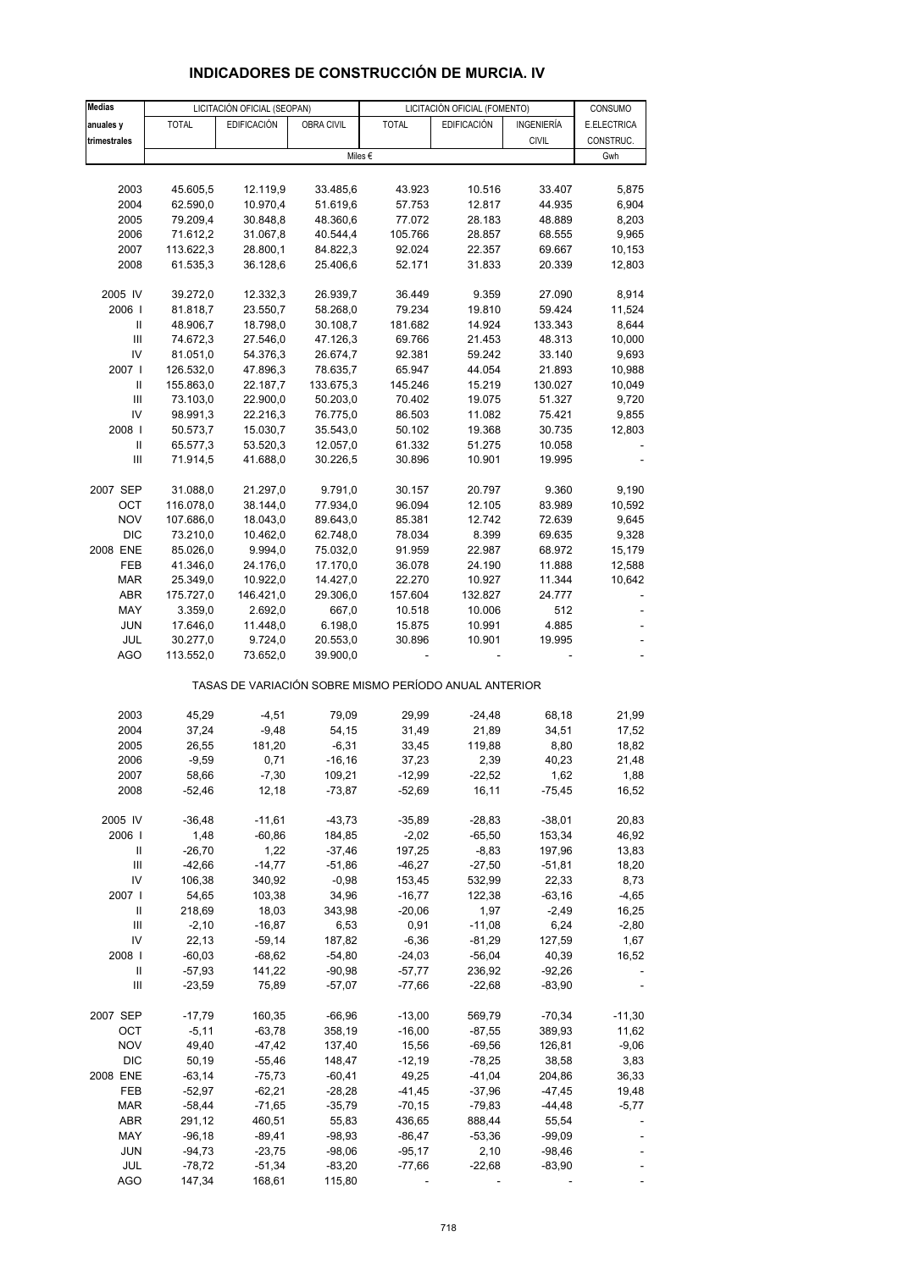| <b>Medias</b>                           |                        | LICITACIÓN OFICIAL (SEOPAN) |                       |                                                       | LICITACIÓN OFICIAL (FOMENTO) |                    |                        |
|-----------------------------------------|------------------------|-----------------------------|-----------------------|-------------------------------------------------------|------------------------------|--------------------|------------------------|
| anuales y                               | <b>TOTAL</b>           | <b>EDIFICACIÓN</b>          | OBRA CIVIL            | <b>TOTAL</b>                                          | <b>EDIFICACIÓN</b>           | INGENIERÍA         | CONSUMO<br>E.ELECTRICA |
| trimestrales                            |                        |                             |                       |                                                       |                              | <b>CIVIL</b>       | CONSTRUC.              |
|                                         |                        |                             |                       | Miles €                                               |                              |                    | Gwh                    |
|                                         |                        |                             |                       |                                                       |                              |                    |                        |
| 2003                                    | 45.605,5               | 12.119,9                    | 33.485,6              | 43.923                                                | 10.516                       | 33.407             | 5,875                  |
| 2004                                    | 62.590,0               | 10.970,4                    | 51.619,6              | 57.753                                                | 12.817                       | 44.935             | 6,904                  |
| 2005                                    | 79.209,4               | 30.848,8                    | 48.360,6              | 77.072                                                | 28.183                       | 48.889             | 8,203                  |
| 2006                                    | 71.612,2               | 31.067,8                    | 40.544,4              | 105.766                                               | 28.857                       | 68.555             | 9,965                  |
| 2007                                    | 113.622,3              | 28.800,1                    | 84.822,3              | 92.024                                                | 22.357                       | 69.667             | 10,153                 |
| 2008                                    | 61.535,3               | 36.128,6                    | 25.406,6              | 52.171                                                | 31.833                       | 20.339             | 12,803                 |
|                                         |                        |                             |                       |                                                       |                              |                    |                        |
| 2005 IV                                 | 39.272,0               | 12.332,3                    | 26.939,7              | 36.449                                                | 9.359                        | 27.090             | 8,914                  |
| 2006                                    | 81.818,7               | 23.550,7                    | 58.268,0              | 79.234                                                | 19.810                       | 59.424             | 11,524                 |
| Ш                                       | 48.906,7               | 18.798,0                    | 30.108,7              | 181.682                                               | 14.924                       | 133.343            | 8,644                  |
| Ш                                       | 74.672,3               | 27.546,0                    | 47.126,3              | 69.766                                                | 21.453                       | 48.313             | 10,000                 |
| IV<br>2007 l                            | 81.051,0               | 54.376,3                    | 26.674,7              | 92.381                                                | 59.242                       | 33.140             | 9,693                  |
| $\mathbf{II}$                           | 126.532,0<br>155.863,0 | 47.896,3<br>22.187,7        | 78.635,7<br>133.675,3 | 65.947<br>145.246                                     | 44.054<br>15.219             | 21.893<br>130.027  | 10,988<br>10,049       |
| $\ensuremath{\mathsf{III}}\xspace$      | 73.103,0               | 22.900,0                    | 50.203,0              | 70.402                                                | 19.075                       | 51.327             | 9,720                  |
| IV                                      | 98.991,3               | 22.216,3                    | 76.775,0              | 86.503                                                | 11.082                       | 75.421             | 9,855                  |
| 2008                                    | 50.573,7               | 15.030,7                    | 35.543,0              | 50.102                                                | 19.368                       | 30.735             | 12,803                 |
| $\ensuremath{\mathsf{II}}$              | 65.577,3               | 53.520,3                    | 12.057,0              | 61.332                                                | 51.275                       | 10.058             |                        |
| Ш                                       | 71.914,5               | 41.688,0                    | 30.226,5              | 30.896                                                | 10.901                       | 19.995             |                        |
|                                         |                        |                             |                       |                                                       |                              |                    |                        |
| 2007 SEP                                | 31.088,0               | 21.297,0                    | 9.791,0               | 30.157                                                | 20.797                       | 9.360              | 9,190                  |
| OCT                                     | 116.078,0              | 38.144,0                    | 77.934,0              | 96.094                                                | 12.105                       | 83.989             | 10,592                 |
| <b>NOV</b>                              | 107.686,0              | 18.043,0                    | 89.643,0              | 85.381                                                | 12.742                       | 72.639             | 9,645                  |
| <b>DIC</b>                              | 73.210,0               | 10.462,0                    | 62.748,0              | 78.034                                                | 8.399                        | 69.635             | 9,328                  |
| 2008 ENE                                | 85.026,0               | 9.994,0                     | 75.032,0              | 91.959                                                | 22.987                       | 68.972             | 15,179                 |
| FEB                                     | 41.346,0               | 24.176,0                    | 17.170,0              | 36.078                                                | 24.190                       | 11.888             | 12,588                 |
| <b>MAR</b>                              | 25.349,0               | 10.922,0                    | 14.427,0              | 22.270                                                | 10.927                       | 11.344             | 10,642                 |
| ABR                                     | 175.727,0              | 146.421,0                   | 29.306,0              | 157.604                                               | 132.827                      | 24.777             |                        |
| MAY                                     | 3.359,0                | 2.692,0                     | 667,0                 | 10.518                                                | 10.006                       | 512                |                        |
| <b>JUN</b><br>JUL                       | 17.646,0<br>30.277,0   | 11.448,0<br>9.724,0         | 6.198,0<br>20.553,0   | 15.875<br>30.896                                      | 10.991<br>10.901             | 4.885<br>19.995    |                        |
| <b>AGO</b>                              | 113.552,0              | 73.652,0                    | 39.900,0              |                                                       |                              |                    |                        |
|                                         |                        |                             |                       |                                                       |                              |                    |                        |
|                                         |                        |                             |                       | TASAS DE VARIACIÓN SOBRE MISMO PERÍODO ANUAL ANTERIOR |                              |                    |                        |
|                                         |                        |                             |                       |                                                       |                              |                    |                        |
| 2003                                    | 45,29                  | $-4,51$                     | 79,09                 | 29,99                                                 | $-24,48$                     | 68,18              | 21,99                  |
| 2004                                    | 37,24                  | $-9,48$                     | 54,15                 | 31,49                                                 | 21,89                        | 34,51              | 17,52                  |
| 2005                                    | 26,55                  | 181,20                      | $-6,31$               | 33,45                                                 | 119,88                       | 8,80               | 18,82                  |
| 2006                                    | $-9,59$                | 0,71                        | $-16, 16$             | 37,23                                                 | 2,39                         | 40,23              | 21,48                  |
| 2007                                    | 58,66                  | $-7,30$                     | 109,21                | $-12,99$                                              | $-22,52$                     | 1,62               | 1,88                   |
| 2008                                    | $-52,46$               | 12,18                       | $-73,87$              | $-52,69$                                              | 16,11                        | $-75,45$           | 16,52                  |
|                                         |                        |                             |                       |                                                       |                              |                    |                        |
| 2005 IV                                 | $-36,48$               | $-11,61$                    | $-43,73$              | $-35,89$                                              | $-28,83$                     | $-38,01$           | 20,83                  |
| 2006                                    | 1,48                   | $-60,86$                    | 184,85                | $-2,02$                                               | $-65,50$                     | 153,34             | 46,92                  |
| Ш<br>$\ensuremath{\mathsf{III}}\xspace$ | $-26,70$               | 1,22<br>$-14,77$            | $-37,46$<br>$-51,86$  | 197,25<br>$-46,27$                                    | $-8,83$<br>$-27,50$          | 197,96<br>$-51,81$ | 13,83<br>18,20         |
| IV                                      | -42,66<br>106,38       | 340,92                      | $-0,98$               | 153,45                                                | 532,99                       | 22,33              | 8,73                   |
| 2007 l                                  | 54,65                  | 103,38                      | 34,96                 | $-16,77$                                              | 122,38                       | $-63,16$           | $-4,65$                |
| Ш                                       | 218,69                 | 18,03                       | 343,98                | $-20,06$                                              | 1,97                         | $-2,49$            | 16,25                  |
| $\mathsf{III}$                          | $-2,10$                | $-16,87$                    | 6,53                  | 0,91                                                  | $-11,08$                     | 6,24               | $-2,80$                |
| IV                                      | 22,13                  | $-59,14$                    | 187,82                | $-6,36$                                               | $-81,29$                     | 127,59             | 1,67                   |
| 2008                                    | $-60,03$               | $-68,62$                    | $-54,80$              | $-24,03$                                              | $-56,04$                     | 40,39              | 16,52                  |
| Ш                                       | $-57,93$               | 141,22                      | $-90,98$              | $-57,77$                                              | 236,92                       | $-92,26$           |                        |
| $\mathsf{III}$                          | $-23,59$               | 75,89                       | $-57,07$              | $-77,66$                                              | $-22,68$                     | $-83,90$           |                        |
|                                         |                        |                             |                       |                                                       |                              |                    |                        |
| 2007 SEP                                | $-17,79$               | 160,35                      | $-66,96$              | $-13,00$                                              | 569,79                       | $-70,34$           | $-11,30$               |
| ОСТ                                     | $-5,11$                | $-63,78$                    | 358,19                | $-16,00$                                              | $-87,55$                     | 389,93             | 11,62                  |
| <b>NOV</b>                              | 49,40                  | $-47,42$                    | 137,40                | 15,56                                                 | $-69,56$                     | 126,81             | $-9,06$                |
| <b>DIC</b>                              | 50,19                  | $-55,46$                    | 148,47                | $-12,19$                                              | $-78,25$                     | 38,58              | 3,83                   |
| 2008 ENE                                | $-63,14$               | $-75,73$                    | $-60,41$              | 49,25                                                 | $-41,04$                     | 204,86             | 36,33                  |
| FEB                                     | $-52,97$               | $-62,21$                    | $-28,28$              | $-41,45$                                              | $-37,96$                     | $-47,45$           | 19,48                  |
| <b>MAR</b><br>ABR                       | $-58,44$<br>291,12     | $-71,65$<br>460,51          | $-35,79$<br>55,83     | $-70,15$<br>436,65                                    | $-79,83$<br>888,44           | $-44,48$<br>55,54  | $-5,77$                |
| MAY                                     | $-96,18$               | $-89,41$                    | $-98,93$              | $-86,47$                                              | $-53,36$                     | $-99,09$           |                        |
| <b>JUN</b>                              | $-94,73$               | $-23,75$                    | $-98,06$              | $-95,17$                                              | 2,10                         | $-98,46$           |                        |
| JUL                                     | $-78,72$               | $-51,34$                    | $-83,20$              | $-77,66$                                              | $-22,68$                     | $-83,90$           |                        |

# **INDICADORES DE CONSTRUCCIÓN DE MURCIA. IV**

AGO 147,34 168,61 115,80 - - - - - - -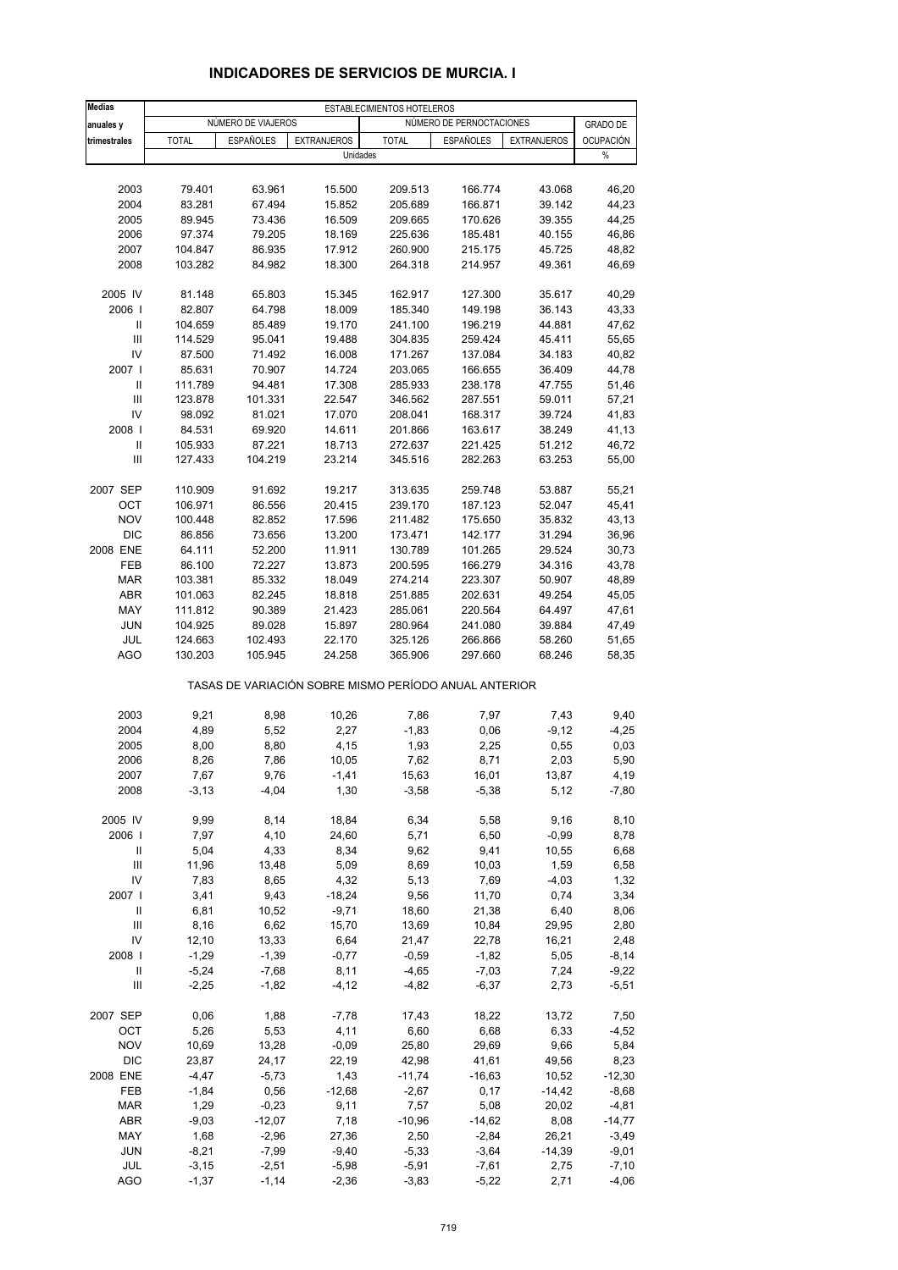| NÚMERO DE PERNOCTACIONES<br>NÚMERO DE VIAJEROS<br><b>GRADO DE</b><br>anuales y<br><b>ESPAÑOLES</b><br><b>TOTAL</b><br><b>ESPAÑOLES</b><br><b>OCUPACIÓN</b><br>trimestrales<br><b>TOTAL</b><br><b>EXTRANJEROS</b><br><b>EXTRANJEROS</b><br>$\%$<br>Unidades<br>2003<br>79.401<br>63.961<br>15.500<br>209.513<br>166.774<br>43.068<br>2004<br>83.281<br>67.494<br>15.852<br>205.689<br>166.871<br>39.142<br>2005<br>89.945<br>16.509<br>209.665<br>39.355<br>73.436<br>170.626<br>2006<br>97.374<br>79.205<br>18.169<br>225.636<br>185.481<br>40.155<br>2007<br>104.847<br>86.935<br>17.912<br>260.900<br>215.175<br>45.725<br>2008<br>103.282<br>84.982<br>18.300<br>264.318<br>49.361<br>214.957<br>2005 IV<br>81.148<br>65.803<br>15.345<br>162.917<br>127.300<br>35.617<br>40,29<br>2006  <br>82.807<br>64.798<br>18.009<br>185.340<br>149.198<br>36.143<br>43,33<br>Ш<br>104.659<br>85.489<br>19.170<br>241.100<br>196.219<br>44.881<br>47,62<br>III<br>114.529<br>95.041<br>19.488<br>304.835<br>259.424<br>45.411<br>55,65<br>IV<br>87.500<br>171.267<br>34.183<br>40,82<br>71.492<br>16.008<br>137.084<br>2007 l<br>85.631<br>70.907<br>14.724<br>203.065<br>166.655<br>36.409<br>44,78<br>Ш<br>111.789<br>94.481<br>17.308<br>285.933<br>238.178<br>47.755<br>51,46<br>III<br>101.331<br>57,21<br>123.878<br>22.547<br>346.562<br>287.551<br>59.011<br>IV<br>98.092<br>81.021<br>17.070<br>208.041<br>168.317<br>39.724<br>41,83<br>2008  <br>84.531<br>69.920<br>14.611<br>201.866<br>163.617<br>38.249<br>41,13<br>$\mathbf{II}$<br>105.933<br>87.221<br>18.713<br>272.637<br>51.212<br>46,72<br>221.425<br>III<br>127.433<br>104.219<br>23.214<br>345.516<br>282.263<br>63.253<br>55,00<br>2007 SEP<br>110.909<br>91.692<br>19.217<br>313.635<br>259.748<br>53.887<br>OCT<br>106.971<br>86.556<br>20.415<br>239.170<br>187.123<br>52.047<br>45,41<br><b>NOV</b><br>100.448<br>82.852<br>17.596<br>211.482<br>175.650<br>35.832<br><b>DIC</b><br>86.856<br>13.200<br>173.471<br>142.177<br>31.294<br>73.656<br>2008 ENE<br>64.111<br>52.200<br>11.911<br>130.789<br>101.265<br>29.524<br>FEB<br>86.100<br>72.227<br>13.873<br>166.279<br>200.595<br>34.316<br><b>MAR</b><br>103.381<br>85.332<br>18.049<br>274.214<br>223.307<br>50.907<br><b>ABR</b><br>101.063<br>82.245<br>18.818<br>251.885<br>202.631<br>49.254<br>MAY<br>111.812<br>90.389<br>21.423<br>285.061<br>220.564<br>64.497<br><b>JUN</b><br>104.925<br>89.028<br>15.897<br>280.964<br>241.080<br>39.884<br>JUL<br>124.663<br>102.493<br>22.170<br>325.126<br>58.260<br>266.866<br><b>AGO</b><br>130.203<br>105.945<br>24.258<br>365.906<br>297.660<br>68.246<br>TASAS DE VARIACIÓN SOBRE MISMO PERÍODO ANUAL ANTERIOR<br>2003<br>9,21<br>8,98<br>10,26<br>7,86<br>7,97<br>7,43<br>9,40<br>2004<br>4,89<br>5,52<br>2,27<br>$-1,83$<br>0,06<br>$-9,12$<br>$-4,25$<br>2005<br>4,15<br>1,93<br>0,03<br>8,00<br>8,80<br>2,25<br>0,55<br>5,90<br>2006<br>8,26<br>7,86<br>10,05<br>7,62<br>8,71<br>2,03<br>2007<br>7,67<br>9,76<br>-1,41<br>15,63<br>16,01<br>13,87<br>4,19<br>2008<br>$-3, 13$<br>$-4,04$<br>1,30<br>$-3,58$<br>$-5,38$<br>5,12<br>2005 IV<br>9,99<br>8,14<br>18,84<br>6,34<br>9,16<br>8,10<br>5,58<br>2006  <br>4,10<br>5,71<br>7,97<br>24,60<br>6,50<br>$-0,99$<br>8,78<br>4,33<br>Ш<br>5,04<br>8,34<br>9,62<br>9,41<br>10,55<br>6,68<br>$\mathsf{III}$<br>11,96<br>13,48<br>5,09<br>8,69<br>1,59<br>10,03<br>IV<br>7,83<br>8,65<br>4,32<br>5,13<br>7,69<br>$-4,03$<br>2007 l<br>3,41<br>9,43<br>$-18,24$<br>9,56<br>11,70<br>0,74<br>Ш<br>6,81<br>$-9,71$<br>18,60<br>10,52<br>21,38<br>6,40<br>$\mathbf{III}$<br>8,16<br>6,62<br>15,70<br>13,69<br>10,84<br>29,95<br>IV<br>13,33<br>6,64<br>12,10<br>21,47<br>22,78<br>16,21<br>2008  <br>$-1,29$<br>$-1,39$<br>$-0,77$<br>$-1,82$<br>5,05<br>$-0,59$<br>Ш<br>$-5,24$<br>$-7,68$<br>8,11<br>$-4,65$<br>$-7,03$<br>7,24<br>$\mathsf{III}$<br>$-2,25$<br>$-1,82$<br>$-4, 12$<br>$-4,82$<br>$-6,37$<br>2,73<br>$-5,51$<br>2007 SEP<br>0,06<br>1,88<br>$-7,78$<br>13,72<br>17,43<br>18,22<br>5,26<br>4,11<br>OCT<br>5,53<br>6,60<br>6,68<br>6,33<br><b>NOV</b><br>10,69<br>13,28<br>$-0,09$<br>25,80<br>29,69<br>9,66<br><b>DIC</b><br>23,87<br>24,17<br>22,19<br>42,98<br>41,61<br>49,56<br>8,23<br>2008 ENE<br>$-4,47$<br>$-5,73$<br>1,43<br>$-11,74$<br>$-16,63$<br>10,52<br>$-12,30$<br>FEB<br>$-1,84$<br>0,56<br>$-12,68$<br>$-2,67$<br>0,17<br>$-14,42$<br>$-8,68$<br>1,29<br>$-0,23$<br>7,57<br><b>MAR</b><br>9,11<br>5,08<br>20,02<br>$-4,81$<br>ABR<br>$-9,03$<br>$-12,07$<br>7,18<br>$-10,96$<br>$-14,62$<br>8,08<br>$-14,77$<br>MAY<br>1,68<br>$-2,96$<br>27,36<br>2,50<br>$-2,84$<br>26,21<br>$-3,49$<br><b>JUN</b><br>$-8,21$<br>$-7,99$<br>$-9,40$<br>$-5,33$<br>$-3,64$<br>$-14,39$<br>$-9,01$<br>JUL<br>$-3,15$<br>$-2,51$<br>$-5,98$<br>$-5,91$<br>$-7,61$<br>2,75<br>$-7,10$<br><b>AGO</b><br>$-1,37$<br>$-1,14$<br>$-2,36$<br>$-3,83$<br>$-5,22$<br>2,71 | <b>Medias</b> |  | ESTABLECIMIENTOS HOTELEROS |  |         |
|----------------------------------------------------------------------------------------------------------------------------------------------------------------------------------------------------------------------------------------------------------------------------------------------------------------------------------------------------------------------------------------------------------------------------------------------------------------------------------------------------------------------------------------------------------------------------------------------------------------------------------------------------------------------------------------------------------------------------------------------------------------------------------------------------------------------------------------------------------------------------------------------------------------------------------------------------------------------------------------------------------------------------------------------------------------------------------------------------------------------------------------------------------------------------------------------------------------------------------------------------------------------------------------------------------------------------------------------------------------------------------------------------------------------------------------------------------------------------------------------------------------------------------------------------------------------------------------------------------------------------------------------------------------------------------------------------------------------------------------------------------------------------------------------------------------------------------------------------------------------------------------------------------------------------------------------------------------------------------------------------------------------------------------------------------------------------------------------------------------------------------------------------------------------------------------------------------------------------------------------------------------------------------------------------------------------------------------------------------------------------------------------------------------------------------------------------------------------------------------------------------------------------------------------------------------------------------------------------------------------------------------------------------------------------------------------------------------------------------------------------------------------------------------------------------------------------------------------------------------------------------------------------------------------------------------------------------------------------------------------------------------------------------------------------------------------------------------------------------------------------------------------------------------------------------------------------------------------------------------------------------------------------------------------------------------------------------------------------------------------------------------------------------------------------------------------------------------------------------------------------------------------------------------------------------------------------------------------------------------------------------------------------------------------------------------------------------------------------------------------------------------------------------------------------------------------------------------------------------------------------------------------------------------------------------------------------------------------------------------------------------------------------------------------------------------------------------------------------------------------------------------------------------------------------------------------------------------------------------------------------------------------------------------------------------------------------------------------------------------------------------------------------------------------------------------------------------------------------------------------------------------------------------------------------------------------------------------------------------------------------------------------------------------------------------------------------------------------------------------------------------------------------------------------------------------------------------------------------------------------------------------------------------------|---------------|--|----------------------------|--|---------|
|                                                                                                                                                                                                                                                                                                                                                                                                                                                                                                                                                                                                                                                                                                                                                                                                                                                                                                                                                                                                                                                                                                                                                                                                                                                                                                                                                                                                                                                                                                                                                                                                                                                                                                                                                                                                                                                                                                                                                                                                                                                                                                                                                                                                                                                                                                                                                                                                                                                                                                                                                                                                                                                                                                                                                                                                                                                                                                                                                                                                                                                                                                                                                                                                                                                                                                                                                                                                                                                                                                                                                                                                                                                                                                                                                                                                                                                                                                                                                                                                                                                                                                                                                                                                                                                                                                                                                                                                                                                                                                                                                                                                                                                                                                                                                                                                                                                                                                                |               |  |                            |  |         |
|                                                                                                                                                                                                                                                                                                                                                                                                                                                                                                                                                                                                                                                                                                                                                                                                                                                                                                                                                                                                                                                                                                                                                                                                                                                                                                                                                                                                                                                                                                                                                                                                                                                                                                                                                                                                                                                                                                                                                                                                                                                                                                                                                                                                                                                                                                                                                                                                                                                                                                                                                                                                                                                                                                                                                                                                                                                                                                                                                                                                                                                                                                                                                                                                                                                                                                                                                                                                                                                                                                                                                                                                                                                                                                                                                                                                                                                                                                                                                                                                                                                                                                                                                                                                                                                                                                                                                                                                                                                                                                                                                                                                                                                                                                                                                                                                                                                                                                                |               |  |                            |  |         |
|                                                                                                                                                                                                                                                                                                                                                                                                                                                                                                                                                                                                                                                                                                                                                                                                                                                                                                                                                                                                                                                                                                                                                                                                                                                                                                                                                                                                                                                                                                                                                                                                                                                                                                                                                                                                                                                                                                                                                                                                                                                                                                                                                                                                                                                                                                                                                                                                                                                                                                                                                                                                                                                                                                                                                                                                                                                                                                                                                                                                                                                                                                                                                                                                                                                                                                                                                                                                                                                                                                                                                                                                                                                                                                                                                                                                                                                                                                                                                                                                                                                                                                                                                                                                                                                                                                                                                                                                                                                                                                                                                                                                                                                                                                                                                                                                                                                                                                                |               |  |                            |  |         |
|                                                                                                                                                                                                                                                                                                                                                                                                                                                                                                                                                                                                                                                                                                                                                                                                                                                                                                                                                                                                                                                                                                                                                                                                                                                                                                                                                                                                                                                                                                                                                                                                                                                                                                                                                                                                                                                                                                                                                                                                                                                                                                                                                                                                                                                                                                                                                                                                                                                                                                                                                                                                                                                                                                                                                                                                                                                                                                                                                                                                                                                                                                                                                                                                                                                                                                                                                                                                                                                                                                                                                                                                                                                                                                                                                                                                                                                                                                                                                                                                                                                                                                                                                                                                                                                                                                                                                                                                                                                                                                                                                                                                                                                                                                                                                                                                                                                                                                                |               |  |                            |  |         |
|                                                                                                                                                                                                                                                                                                                                                                                                                                                                                                                                                                                                                                                                                                                                                                                                                                                                                                                                                                                                                                                                                                                                                                                                                                                                                                                                                                                                                                                                                                                                                                                                                                                                                                                                                                                                                                                                                                                                                                                                                                                                                                                                                                                                                                                                                                                                                                                                                                                                                                                                                                                                                                                                                                                                                                                                                                                                                                                                                                                                                                                                                                                                                                                                                                                                                                                                                                                                                                                                                                                                                                                                                                                                                                                                                                                                                                                                                                                                                                                                                                                                                                                                                                                                                                                                                                                                                                                                                                                                                                                                                                                                                                                                                                                                                                                                                                                                                                                |               |  |                            |  | 46,20   |
|                                                                                                                                                                                                                                                                                                                                                                                                                                                                                                                                                                                                                                                                                                                                                                                                                                                                                                                                                                                                                                                                                                                                                                                                                                                                                                                                                                                                                                                                                                                                                                                                                                                                                                                                                                                                                                                                                                                                                                                                                                                                                                                                                                                                                                                                                                                                                                                                                                                                                                                                                                                                                                                                                                                                                                                                                                                                                                                                                                                                                                                                                                                                                                                                                                                                                                                                                                                                                                                                                                                                                                                                                                                                                                                                                                                                                                                                                                                                                                                                                                                                                                                                                                                                                                                                                                                                                                                                                                                                                                                                                                                                                                                                                                                                                                                                                                                                                                                |               |  |                            |  | 44,23   |
|                                                                                                                                                                                                                                                                                                                                                                                                                                                                                                                                                                                                                                                                                                                                                                                                                                                                                                                                                                                                                                                                                                                                                                                                                                                                                                                                                                                                                                                                                                                                                                                                                                                                                                                                                                                                                                                                                                                                                                                                                                                                                                                                                                                                                                                                                                                                                                                                                                                                                                                                                                                                                                                                                                                                                                                                                                                                                                                                                                                                                                                                                                                                                                                                                                                                                                                                                                                                                                                                                                                                                                                                                                                                                                                                                                                                                                                                                                                                                                                                                                                                                                                                                                                                                                                                                                                                                                                                                                                                                                                                                                                                                                                                                                                                                                                                                                                                                                                |               |  |                            |  | 44,25   |
|                                                                                                                                                                                                                                                                                                                                                                                                                                                                                                                                                                                                                                                                                                                                                                                                                                                                                                                                                                                                                                                                                                                                                                                                                                                                                                                                                                                                                                                                                                                                                                                                                                                                                                                                                                                                                                                                                                                                                                                                                                                                                                                                                                                                                                                                                                                                                                                                                                                                                                                                                                                                                                                                                                                                                                                                                                                                                                                                                                                                                                                                                                                                                                                                                                                                                                                                                                                                                                                                                                                                                                                                                                                                                                                                                                                                                                                                                                                                                                                                                                                                                                                                                                                                                                                                                                                                                                                                                                                                                                                                                                                                                                                                                                                                                                                                                                                                                                                |               |  |                            |  | 46,86   |
|                                                                                                                                                                                                                                                                                                                                                                                                                                                                                                                                                                                                                                                                                                                                                                                                                                                                                                                                                                                                                                                                                                                                                                                                                                                                                                                                                                                                                                                                                                                                                                                                                                                                                                                                                                                                                                                                                                                                                                                                                                                                                                                                                                                                                                                                                                                                                                                                                                                                                                                                                                                                                                                                                                                                                                                                                                                                                                                                                                                                                                                                                                                                                                                                                                                                                                                                                                                                                                                                                                                                                                                                                                                                                                                                                                                                                                                                                                                                                                                                                                                                                                                                                                                                                                                                                                                                                                                                                                                                                                                                                                                                                                                                                                                                                                                                                                                                                                                |               |  |                            |  | 48,82   |
|                                                                                                                                                                                                                                                                                                                                                                                                                                                                                                                                                                                                                                                                                                                                                                                                                                                                                                                                                                                                                                                                                                                                                                                                                                                                                                                                                                                                                                                                                                                                                                                                                                                                                                                                                                                                                                                                                                                                                                                                                                                                                                                                                                                                                                                                                                                                                                                                                                                                                                                                                                                                                                                                                                                                                                                                                                                                                                                                                                                                                                                                                                                                                                                                                                                                                                                                                                                                                                                                                                                                                                                                                                                                                                                                                                                                                                                                                                                                                                                                                                                                                                                                                                                                                                                                                                                                                                                                                                                                                                                                                                                                                                                                                                                                                                                                                                                                                                                |               |  |                            |  | 46,69   |
|                                                                                                                                                                                                                                                                                                                                                                                                                                                                                                                                                                                                                                                                                                                                                                                                                                                                                                                                                                                                                                                                                                                                                                                                                                                                                                                                                                                                                                                                                                                                                                                                                                                                                                                                                                                                                                                                                                                                                                                                                                                                                                                                                                                                                                                                                                                                                                                                                                                                                                                                                                                                                                                                                                                                                                                                                                                                                                                                                                                                                                                                                                                                                                                                                                                                                                                                                                                                                                                                                                                                                                                                                                                                                                                                                                                                                                                                                                                                                                                                                                                                                                                                                                                                                                                                                                                                                                                                                                                                                                                                                                                                                                                                                                                                                                                                                                                                                                                |               |  |                            |  |         |
|                                                                                                                                                                                                                                                                                                                                                                                                                                                                                                                                                                                                                                                                                                                                                                                                                                                                                                                                                                                                                                                                                                                                                                                                                                                                                                                                                                                                                                                                                                                                                                                                                                                                                                                                                                                                                                                                                                                                                                                                                                                                                                                                                                                                                                                                                                                                                                                                                                                                                                                                                                                                                                                                                                                                                                                                                                                                                                                                                                                                                                                                                                                                                                                                                                                                                                                                                                                                                                                                                                                                                                                                                                                                                                                                                                                                                                                                                                                                                                                                                                                                                                                                                                                                                                                                                                                                                                                                                                                                                                                                                                                                                                                                                                                                                                                                                                                                                                                |               |  |                            |  |         |
|                                                                                                                                                                                                                                                                                                                                                                                                                                                                                                                                                                                                                                                                                                                                                                                                                                                                                                                                                                                                                                                                                                                                                                                                                                                                                                                                                                                                                                                                                                                                                                                                                                                                                                                                                                                                                                                                                                                                                                                                                                                                                                                                                                                                                                                                                                                                                                                                                                                                                                                                                                                                                                                                                                                                                                                                                                                                                                                                                                                                                                                                                                                                                                                                                                                                                                                                                                                                                                                                                                                                                                                                                                                                                                                                                                                                                                                                                                                                                                                                                                                                                                                                                                                                                                                                                                                                                                                                                                                                                                                                                                                                                                                                                                                                                                                                                                                                                                                |               |  |                            |  |         |
|                                                                                                                                                                                                                                                                                                                                                                                                                                                                                                                                                                                                                                                                                                                                                                                                                                                                                                                                                                                                                                                                                                                                                                                                                                                                                                                                                                                                                                                                                                                                                                                                                                                                                                                                                                                                                                                                                                                                                                                                                                                                                                                                                                                                                                                                                                                                                                                                                                                                                                                                                                                                                                                                                                                                                                                                                                                                                                                                                                                                                                                                                                                                                                                                                                                                                                                                                                                                                                                                                                                                                                                                                                                                                                                                                                                                                                                                                                                                                                                                                                                                                                                                                                                                                                                                                                                                                                                                                                                                                                                                                                                                                                                                                                                                                                                                                                                                                                                |               |  |                            |  |         |
|                                                                                                                                                                                                                                                                                                                                                                                                                                                                                                                                                                                                                                                                                                                                                                                                                                                                                                                                                                                                                                                                                                                                                                                                                                                                                                                                                                                                                                                                                                                                                                                                                                                                                                                                                                                                                                                                                                                                                                                                                                                                                                                                                                                                                                                                                                                                                                                                                                                                                                                                                                                                                                                                                                                                                                                                                                                                                                                                                                                                                                                                                                                                                                                                                                                                                                                                                                                                                                                                                                                                                                                                                                                                                                                                                                                                                                                                                                                                                                                                                                                                                                                                                                                                                                                                                                                                                                                                                                                                                                                                                                                                                                                                                                                                                                                                                                                                                                                |               |  |                            |  |         |
|                                                                                                                                                                                                                                                                                                                                                                                                                                                                                                                                                                                                                                                                                                                                                                                                                                                                                                                                                                                                                                                                                                                                                                                                                                                                                                                                                                                                                                                                                                                                                                                                                                                                                                                                                                                                                                                                                                                                                                                                                                                                                                                                                                                                                                                                                                                                                                                                                                                                                                                                                                                                                                                                                                                                                                                                                                                                                                                                                                                                                                                                                                                                                                                                                                                                                                                                                                                                                                                                                                                                                                                                                                                                                                                                                                                                                                                                                                                                                                                                                                                                                                                                                                                                                                                                                                                                                                                                                                                                                                                                                                                                                                                                                                                                                                                                                                                                                                                |               |  |                            |  |         |
|                                                                                                                                                                                                                                                                                                                                                                                                                                                                                                                                                                                                                                                                                                                                                                                                                                                                                                                                                                                                                                                                                                                                                                                                                                                                                                                                                                                                                                                                                                                                                                                                                                                                                                                                                                                                                                                                                                                                                                                                                                                                                                                                                                                                                                                                                                                                                                                                                                                                                                                                                                                                                                                                                                                                                                                                                                                                                                                                                                                                                                                                                                                                                                                                                                                                                                                                                                                                                                                                                                                                                                                                                                                                                                                                                                                                                                                                                                                                                                                                                                                                                                                                                                                                                                                                                                                                                                                                                                                                                                                                                                                                                                                                                                                                                                                                                                                                                                                |               |  |                            |  |         |
|                                                                                                                                                                                                                                                                                                                                                                                                                                                                                                                                                                                                                                                                                                                                                                                                                                                                                                                                                                                                                                                                                                                                                                                                                                                                                                                                                                                                                                                                                                                                                                                                                                                                                                                                                                                                                                                                                                                                                                                                                                                                                                                                                                                                                                                                                                                                                                                                                                                                                                                                                                                                                                                                                                                                                                                                                                                                                                                                                                                                                                                                                                                                                                                                                                                                                                                                                                                                                                                                                                                                                                                                                                                                                                                                                                                                                                                                                                                                                                                                                                                                                                                                                                                                                                                                                                                                                                                                                                                                                                                                                                                                                                                                                                                                                                                                                                                                                                                |               |  |                            |  |         |
|                                                                                                                                                                                                                                                                                                                                                                                                                                                                                                                                                                                                                                                                                                                                                                                                                                                                                                                                                                                                                                                                                                                                                                                                                                                                                                                                                                                                                                                                                                                                                                                                                                                                                                                                                                                                                                                                                                                                                                                                                                                                                                                                                                                                                                                                                                                                                                                                                                                                                                                                                                                                                                                                                                                                                                                                                                                                                                                                                                                                                                                                                                                                                                                                                                                                                                                                                                                                                                                                                                                                                                                                                                                                                                                                                                                                                                                                                                                                                                                                                                                                                                                                                                                                                                                                                                                                                                                                                                                                                                                                                                                                                                                                                                                                                                                                                                                                                                                |               |  |                            |  |         |
|                                                                                                                                                                                                                                                                                                                                                                                                                                                                                                                                                                                                                                                                                                                                                                                                                                                                                                                                                                                                                                                                                                                                                                                                                                                                                                                                                                                                                                                                                                                                                                                                                                                                                                                                                                                                                                                                                                                                                                                                                                                                                                                                                                                                                                                                                                                                                                                                                                                                                                                                                                                                                                                                                                                                                                                                                                                                                                                                                                                                                                                                                                                                                                                                                                                                                                                                                                                                                                                                                                                                                                                                                                                                                                                                                                                                                                                                                                                                                                                                                                                                                                                                                                                                                                                                                                                                                                                                                                                                                                                                                                                                                                                                                                                                                                                                                                                                                                                |               |  |                            |  |         |
|                                                                                                                                                                                                                                                                                                                                                                                                                                                                                                                                                                                                                                                                                                                                                                                                                                                                                                                                                                                                                                                                                                                                                                                                                                                                                                                                                                                                                                                                                                                                                                                                                                                                                                                                                                                                                                                                                                                                                                                                                                                                                                                                                                                                                                                                                                                                                                                                                                                                                                                                                                                                                                                                                                                                                                                                                                                                                                                                                                                                                                                                                                                                                                                                                                                                                                                                                                                                                                                                                                                                                                                                                                                                                                                                                                                                                                                                                                                                                                                                                                                                                                                                                                                                                                                                                                                                                                                                                                                                                                                                                                                                                                                                                                                                                                                                                                                                                                                |               |  |                            |  |         |
|                                                                                                                                                                                                                                                                                                                                                                                                                                                                                                                                                                                                                                                                                                                                                                                                                                                                                                                                                                                                                                                                                                                                                                                                                                                                                                                                                                                                                                                                                                                                                                                                                                                                                                                                                                                                                                                                                                                                                                                                                                                                                                                                                                                                                                                                                                                                                                                                                                                                                                                                                                                                                                                                                                                                                                                                                                                                                                                                                                                                                                                                                                                                                                                                                                                                                                                                                                                                                                                                                                                                                                                                                                                                                                                                                                                                                                                                                                                                                                                                                                                                                                                                                                                                                                                                                                                                                                                                                                                                                                                                                                                                                                                                                                                                                                                                                                                                                                                |               |  |                            |  |         |
|                                                                                                                                                                                                                                                                                                                                                                                                                                                                                                                                                                                                                                                                                                                                                                                                                                                                                                                                                                                                                                                                                                                                                                                                                                                                                                                                                                                                                                                                                                                                                                                                                                                                                                                                                                                                                                                                                                                                                                                                                                                                                                                                                                                                                                                                                                                                                                                                                                                                                                                                                                                                                                                                                                                                                                                                                                                                                                                                                                                                                                                                                                                                                                                                                                                                                                                                                                                                                                                                                                                                                                                                                                                                                                                                                                                                                                                                                                                                                                                                                                                                                                                                                                                                                                                                                                                                                                                                                                                                                                                                                                                                                                                                                                                                                                                                                                                                                                                |               |  |                            |  |         |
|                                                                                                                                                                                                                                                                                                                                                                                                                                                                                                                                                                                                                                                                                                                                                                                                                                                                                                                                                                                                                                                                                                                                                                                                                                                                                                                                                                                                                                                                                                                                                                                                                                                                                                                                                                                                                                                                                                                                                                                                                                                                                                                                                                                                                                                                                                                                                                                                                                                                                                                                                                                                                                                                                                                                                                                                                                                                                                                                                                                                                                                                                                                                                                                                                                                                                                                                                                                                                                                                                                                                                                                                                                                                                                                                                                                                                                                                                                                                                                                                                                                                                                                                                                                                                                                                                                                                                                                                                                                                                                                                                                                                                                                                                                                                                                                                                                                                                                                |               |  |                            |  | 55,21   |
|                                                                                                                                                                                                                                                                                                                                                                                                                                                                                                                                                                                                                                                                                                                                                                                                                                                                                                                                                                                                                                                                                                                                                                                                                                                                                                                                                                                                                                                                                                                                                                                                                                                                                                                                                                                                                                                                                                                                                                                                                                                                                                                                                                                                                                                                                                                                                                                                                                                                                                                                                                                                                                                                                                                                                                                                                                                                                                                                                                                                                                                                                                                                                                                                                                                                                                                                                                                                                                                                                                                                                                                                                                                                                                                                                                                                                                                                                                                                                                                                                                                                                                                                                                                                                                                                                                                                                                                                                                                                                                                                                                                                                                                                                                                                                                                                                                                                                                                |               |  |                            |  |         |
|                                                                                                                                                                                                                                                                                                                                                                                                                                                                                                                                                                                                                                                                                                                                                                                                                                                                                                                                                                                                                                                                                                                                                                                                                                                                                                                                                                                                                                                                                                                                                                                                                                                                                                                                                                                                                                                                                                                                                                                                                                                                                                                                                                                                                                                                                                                                                                                                                                                                                                                                                                                                                                                                                                                                                                                                                                                                                                                                                                                                                                                                                                                                                                                                                                                                                                                                                                                                                                                                                                                                                                                                                                                                                                                                                                                                                                                                                                                                                                                                                                                                                                                                                                                                                                                                                                                                                                                                                                                                                                                                                                                                                                                                                                                                                                                                                                                                                                                |               |  |                            |  | 43,13   |
|                                                                                                                                                                                                                                                                                                                                                                                                                                                                                                                                                                                                                                                                                                                                                                                                                                                                                                                                                                                                                                                                                                                                                                                                                                                                                                                                                                                                                                                                                                                                                                                                                                                                                                                                                                                                                                                                                                                                                                                                                                                                                                                                                                                                                                                                                                                                                                                                                                                                                                                                                                                                                                                                                                                                                                                                                                                                                                                                                                                                                                                                                                                                                                                                                                                                                                                                                                                                                                                                                                                                                                                                                                                                                                                                                                                                                                                                                                                                                                                                                                                                                                                                                                                                                                                                                                                                                                                                                                                                                                                                                                                                                                                                                                                                                                                                                                                                                                                |               |  |                            |  | 36,96   |
|                                                                                                                                                                                                                                                                                                                                                                                                                                                                                                                                                                                                                                                                                                                                                                                                                                                                                                                                                                                                                                                                                                                                                                                                                                                                                                                                                                                                                                                                                                                                                                                                                                                                                                                                                                                                                                                                                                                                                                                                                                                                                                                                                                                                                                                                                                                                                                                                                                                                                                                                                                                                                                                                                                                                                                                                                                                                                                                                                                                                                                                                                                                                                                                                                                                                                                                                                                                                                                                                                                                                                                                                                                                                                                                                                                                                                                                                                                                                                                                                                                                                                                                                                                                                                                                                                                                                                                                                                                                                                                                                                                                                                                                                                                                                                                                                                                                                                                                |               |  |                            |  | 30,73   |
|                                                                                                                                                                                                                                                                                                                                                                                                                                                                                                                                                                                                                                                                                                                                                                                                                                                                                                                                                                                                                                                                                                                                                                                                                                                                                                                                                                                                                                                                                                                                                                                                                                                                                                                                                                                                                                                                                                                                                                                                                                                                                                                                                                                                                                                                                                                                                                                                                                                                                                                                                                                                                                                                                                                                                                                                                                                                                                                                                                                                                                                                                                                                                                                                                                                                                                                                                                                                                                                                                                                                                                                                                                                                                                                                                                                                                                                                                                                                                                                                                                                                                                                                                                                                                                                                                                                                                                                                                                                                                                                                                                                                                                                                                                                                                                                                                                                                                                                |               |  |                            |  | 43,78   |
|                                                                                                                                                                                                                                                                                                                                                                                                                                                                                                                                                                                                                                                                                                                                                                                                                                                                                                                                                                                                                                                                                                                                                                                                                                                                                                                                                                                                                                                                                                                                                                                                                                                                                                                                                                                                                                                                                                                                                                                                                                                                                                                                                                                                                                                                                                                                                                                                                                                                                                                                                                                                                                                                                                                                                                                                                                                                                                                                                                                                                                                                                                                                                                                                                                                                                                                                                                                                                                                                                                                                                                                                                                                                                                                                                                                                                                                                                                                                                                                                                                                                                                                                                                                                                                                                                                                                                                                                                                                                                                                                                                                                                                                                                                                                                                                                                                                                                                                |               |  |                            |  | 48,89   |
|                                                                                                                                                                                                                                                                                                                                                                                                                                                                                                                                                                                                                                                                                                                                                                                                                                                                                                                                                                                                                                                                                                                                                                                                                                                                                                                                                                                                                                                                                                                                                                                                                                                                                                                                                                                                                                                                                                                                                                                                                                                                                                                                                                                                                                                                                                                                                                                                                                                                                                                                                                                                                                                                                                                                                                                                                                                                                                                                                                                                                                                                                                                                                                                                                                                                                                                                                                                                                                                                                                                                                                                                                                                                                                                                                                                                                                                                                                                                                                                                                                                                                                                                                                                                                                                                                                                                                                                                                                                                                                                                                                                                                                                                                                                                                                                                                                                                                                                |               |  |                            |  | 45,05   |
|                                                                                                                                                                                                                                                                                                                                                                                                                                                                                                                                                                                                                                                                                                                                                                                                                                                                                                                                                                                                                                                                                                                                                                                                                                                                                                                                                                                                                                                                                                                                                                                                                                                                                                                                                                                                                                                                                                                                                                                                                                                                                                                                                                                                                                                                                                                                                                                                                                                                                                                                                                                                                                                                                                                                                                                                                                                                                                                                                                                                                                                                                                                                                                                                                                                                                                                                                                                                                                                                                                                                                                                                                                                                                                                                                                                                                                                                                                                                                                                                                                                                                                                                                                                                                                                                                                                                                                                                                                                                                                                                                                                                                                                                                                                                                                                                                                                                                                                |               |  |                            |  | 47,61   |
|                                                                                                                                                                                                                                                                                                                                                                                                                                                                                                                                                                                                                                                                                                                                                                                                                                                                                                                                                                                                                                                                                                                                                                                                                                                                                                                                                                                                                                                                                                                                                                                                                                                                                                                                                                                                                                                                                                                                                                                                                                                                                                                                                                                                                                                                                                                                                                                                                                                                                                                                                                                                                                                                                                                                                                                                                                                                                                                                                                                                                                                                                                                                                                                                                                                                                                                                                                                                                                                                                                                                                                                                                                                                                                                                                                                                                                                                                                                                                                                                                                                                                                                                                                                                                                                                                                                                                                                                                                                                                                                                                                                                                                                                                                                                                                                                                                                                                                                |               |  |                            |  | 47,49   |
|                                                                                                                                                                                                                                                                                                                                                                                                                                                                                                                                                                                                                                                                                                                                                                                                                                                                                                                                                                                                                                                                                                                                                                                                                                                                                                                                                                                                                                                                                                                                                                                                                                                                                                                                                                                                                                                                                                                                                                                                                                                                                                                                                                                                                                                                                                                                                                                                                                                                                                                                                                                                                                                                                                                                                                                                                                                                                                                                                                                                                                                                                                                                                                                                                                                                                                                                                                                                                                                                                                                                                                                                                                                                                                                                                                                                                                                                                                                                                                                                                                                                                                                                                                                                                                                                                                                                                                                                                                                                                                                                                                                                                                                                                                                                                                                                                                                                                                                |               |  |                            |  | 51,65   |
|                                                                                                                                                                                                                                                                                                                                                                                                                                                                                                                                                                                                                                                                                                                                                                                                                                                                                                                                                                                                                                                                                                                                                                                                                                                                                                                                                                                                                                                                                                                                                                                                                                                                                                                                                                                                                                                                                                                                                                                                                                                                                                                                                                                                                                                                                                                                                                                                                                                                                                                                                                                                                                                                                                                                                                                                                                                                                                                                                                                                                                                                                                                                                                                                                                                                                                                                                                                                                                                                                                                                                                                                                                                                                                                                                                                                                                                                                                                                                                                                                                                                                                                                                                                                                                                                                                                                                                                                                                                                                                                                                                                                                                                                                                                                                                                                                                                                                                                |               |  |                            |  | 58,35   |
|                                                                                                                                                                                                                                                                                                                                                                                                                                                                                                                                                                                                                                                                                                                                                                                                                                                                                                                                                                                                                                                                                                                                                                                                                                                                                                                                                                                                                                                                                                                                                                                                                                                                                                                                                                                                                                                                                                                                                                                                                                                                                                                                                                                                                                                                                                                                                                                                                                                                                                                                                                                                                                                                                                                                                                                                                                                                                                                                                                                                                                                                                                                                                                                                                                                                                                                                                                                                                                                                                                                                                                                                                                                                                                                                                                                                                                                                                                                                                                                                                                                                                                                                                                                                                                                                                                                                                                                                                                                                                                                                                                                                                                                                                                                                                                                                                                                                                                                |               |  |                            |  |         |
|                                                                                                                                                                                                                                                                                                                                                                                                                                                                                                                                                                                                                                                                                                                                                                                                                                                                                                                                                                                                                                                                                                                                                                                                                                                                                                                                                                                                                                                                                                                                                                                                                                                                                                                                                                                                                                                                                                                                                                                                                                                                                                                                                                                                                                                                                                                                                                                                                                                                                                                                                                                                                                                                                                                                                                                                                                                                                                                                                                                                                                                                                                                                                                                                                                                                                                                                                                                                                                                                                                                                                                                                                                                                                                                                                                                                                                                                                                                                                                                                                                                                                                                                                                                                                                                                                                                                                                                                                                                                                                                                                                                                                                                                                                                                                                                                                                                                                                                |               |  |                            |  |         |
|                                                                                                                                                                                                                                                                                                                                                                                                                                                                                                                                                                                                                                                                                                                                                                                                                                                                                                                                                                                                                                                                                                                                                                                                                                                                                                                                                                                                                                                                                                                                                                                                                                                                                                                                                                                                                                                                                                                                                                                                                                                                                                                                                                                                                                                                                                                                                                                                                                                                                                                                                                                                                                                                                                                                                                                                                                                                                                                                                                                                                                                                                                                                                                                                                                                                                                                                                                                                                                                                                                                                                                                                                                                                                                                                                                                                                                                                                                                                                                                                                                                                                                                                                                                                                                                                                                                                                                                                                                                                                                                                                                                                                                                                                                                                                                                                                                                                                                                |               |  |                            |  |         |
|                                                                                                                                                                                                                                                                                                                                                                                                                                                                                                                                                                                                                                                                                                                                                                                                                                                                                                                                                                                                                                                                                                                                                                                                                                                                                                                                                                                                                                                                                                                                                                                                                                                                                                                                                                                                                                                                                                                                                                                                                                                                                                                                                                                                                                                                                                                                                                                                                                                                                                                                                                                                                                                                                                                                                                                                                                                                                                                                                                                                                                                                                                                                                                                                                                                                                                                                                                                                                                                                                                                                                                                                                                                                                                                                                                                                                                                                                                                                                                                                                                                                                                                                                                                                                                                                                                                                                                                                                                                                                                                                                                                                                                                                                                                                                                                                                                                                                                                |               |  |                            |  |         |
|                                                                                                                                                                                                                                                                                                                                                                                                                                                                                                                                                                                                                                                                                                                                                                                                                                                                                                                                                                                                                                                                                                                                                                                                                                                                                                                                                                                                                                                                                                                                                                                                                                                                                                                                                                                                                                                                                                                                                                                                                                                                                                                                                                                                                                                                                                                                                                                                                                                                                                                                                                                                                                                                                                                                                                                                                                                                                                                                                                                                                                                                                                                                                                                                                                                                                                                                                                                                                                                                                                                                                                                                                                                                                                                                                                                                                                                                                                                                                                                                                                                                                                                                                                                                                                                                                                                                                                                                                                                                                                                                                                                                                                                                                                                                                                                                                                                                                                                |               |  |                            |  |         |
|                                                                                                                                                                                                                                                                                                                                                                                                                                                                                                                                                                                                                                                                                                                                                                                                                                                                                                                                                                                                                                                                                                                                                                                                                                                                                                                                                                                                                                                                                                                                                                                                                                                                                                                                                                                                                                                                                                                                                                                                                                                                                                                                                                                                                                                                                                                                                                                                                                                                                                                                                                                                                                                                                                                                                                                                                                                                                                                                                                                                                                                                                                                                                                                                                                                                                                                                                                                                                                                                                                                                                                                                                                                                                                                                                                                                                                                                                                                                                                                                                                                                                                                                                                                                                                                                                                                                                                                                                                                                                                                                                                                                                                                                                                                                                                                                                                                                                                                |               |  |                            |  |         |
|                                                                                                                                                                                                                                                                                                                                                                                                                                                                                                                                                                                                                                                                                                                                                                                                                                                                                                                                                                                                                                                                                                                                                                                                                                                                                                                                                                                                                                                                                                                                                                                                                                                                                                                                                                                                                                                                                                                                                                                                                                                                                                                                                                                                                                                                                                                                                                                                                                                                                                                                                                                                                                                                                                                                                                                                                                                                                                                                                                                                                                                                                                                                                                                                                                                                                                                                                                                                                                                                                                                                                                                                                                                                                                                                                                                                                                                                                                                                                                                                                                                                                                                                                                                                                                                                                                                                                                                                                                                                                                                                                                                                                                                                                                                                                                                                                                                                                                                |               |  |                            |  | $-7,80$ |
|                                                                                                                                                                                                                                                                                                                                                                                                                                                                                                                                                                                                                                                                                                                                                                                                                                                                                                                                                                                                                                                                                                                                                                                                                                                                                                                                                                                                                                                                                                                                                                                                                                                                                                                                                                                                                                                                                                                                                                                                                                                                                                                                                                                                                                                                                                                                                                                                                                                                                                                                                                                                                                                                                                                                                                                                                                                                                                                                                                                                                                                                                                                                                                                                                                                                                                                                                                                                                                                                                                                                                                                                                                                                                                                                                                                                                                                                                                                                                                                                                                                                                                                                                                                                                                                                                                                                                                                                                                                                                                                                                                                                                                                                                                                                                                                                                                                                                                                |               |  |                            |  |         |
|                                                                                                                                                                                                                                                                                                                                                                                                                                                                                                                                                                                                                                                                                                                                                                                                                                                                                                                                                                                                                                                                                                                                                                                                                                                                                                                                                                                                                                                                                                                                                                                                                                                                                                                                                                                                                                                                                                                                                                                                                                                                                                                                                                                                                                                                                                                                                                                                                                                                                                                                                                                                                                                                                                                                                                                                                                                                                                                                                                                                                                                                                                                                                                                                                                                                                                                                                                                                                                                                                                                                                                                                                                                                                                                                                                                                                                                                                                                                                                                                                                                                                                                                                                                                                                                                                                                                                                                                                                                                                                                                                                                                                                                                                                                                                                                                                                                                                                                |               |  |                            |  |         |
|                                                                                                                                                                                                                                                                                                                                                                                                                                                                                                                                                                                                                                                                                                                                                                                                                                                                                                                                                                                                                                                                                                                                                                                                                                                                                                                                                                                                                                                                                                                                                                                                                                                                                                                                                                                                                                                                                                                                                                                                                                                                                                                                                                                                                                                                                                                                                                                                                                                                                                                                                                                                                                                                                                                                                                                                                                                                                                                                                                                                                                                                                                                                                                                                                                                                                                                                                                                                                                                                                                                                                                                                                                                                                                                                                                                                                                                                                                                                                                                                                                                                                                                                                                                                                                                                                                                                                                                                                                                                                                                                                                                                                                                                                                                                                                                                                                                                                                                |               |  |                            |  |         |
|                                                                                                                                                                                                                                                                                                                                                                                                                                                                                                                                                                                                                                                                                                                                                                                                                                                                                                                                                                                                                                                                                                                                                                                                                                                                                                                                                                                                                                                                                                                                                                                                                                                                                                                                                                                                                                                                                                                                                                                                                                                                                                                                                                                                                                                                                                                                                                                                                                                                                                                                                                                                                                                                                                                                                                                                                                                                                                                                                                                                                                                                                                                                                                                                                                                                                                                                                                                                                                                                                                                                                                                                                                                                                                                                                                                                                                                                                                                                                                                                                                                                                                                                                                                                                                                                                                                                                                                                                                                                                                                                                                                                                                                                                                                                                                                                                                                                                                                |               |  |                            |  | 6,58    |
|                                                                                                                                                                                                                                                                                                                                                                                                                                                                                                                                                                                                                                                                                                                                                                                                                                                                                                                                                                                                                                                                                                                                                                                                                                                                                                                                                                                                                                                                                                                                                                                                                                                                                                                                                                                                                                                                                                                                                                                                                                                                                                                                                                                                                                                                                                                                                                                                                                                                                                                                                                                                                                                                                                                                                                                                                                                                                                                                                                                                                                                                                                                                                                                                                                                                                                                                                                                                                                                                                                                                                                                                                                                                                                                                                                                                                                                                                                                                                                                                                                                                                                                                                                                                                                                                                                                                                                                                                                                                                                                                                                                                                                                                                                                                                                                                                                                                                                                |               |  |                            |  | 1,32    |
|                                                                                                                                                                                                                                                                                                                                                                                                                                                                                                                                                                                                                                                                                                                                                                                                                                                                                                                                                                                                                                                                                                                                                                                                                                                                                                                                                                                                                                                                                                                                                                                                                                                                                                                                                                                                                                                                                                                                                                                                                                                                                                                                                                                                                                                                                                                                                                                                                                                                                                                                                                                                                                                                                                                                                                                                                                                                                                                                                                                                                                                                                                                                                                                                                                                                                                                                                                                                                                                                                                                                                                                                                                                                                                                                                                                                                                                                                                                                                                                                                                                                                                                                                                                                                                                                                                                                                                                                                                                                                                                                                                                                                                                                                                                                                                                                                                                                                                                |               |  |                            |  | 3,34    |
|                                                                                                                                                                                                                                                                                                                                                                                                                                                                                                                                                                                                                                                                                                                                                                                                                                                                                                                                                                                                                                                                                                                                                                                                                                                                                                                                                                                                                                                                                                                                                                                                                                                                                                                                                                                                                                                                                                                                                                                                                                                                                                                                                                                                                                                                                                                                                                                                                                                                                                                                                                                                                                                                                                                                                                                                                                                                                                                                                                                                                                                                                                                                                                                                                                                                                                                                                                                                                                                                                                                                                                                                                                                                                                                                                                                                                                                                                                                                                                                                                                                                                                                                                                                                                                                                                                                                                                                                                                                                                                                                                                                                                                                                                                                                                                                                                                                                                                                |               |  |                            |  | 8,06    |
|                                                                                                                                                                                                                                                                                                                                                                                                                                                                                                                                                                                                                                                                                                                                                                                                                                                                                                                                                                                                                                                                                                                                                                                                                                                                                                                                                                                                                                                                                                                                                                                                                                                                                                                                                                                                                                                                                                                                                                                                                                                                                                                                                                                                                                                                                                                                                                                                                                                                                                                                                                                                                                                                                                                                                                                                                                                                                                                                                                                                                                                                                                                                                                                                                                                                                                                                                                                                                                                                                                                                                                                                                                                                                                                                                                                                                                                                                                                                                                                                                                                                                                                                                                                                                                                                                                                                                                                                                                                                                                                                                                                                                                                                                                                                                                                                                                                                                                                |               |  |                            |  | 2,80    |
|                                                                                                                                                                                                                                                                                                                                                                                                                                                                                                                                                                                                                                                                                                                                                                                                                                                                                                                                                                                                                                                                                                                                                                                                                                                                                                                                                                                                                                                                                                                                                                                                                                                                                                                                                                                                                                                                                                                                                                                                                                                                                                                                                                                                                                                                                                                                                                                                                                                                                                                                                                                                                                                                                                                                                                                                                                                                                                                                                                                                                                                                                                                                                                                                                                                                                                                                                                                                                                                                                                                                                                                                                                                                                                                                                                                                                                                                                                                                                                                                                                                                                                                                                                                                                                                                                                                                                                                                                                                                                                                                                                                                                                                                                                                                                                                                                                                                                                                |               |  |                            |  | 2,48    |
|                                                                                                                                                                                                                                                                                                                                                                                                                                                                                                                                                                                                                                                                                                                                                                                                                                                                                                                                                                                                                                                                                                                                                                                                                                                                                                                                                                                                                                                                                                                                                                                                                                                                                                                                                                                                                                                                                                                                                                                                                                                                                                                                                                                                                                                                                                                                                                                                                                                                                                                                                                                                                                                                                                                                                                                                                                                                                                                                                                                                                                                                                                                                                                                                                                                                                                                                                                                                                                                                                                                                                                                                                                                                                                                                                                                                                                                                                                                                                                                                                                                                                                                                                                                                                                                                                                                                                                                                                                                                                                                                                                                                                                                                                                                                                                                                                                                                                                                |               |  |                            |  | $-8,14$ |
|                                                                                                                                                                                                                                                                                                                                                                                                                                                                                                                                                                                                                                                                                                                                                                                                                                                                                                                                                                                                                                                                                                                                                                                                                                                                                                                                                                                                                                                                                                                                                                                                                                                                                                                                                                                                                                                                                                                                                                                                                                                                                                                                                                                                                                                                                                                                                                                                                                                                                                                                                                                                                                                                                                                                                                                                                                                                                                                                                                                                                                                                                                                                                                                                                                                                                                                                                                                                                                                                                                                                                                                                                                                                                                                                                                                                                                                                                                                                                                                                                                                                                                                                                                                                                                                                                                                                                                                                                                                                                                                                                                                                                                                                                                                                                                                                                                                                                                                |               |  |                            |  | $-9,22$ |
|                                                                                                                                                                                                                                                                                                                                                                                                                                                                                                                                                                                                                                                                                                                                                                                                                                                                                                                                                                                                                                                                                                                                                                                                                                                                                                                                                                                                                                                                                                                                                                                                                                                                                                                                                                                                                                                                                                                                                                                                                                                                                                                                                                                                                                                                                                                                                                                                                                                                                                                                                                                                                                                                                                                                                                                                                                                                                                                                                                                                                                                                                                                                                                                                                                                                                                                                                                                                                                                                                                                                                                                                                                                                                                                                                                                                                                                                                                                                                                                                                                                                                                                                                                                                                                                                                                                                                                                                                                                                                                                                                                                                                                                                                                                                                                                                                                                                                                                |               |  |                            |  |         |
|                                                                                                                                                                                                                                                                                                                                                                                                                                                                                                                                                                                                                                                                                                                                                                                                                                                                                                                                                                                                                                                                                                                                                                                                                                                                                                                                                                                                                                                                                                                                                                                                                                                                                                                                                                                                                                                                                                                                                                                                                                                                                                                                                                                                                                                                                                                                                                                                                                                                                                                                                                                                                                                                                                                                                                                                                                                                                                                                                                                                                                                                                                                                                                                                                                                                                                                                                                                                                                                                                                                                                                                                                                                                                                                                                                                                                                                                                                                                                                                                                                                                                                                                                                                                                                                                                                                                                                                                                                                                                                                                                                                                                                                                                                                                                                                                                                                                                                                |               |  |                            |  | 7,50    |
|                                                                                                                                                                                                                                                                                                                                                                                                                                                                                                                                                                                                                                                                                                                                                                                                                                                                                                                                                                                                                                                                                                                                                                                                                                                                                                                                                                                                                                                                                                                                                                                                                                                                                                                                                                                                                                                                                                                                                                                                                                                                                                                                                                                                                                                                                                                                                                                                                                                                                                                                                                                                                                                                                                                                                                                                                                                                                                                                                                                                                                                                                                                                                                                                                                                                                                                                                                                                                                                                                                                                                                                                                                                                                                                                                                                                                                                                                                                                                                                                                                                                                                                                                                                                                                                                                                                                                                                                                                                                                                                                                                                                                                                                                                                                                                                                                                                                                                                |               |  |                            |  | $-4,52$ |
|                                                                                                                                                                                                                                                                                                                                                                                                                                                                                                                                                                                                                                                                                                                                                                                                                                                                                                                                                                                                                                                                                                                                                                                                                                                                                                                                                                                                                                                                                                                                                                                                                                                                                                                                                                                                                                                                                                                                                                                                                                                                                                                                                                                                                                                                                                                                                                                                                                                                                                                                                                                                                                                                                                                                                                                                                                                                                                                                                                                                                                                                                                                                                                                                                                                                                                                                                                                                                                                                                                                                                                                                                                                                                                                                                                                                                                                                                                                                                                                                                                                                                                                                                                                                                                                                                                                                                                                                                                                                                                                                                                                                                                                                                                                                                                                                                                                                                                                |               |  |                            |  | 5,84    |
|                                                                                                                                                                                                                                                                                                                                                                                                                                                                                                                                                                                                                                                                                                                                                                                                                                                                                                                                                                                                                                                                                                                                                                                                                                                                                                                                                                                                                                                                                                                                                                                                                                                                                                                                                                                                                                                                                                                                                                                                                                                                                                                                                                                                                                                                                                                                                                                                                                                                                                                                                                                                                                                                                                                                                                                                                                                                                                                                                                                                                                                                                                                                                                                                                                                                                                                                                                                                                                                                                                                                                                                                                                                                                                                                                                                                                                                                                                                                                                                                                                                                                                                                                                                                                                                                                                                                                                                                                                                                                                                                                                                                                                                                                                                                                                                                                                                                                                                |               |  |                            |  |         |
|                                                                                                                                                                                                                                                                                                                                                                                                                                                                                                                                                                                                                                                                                                                                                                                                                                                                                                                                                                                                                                                                                                                                                                                                                                                                                                                                                                                                                                                                                                                                                                                                                                                                                                                                                                                                                                                                                                                                                                                                                                                                                                                                                                                                                                                                                                                                                                                                                                                                                                                                                                                                                                                                                                                                                                                                                                                                                                                                                                                                                                                                                                                                                                                                                                                                                                                                                                                                                                                                                                                                                                                                                                                                                                                                                                                                                                                                                                                                                                                                                                                                                                                                                                                                                                                                                                                                                                                                                                                                                                                                                                                                                                                                                                                                                                                                                                                                                                                |               |  |                            |  |         |
|                                                                                                                                                                                                                                                                                                                                                                                                                                                                                                                                                                                                                                                                                                                                                                                                                                                                                                                                                                                                                                                                                                                                                                                                                                                                                                                                                                                                                                                                                                                                                                                                                                                                                                                                                                                                                                                                                                                                                                                                                                                                                                                                                                                                                                                                                                                                                                                                                                                                                                                                                                                                                                                                                                                                                                                                                                                                                                                                                                                                                                                                                                                                                                                                                                                                                                                                                                                                                                                                                                                                                                                                                                                                                                                                                                                                                                                                                                                                                                                                                                                                                                                                                                                                                                                                                                                                                                                                                                                                                                                                                                                                                                                                                                                                                                                                                                                                                                                |               |  |                            |  |         |
|                                                                                                                                                                                                                                                                                                                                                                                                                                                                                                                                                                                                                                                                                                                                                                                                                                                                                                                                                                                                                                                                                                                                                                                                                                                                                                                                                                                                                                                                                                                                                                                                                                                                                                                                                                                                                                                                                                                                                                                                                                                                                                                                                                                                                                                                                                                                                                                                                                                                                                                                                                                                                                                                                                                                                                                                                                                                                                                                                                                                                                                                                                                                                                                                                                                                                                                                                                                                                                                                                                                                                                                                                                                                                                                                                                                                                                                                                                                                                                                                                                                                                                                                                                                                                                                                                                                                                                                                                                                                                                                                                                                                                                                                                                                                                                                                                                                                                                                |               |  |                            |  |         |
|                                                                                                                                                                                                                                                                                                                                                                                                                                                                                                                                                                                                                                                                                                                                                                                                                                                                                                                                                                                                                                                                                                                                                                                                                                                                                                                                                                                                                                                                                                                                                                                                                                                                                                                                                                                                                                                                                                                                                                                                                                                                                                                                                                                                                                                                                                                                                                                                                                                                                                                                                                                                                                                                                                                                                                                                                                                                                                                                                                                                                                                                                                                                                                                                                                                                                                                                                                                                                                                                                                                                                                                                                                                                                                                                                                                                                                                                                                                                                                                                                                                                                                                                                                                                                                                                                                                                                                                                                                                                                                                                                                                                                                                                                                                                                                                                                                                                                                                |               |  |                            |  |         |
|                                                                                                                                                                                                                                                                                                                                                                                                                                                                                                                                                                                                                                                                                                                                                                                                                                                                                                                                                                                                                                                                                                                                                                                                                                                                                                                                                                                                                                                                                                                                                                                                                                                                                                                                                                                                                                                                                                                                                                                                                                                                                                                                                                                                                                                                                                                                                                                                                                                                                                                                                                                                                                                                                                                                                                                                                                                                                                                                                                                                                                                                                                                                                                                                                                                                                                                                                                                                                                                                                                                                                                                                                                                                                                                                                                                                                                                                                                                                                                                                                                                                                                                                                                                                                                                                                                                                                                                                                                                                                                                                                                                                                                                                                                                                                                                                                                                                                                                |               |  |                            |  |         |
|                                                                                                                                                                                                                                                                                                                                                                                                                                                                                                                                                                                                                                                                                                                                                                                                                                                                                                                                                                                                                                                                                                                                                                                                                                                                                                                                                                                                                                                                                                                                                                                                                                                                                                                                                                                                                                                                                                                                                                                                                                                                                                                                                                                                                                                                                                                                                                                                                                                                                                                                                                                                                                                                                                                                                                                                                                                                                                                                                                                                                                                                                                                                                                                                                                                                                                                                                                                                                                                                                                                                                                                                                                                                                                                                                                                                                                                                                                                                                                                                                                                                                                                                                                                                                                                                                                                                                                                                                                                                                                                                                                                                                                                                                                                                                                                                                                                                                                                |               |  |                            |  |         |
|                                                                                                                                                                                                                                                                                                                                                                                                                                                                                                                                                                                                                                                                                                                                                                                                                                                                                                                                                                                                                                                                                                                                                                                                                                                                                                                                                                                                                                                                                                                                                                                                                                                                                                                                                                                                                                                                                                                                                                                                                                                                                                                                                                                                                                                                                                                                                                                                                                                                                                                                                                                                                                                                                                                                                                                                                                                                                                                                                                                                                                                                                                                                                                                                                                                                                                                                                                                                                                                                                                                                                                                                                                                                                                                                                                                                                                                                                                                                                                                                                                                                                                                                                                                                                                                                                                                                                                                                                                                                                                                                                                                                                                                                                                                                                                                                                                                                                                                |               |  |                            |  | $-4,06$ |

#### **INDICADORES DE SERVICIOS DE MURCIA. I**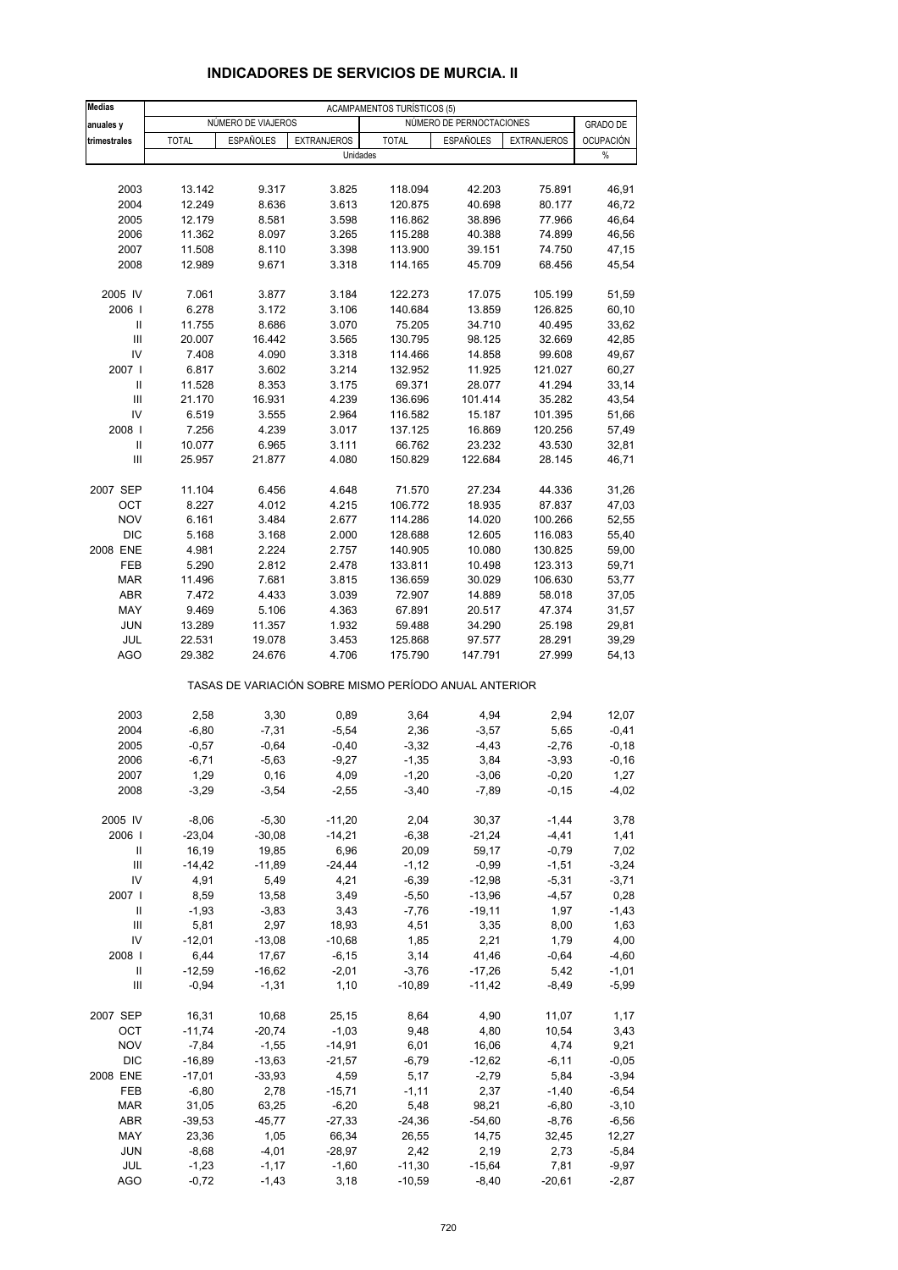| <b>Medias</b>                           |                      |                      |                                                       | <b>ACAMPAMENTOS TURÍSTICOS (5)</b> |                          |                    |                    |
|-----------------------------------------|----------------------|----------------------|-------------------------------------------------------|------------------------------------|--------------------------|--------------------|--------------------|
| anuales y                               |                      | NÚMERO DE VIAJEROS   |                                                       |                                    | NÚMERO DE PERNOCTACIONES |                    | <b>GRADO DE</b>    |
| trimestrales                            | <b>TOTAL</b>         | <b>ESPAÑOLES</b>     | <b>EXTRANJEROS</b>                                    | <b>TOTAL</b>                       | <b>ESPAÑOLES</b>         | <b>EXTRANJEROS</b> | <b>OCUPACIÓN</b>   |
|                                         |                      |                      | Unidades                                              |                                    |                          |                    | $\%$               |
|                                         |                      |                      |                                                       |                                    |                          |                    |                    |
| 2003                                    | 13.142               | 9.317                | 3.825                                                 | 118.094                            | 42.203                   | 75.891             | 46,91              |
| 2004                                    | 12.249               | 8.636                | 3.613                                                 | 120.875                            | 40.698                   | 80.177             | 46,72              |
| 2005                                    | 12.179               | 8.581                | 3.598                                                 | 116.862                            | 38.896                   | 77.966             | 46,64              |
| 2006                                    | 11.362               | 8.097                | 3.265                                                 | 115.288                            | 40.388                   | 74.899             | 46,56              |
| 2007<br>2008                            | 11.508<br>12.989     | 8.110<br>9.671       | 3.398<br>3.318                                        | 113.900<br>114.165                 | 39.151<br>45.709         | 74.750<br>68.456   | 47,15<br>45,54     |
|                                         |                      |                      |                                                       |                                    |                          |                    |                    |
| 2005 IV                                 | 7.061                | 3.877                | 3.184                                                 | 122.273                            | 17.075                   | 105.199            | 51,59              |
| 2006                                    | 6.278                | 3.172                | 3.106                                                 | 140.684                            | 13.859                   | 126.825            | 60,10              |
| Ш                                       | 11.755               | 8.686                | 3.070                                                 | 75.205                             | 34.710                   | 40.495             | 33,62              |
| $\mathbf{III}$<br>IV                    | 20.007               | 16.442               | 3.565                                                 | 130.795                            | 98.125                   | 32.669             | 42,85              |
| 2007 l                                  | 7.408<br>6.817       | 4.090<br>3.602       | 3.318<br>3.214                                        | 114.466<br>132.952                 | 14.858<br>11.925         | 99.608<br>121.027  | 49,67<br>60,27     |
| Ш                                       | 11.528               | 8.353                | 3.175                                                 | 69.371                             | 28.077                   | 41.294             | 33,14              |
| $\mathbf{III}$                          | 21.170               | 16.931               | 4.239                                                 | 136.696                            | 101.414                  | 35.282             | 43,54              |
| IV                                      | 6.519                | 3.555                | 2.964                                                 | 116.582                            | 15.187                   | 101.395            | 51,66              |
| 2008                                    | 7.256                | 4.239                | 3.017                                                 | 137.125                            | 16.869                   | 120.256            | 57,49              |
| $\mathbf{II}$                           | 10.077               | 6.965                | 3.111                                                 | 66.762                             | 23.232                   | 43.530             | 32,81              |
| Ш                                       | 25.957               | 21.877               | 4.080                                                 | 150.829                            | 122.684                  | 28.145             | 46,71              |
| 2007 SEP                                | 11.104               | 6.456                | 4.648                                                 | 71.570                             | 27.234                   | 44.336             | 31,26              |
| OCT                                     | 8.227                | 4.012                | 4.215                                                 | 106.772                            | 18.935                   | 87.837             | 47,03              |
| <b>NOV</b>                              | 6.161                | 3.484                | 2.677                                                 | 114.286                            | 14.020                   | 100.266            | 52,55              |
| <b>DIC</b>                              | 5.168                | 3.168                | 2.000                                                 | 128.688                            | 12.605                   | 116.083            | 55,40              |
| 2008 ENE                                | 4.981                | 2.224                | 2.757                                                 | 140.905                            | 10.080                   | 130.825            | 59,00              |
| FEB                                     | 5.290                | 2.812                | 2.478                                                 | 133.811                            | 10.498                   | 123.313            | 59,71              |
| <b>MAR</b>                              | 11.496               | 7.681                | 3.815                                                 | 136.659                            | 30.029                   | 106.630            | 53,77              |
| ABR                                     | 7.472                | 4.433                | 3.039                                                 | 72.907                             | 14.889                   | 58.018             | 37,05              |
| MAY                                     | 9.469                | 5.106                | 4.363                                                 | 67.891                             | 20.517                   | 47.374             | 31,57              |
| <b>JUN</b>                              | 13.289               | 11.357               | 1.932                                                 | 59.488                             | 34.290                   | 25.198             | 29,81              |
| JUL<br><b>AGO</b>                       | 22.531<br>29.382     | 19.078<br>24.676     | 3.453<br>4.706                                        | 125.868<br>175.790                 | 97.577<br>147.791        | 28.291<br>27.999   | 39,29<br>54,13     |
|                                         |                      |                      | TASAS DE VARIACIÓN SOBRE MISMO PERÍODO ANUAL ANTERIOR |                                    |                          |                    |                    |
| 2003                                    | 2,58                 | 3,30                 | 0,89                                                  | 3,64                               | 4,94                     | 2,94               | 12,07              |
| 2004                                    | $-6,80$              | $-7,31$              | $-5,54$                                               | 2,36                               | $-3,57$                  | 5,65               | $-0,41$            |
| 2005                                    | $-0,57$              | $-0,64$              | $-0,40$                                               | $-3,32$                            | -4,43                    | $-2,76$            | $-0,18$            |
| 2006                                    | $-6,71$              | $-5,63$              | $-9,27$                                               | $-1,35$                            | 3,84                     | $-3,93$            | $-0, 16$           |
| 2007                                    | 1,29                 | 0,16                 | 4,09                                                  | $-1,20$                            | $-3,06$                  | $-0,20$            | 1,27               |
| 2008                                    | $-3,29$              | $-3,54$              | $-2,55$                                               | $-3,40$                            | $-7,89$                  | $-0,15$            | $-4,02$            |
| 2005 IV                                 | $-8,06$              | $-5,30$              | $-11,20$                                              | 2,04                               | 30,37                    | $-1,44$            | 3,78               |
| 2006                                    | $-23,04$             | $-30,08$             | $-14,21$                                              | $-6,38$                            | $-21,24$                 | $-4,41$            | 1,41               |
| Ш                                       | 16,19                | 19,85                | 6,96                                                  | 20,09                              | 59,17                    | $-0,79$            | 7,02               |
| $\mathsf{III}$                          | $-14,42$             | $-11,89$             | $-24,44$                                              | $-1, 12$                           | $-0,99$                  | $-1,51$            | $-3,24$            |
| IV                                      | 4,91                 | 5,49                 | 4,21                                                  | $-6,39$                            | $-12,98$                 | $-5,31$            | $-3,71$            |
| 2007 l                                  | 8,59                 | 13,58                | 3,49                                                  | $-5,50$                            | $-13,96$                 | $-4,57$            | 0,28               |
| Ш                                       | $-1,93$              | $-3,83$              | 3,43                                                  | $-7,76$                            | $-19,11$                 | 1,97               | $-1,43$            |
| $\mathbf{III}$                          | 5,81                 | 2,97                 | 18,93                                                 | 4,51                               | 3,35                     | 8,00               | 1,63               |
| IV                                      | $-12,01$             | $-13,08$             | $-10,68$                                              | 1,85                               | 2,21                     | 1,79               | 4,00               |
| 2008                                    | 6,44                 | 17,67                | $-6, 15$                                              | 3,14                               | 41,46                    | $-0,64$            | $-4,60$            |
| Ш<br>$\ensuremath{\mathsf{III}}\xspace$ | $-12,59$<br>$-0,94$  | $-16,62$<br>$-1,31$  | $-2,01$<br>1,10                                       | $-3,76$<br>$-10,89$                | $-17,26$<br>$-11,42$     | 5,42<br>$-8,49$    | $-1,01$<br>$-5,99$ |
|                                         |                      |                      |                                                       |                                    |                          |                    |                    |
| 2007 SEP                                | 16,31                | 10,68                | 25,15                                                 | 8,64                               | 4,90                     | 11,07              | 1,17               |
| OCT                                     | $-11,74$             | $-20,74$             | $-1,03$                                               | 9,48                               | 4,80                     | 10,54              | 3,43               |
| <b>NOV</b>                              | $-7,84$              | $-1,55$              | $-14,91$                                              | 6,01                               | 16,06                    | 4,74               | 9,21               |
| DIC<br>2008 ENE                         | $-16,89$<br>$-17,01$ | $-13,63$<br>$-33,93$ | $-21,57$<br>4,59                                      | $-6,79$<br>5,17                    | $-12,62$<br>$-2,79$      | $-6, 11$<br>5,84   | $-0,05$<br>$-3,94$ |
| FEB                                     | $-6,80$              | 2,78                 | $-15,71$                                              | $-1, 11$                           | 2,37                     | $-1,40$            | $-6,54$            |
| <b>MAR</b>                              | 31,05                | 63,25                | $-6,20$                                               | 5,48                               | 98,21                    | $-6,80$            | $-3,10$            |
| ABR                                     | $-39,53$             | $-45,77$             | $-27,33$                                              | $-24,36$                           | $-54,60$                 | $-8,76$            | $-6,56$            |
| MAY                                     | 23,36                | 1,05                 | 66,34                                                 | 26,55                              | 14,75                    | 32,45              | 12,27              |
| JUN                                     | $-8,68$              | $-4,01$              | $-28,97$                                              | 2,42                               | 2,19                     | 2,73               | $-5,84$            |
| JUL                                     | $-1,23$              | $-1,17$              | $-1,60$                                               | $-11,30$                           | $-15,64$                 | 7,81               | $-9,97$            |
| <b>AGO</b>                              | $-0,72$              | $-1,43$              | 3,18                                                  | $-10,59$                           | $-8,40$                  | $-20,61$           | $-2,87$            |

#### **INDICADORES DE SERVICIOS DE MURCIA. II**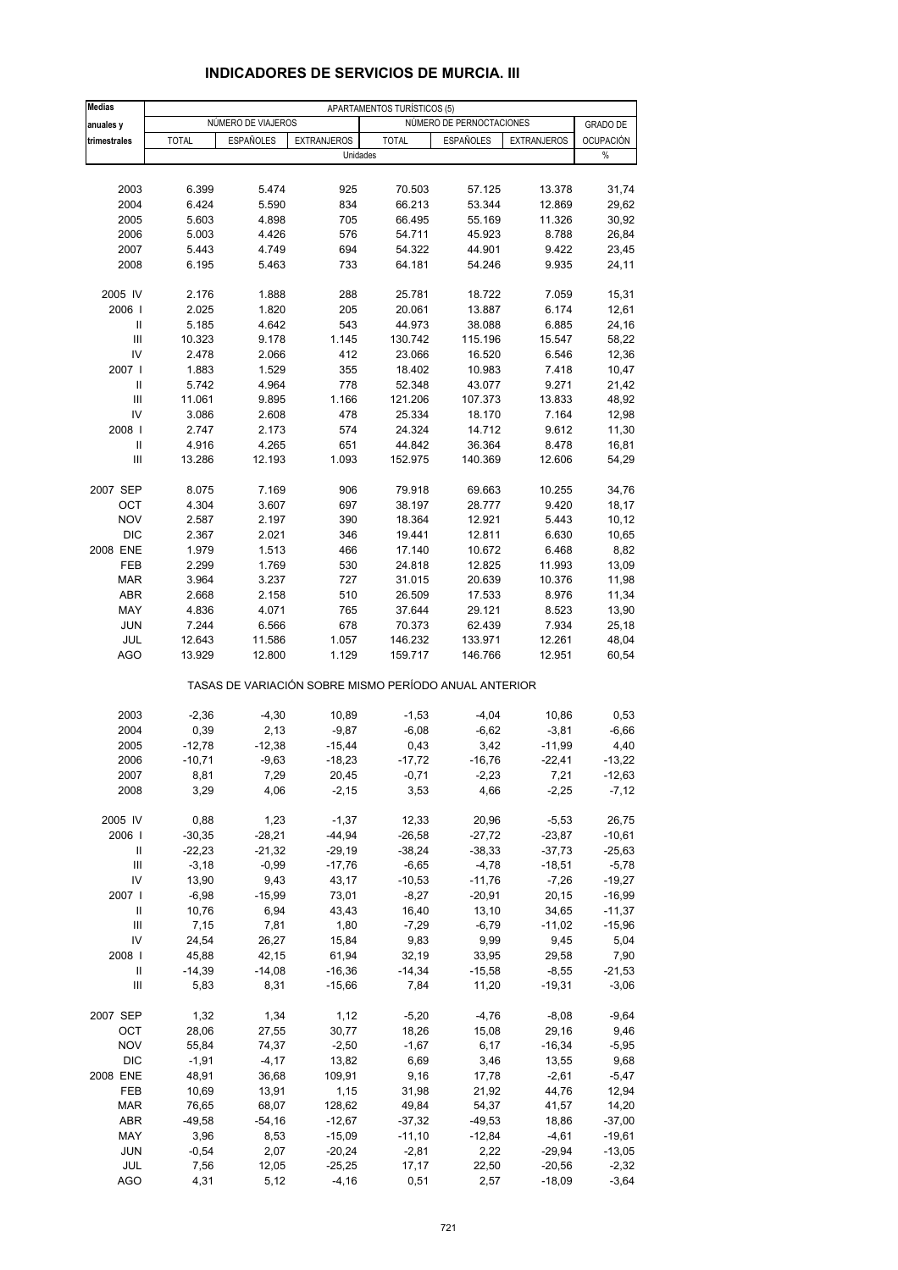| <b>Medias</b>                      |              |                    |                                                       | APARTAMENTOS TURÍSTICOS (5) |                          |                    |                  |
|------------------------------------|--------------|--------------------|-------------------------------------------------------|-----------------------------|--------------------------|--------------------|------------------|
| anuales y                          |              | NUMERO DE VIAJEROS |                                                       |                             | NÚMERO DE PERNOCTACIONES |                    | <b>GRADO DE</b>  |
| trimestrales                       | <b>TOTAL</b> | <b>ESPAÑOLES</b>   | <b>EXTRANJEROS</b>                                    | <b>TOTAL</b>                | ESPAÑOLES                | <b>EXTRANJEROS</b> | <b>OCUPACIÓN</b> |
|                                    |              |                    | Unidades                                              |                             |                          |                    | $\%$             |
|                                    |              |                    |                                                       |                             |                          |                    |                  |
| 2003                               | 6.399        | 5.474              | 925                                                   | 70.503                      | 57.125                   | 13.378             | 31,74            |
| 2004                               | 6.424        | 5.590              | 834                                                   | 66.213                      | 53.344                   | 12.869             | 29,62            |
| 2005                               | 5.603        | 4.898              | 705                                                   | 66.495                      | 55.169                   | 11.326             | 30,92            |
| 2006                               | 5.003        | 4.426              | 576                                                   | 54.711                      | 45.923                   | 8.788              | 26,84            |
| 2007                               | 5.443        | 4.749              | 694                                                   | 54.322                      | 44.901                   | 9.422              | 23,45            |
| 2008                               | 6.195        | 5.463              | 733                                                   | 64.181                      | 54.246                   | 9.935              | 24,11            |
| 2005 IV                            | 2.176        | 1.888              | 288                                                   | 25.781                      | 18.722                   | 7.059              | 15,31            |
| 2006                               | 2.025        | 1.820              | 205                                                   | 20.061                      | 13.887                   | 6.174              | 12,61            |
| Ш                                  | 5.185        | 4.642              | 543                                                   | 44.973                      | 38.088                   | 6.885              | 24,16            |
| $\ensuremath{\mathsf{III}}\xspace$ | 10.323       | 9.178              | 1.145                                                 | 130.742                     | 115.196                  | 15.547             | 58,22            |
| IV                                 | 2.478        | 2.066              | 412                                                   | 23.066                      | 16.520                   | 6.546              | 12,36            |
| 2007 l                             | 1.883        | 1.529              | 355                                                   | 18.402                      | 10.983                   | 7.418              | 10,47            |
| Ш                                  | 5.742        | 4.964              | 778                                                   | 52.348                      | 43.077                   | 9.271              | 21,42            |
| Ш                                  | 11.061       | 9.895              | 1.166                                                 | 121.206                     | 107.373                  | 13.833             | 48,92            |
| IV                                 | 3.086        | 2.608              | 478                                                   | 25.334                      | 18.170                   | 7.164              | 12,98            |
| 2008                               | 2.747        | 2.173              | 574                                                   | 24.324                      | 14.712                   | 9.612              | 11,30            |
| $\mathbf{II}$                      | 4.916        | 4.265              | 651                                                   | 44.842                      | 36.364                   | 8.478              | 16,81            |
| Ш                                  | 13.286       | 12.193             | 1.093                                                 | 152.975                     | 140.369                  | 12.606             | 54,29            |
| 2007 SEP                           | 8.075        | 7.169              | 906                                                   | 79.918                      | 69.663                   | 10.255             | 34,76            |
| ОСТ                                | 4.304        | 3.607              | 697                                                   | 38.197                      | 28.777                   | 9.420              | 18,17            |
| <b>NOV</b>                         | 2.587        | 2.197              | 390                                                   | 18.364                      | 12.921                   | 5.443              | 10, 12           |
| <b>DIC</b>                         | 2.367        | 2.021              | 346                                                   | 19.441                      | 12.811                   | 6.630              | 10,65            |
| 2008 ENE                           | 1.979        | 1.513              | 466                                                   | 17.140                      | 10.672                   | 6.468              | 8,82             |
| FEB                                | 2.299        | 1.769              | 530                                                   | 24.818                      | 12.825                   | 11.993             | 13,09            |
| <b>MAR</b>                         | 3.964        | 3.237              | 727                                                   | 31.015                      | 20.639                   | 10.376             | 11,98            |
| <b>ABR</b>                         | 2.668        | 2.158              | 510                                                   | 26.509                      | 17.533                   | 8.976              | 11,34            |
| MAY                                | 4.836        | 4.071              | 765                                                   | 37.644                      | 29.121                   | 8.523              | 13,90            |
| <b>JUN</b>                         | 7.244        | 6.566              | 678                                                   | 70.373                      | 62.439                   | 7.934              | 25,18            |
| JUL                                | 12.643       | 11.586             | 1.057                                                 | 146.232                     | 133.971                  | 12.261             | 48,04            |
| AGO                                | 13.929       | 12.800             | 1.129                                                 | 159.717                     | 146.766                  | 12.951             | 60,54            |
|                                    |              |                    | TASAS DE VARIACIÓN SOBRE MISMO PERÍODO ANUAL ANTERIOR |                             |                          |                    |                  |
| 2003                               | $-2,36$      | $-4,30$            | 10,89                                                 | $-1,53$                     | $-4,04$                  | 10,86              | 0,53             |
| 2004                               | 0,39         | 2,13               | $-9,87$                                               | $-6,08$                     | $-6,62$                  | $-3,81$            | $-6,66$          |
| 2005                               | $-12,78$     | $-12,38$           | $-15,44$                                              | 0,43                        | 3,42                     | $-11,99$           | 4,40             |
| 2006                               | $-10,71$     | $-9,63$            | $-18,23$                                              | $-17,72$                    | $-16,76$                 | $-22,41$           | $-13,22$         |
| 2007                               | 8,81         | 7,29               | 20,45                                                 | -0,71                       | $-2,23$                  | 7,21               | $-12,63$         |
| 2008                               | 3,29         | 4,06               | $-2,15$                                               | 3,53                        | 4,66                     | $-2,25$            | $-7,12$          |
| 2005 IV                            | 0,88         | 1,23               | $-1,37$                                               | 12,33                       | 20,96                    | $-5,53$            | 26,75            |
| 2006                               | $-30,35$     | $-28,21$           | $-44,94$                                              | $-26,58$                    | $-27,72$                 | $-23,87$           | $-10,61$         |
| Ш                                  | $-22,23$     | $-21,32$           | $-29,19$                                              | $-38,24$                    | $-38,33$                 | $-37,73$           | $-25,63$         |
| $\mathsf{III}$                     | $-3,18$      | $-0,99$            | $-17,76$                                              | $-6,65$                     | $-4,78$                  | $-18,51$           | $-5,78$          |
| IV                                 | 13,90        | 9,43               | 43,17                                                 | $-10,53$                    | $-11,76$                 | $-7,26$            | $-19,27$         |
| 2007 l                             | $-6,98$      | $-15,99$           | 73,01                                                 | $-8,27$                     | $-20,91$                 | 20,15              | $-16,99$         |
| Ш                                  | 10,76        | 6,94               | 43,43                                                 | 16,40                       | 13,10                    | 34,65              | $-11,37$         |
| Ш                                  | 7,15         | 7,81               | 1,80                                                  | $-7,29$                     | $-6,79$                  | $-11,02$           | $-15,96$         |
| IV                                 | 24,54        | 26,27              | 15,84                                                 | 9,83                        | 9,99                     | 9,45               | 5,04             |
| 2008                               | 45,88        | 42,15              | 61,94                                                 | 32,19                       | 33,95                    | 29,58              | 7,90             |
| Ш                                  | $-14,39$     | $-14,08$           | $-16,36$                                              | $-14,34$                    | $-15,58$                 | $-8,55$            | $-21,53$         |
| $\ensuremath{\mathsf{III}}\xspace$ | 5,83         | 8,31               | $-15,66$                                              | 7,84                        | 11,20                    | $-19,31$           | $-3,06$          |
| 2007 SEP                           | 1,32         | 1,34               | 1,12                                                  | $-5,20$                     | $-4,76$                  | $-8,08$            | $-9,64$          |
| OCT                                | 28,06        | 27,55              | 30,77                                                 | 18,26                       | 15,08                    | 29,16              | 9,46             |
| <b>NOV</b>                         | 55,84        | 74,37              | $-2,50$                                               | $-1,67$                     | 6,17                     | $-16,34$           | $-5,95$          |
| <b>DIC</b>                         | $-1,91$      | $-4, 17$           | 13,82                                                 | 6,69                        | 3,46                     | 13,55              | 9,68             |
| 2008 ENE                           | 48,91        | 36,68              | 109,91                                                | 9,16                        | 17,78                    | $-2,61$            | $-5,47$          |
| FEB                                | 10,69        | 13,91              | 1,15                                                  | 31,98                       | 21,92                    | 44,76              | 12,94            |
| <b>MAR</b>                         | 76,65        | 68,07              | 128,62                                                | 49,84                       | 54,37                    | 41,57              | 14,20            |
| ABR                                | $-49,58$     | $-54,16$           | $-12,67$                                              | $-37,32$                    | $-49,53$                 | 18,86              | $-37,00$         |
| MAY                                | 3,96         | 8,53               | $-15,09$                                              | $-11,10$                    | $-12,84$                 | $-4,61$            | $-19,61$         |
| JUN                                | $-0,54$      | 2,07               | $-20,24$                                              | $-2,81$                     | 2,22                     | $-29,94$           | $-13,05$         |
| JUL                                | 7,56         | 12,05              | $-25,25$                                              | 17,17                       | 22,50                    | $-20,56$           | $-2,32$          |
| <b>AGO</b>                         | 4,31         | 5,12               | $-4,16$                                               | 0,51                        | 2,57                     | $-18,09$           | $-3,64$          |

#### **INDICADORES DE SERVICIOS DE MURCIA. III**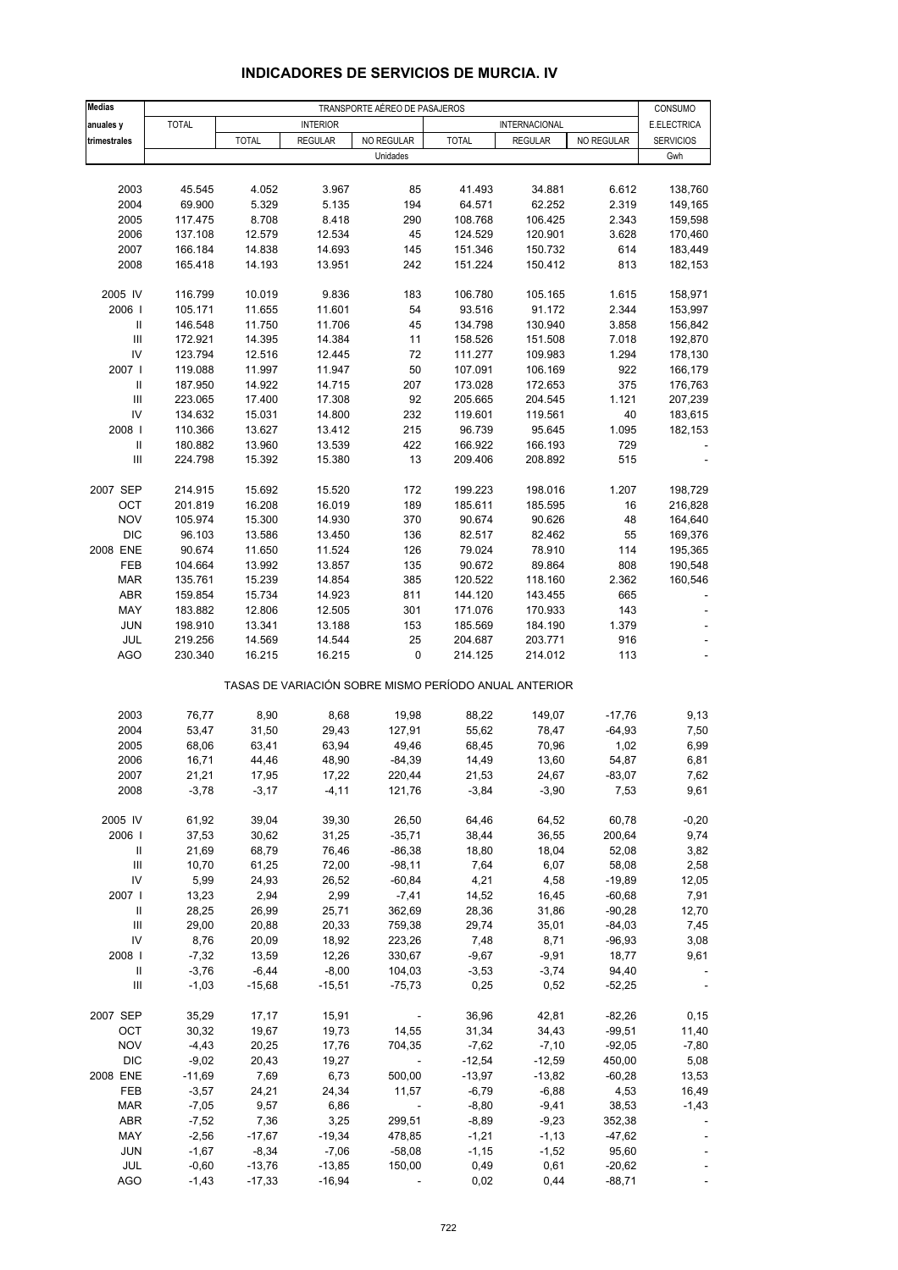| <b>Medias</b>                           | TRANSPORTE AÉREO DE PASAJEROS |                  |                  |                          |                                                       |                    |                 |                        |
|-----------------------------------------|-------------------------------|------------------|------------------|--------------------------|-------------------------------------------------------|--------------------|-----------------|------------------------|
| anuales y                               | <b>TOTAL</b>                  |                  | <b>INTERIOR</b>  |                          |                                                       | INTERNACIONAL      |                 | CONSUMO<br>E.ELECTRICA |
| trimestrales                            |                               | <b>TOTAL</b>     | <b>REGULAR</b>   | NO REGULAR               | <b>TOTAL</b>                                          | <b>REGULAR</b>     | NO REGULAR      | <b>SERVICIOS</b>       |
|                                         |                               |                  |                  | Unidades                 |                                                       |                    |                 | Gwh                    |
|                                         |                               |                  |                  |                          |                                                       |                    |                 |                        |
| 2003                                    | 45.545                        | 4.052            | 3.967            | 85                       | 41.493                                                | 34.881             | 6.612           | 138,760                |
| 2004                                    | 69.900                        | 5.329            | 5.135            | 194                      | 64.571                                                | 62.252             | 2.319           | 149,165                |
| 2005                                    | 117.475                       | 8.708            | 8.418            | 290<br>45                | 108.768                                               | 106.425            | 2.343           | 159,598                |
| 2006<br>2007                            | 137.108<br>166.184            | 12.579<br>14.838 | 12.534<br>14.693 | 145                      | 124.529<br>151.346                                    | 120.901<br>150.732 | 3.628<br>614    | 170,460<br>183,449     |
| 2008                                    | 165.418                       | 14.193           | 13.951           | 242                      | 151.224                                               | 150.412            | 813             | 182,153                |
|                                         |                               |                  |                  |                          |                                                       |                    |                 |                        |
| 2005 IV                                 | 116.799                       | 10.019           | 9.836            | 183                      | 106.780                                               | 105.165            | 1.615           | 158,971                |
| 2006                                    | 105.171                       | 11.655           | 11.601           | 54                       | 93.516                                                | 91.172             | 2.344           | 153,997                |
| $\mathbf{II}$                           | 146.548                       | 11.750           | 11.706           | 45                       | 134.798                                               | 130.940            | 3.858           | 156,842                |
| $\mathbf{III}$                          | 172.921                       | 14.395           | 14.384           | 11                       | 158.526                                               | 151.508            | 7.018           | 192,870                |
| IV                                      | 123.794                       | 12.516           | 12.445           | 72                       | 111.277                                               | 109.983            | 1.294           | 178,130                |
| 2007 l                                  | 119.088                       | 11.997           | 11.947           | 50                       | 107.091                                               | 106.169            | 922             | 166,179                |
| $\mathbf{II}$                           | 187.950                       | 14.922           | 14.715           | 207                      | 173.028                                               | 172.653            | 375             | 176,763                |
| $\mathbf{III}$<br>IV                    | 223.065<br>134.632            | 17.400<br>15.031 | 17.308<br>14.800 | 92<br>232                | 205.665<br>119.601                                    | 204.545<br>119.561 | 1.121<br>40     | 207,239<br>183,615     |
| 2008                                    | 110.366                       | 13.627           | 13.412           | 215                      | 96.739                                                | 95.645             | 1.095           | 182,153                |
| $\ensuremath{\mathsf{II}}$              | 180.882                       | 13.960           | 13.539           | 422                      | 166.922                                               | 166.193            | 729             |                        |
| $\mathbf{III}$                          | 224.798                       | 15.392           | 15.380           | 13                       | 209.406                                               | 208.892            | 515             |                        |
|                                         |                               |                  |                  |                          |                                                       |                    |                 |                        |
| 2007 SEP                                | 214.915                       | 15.692           | 15.520           | 172                      | 199.223                                               | 198.016            | 1.207           | 198,729                |
| ОСТ                                     | 201.819                       | 16.208           | 16.019           | 189                      | 185.611                                               | 185.595            | 16              | 216,828                |
| <b>NOV</b>                              | 105.974                       | 15.300           | 14.930           | 370                      | 90.674                                                | 90.626             | 48              | 164,640                |
| <b>DIC</b>                              | 96.103                        | 13.586           | 13.450           | 136                      | 82.517                                                | 82.462             | 55              | 169,376                |
| 2008 ENE                                | 90.674                        | 11.650           | 11.524           | 126                      | 79.024                                                | 78.910             | 114             | 195,365                |
| FEB                                     | 104.664                       | 13.992           | 13.857           | 135<br>385               | 90.672                                                | 89.864             | 808             | 190,548                |
| <b>MAR</b><br>ABR                       | 135.761<br>159.854            | 15.239<br>15.734 | 14.854<br>14.923 | 811                      | 120.522<br>144.120                                    | 118.160<br>143.455 | 2.362<br>665    | 160,546                |
| MAY                                     | 183.882                       | 12.806           | 12.505           | 301                      | 171.076                                               | 170.933            | 143             |                        |
| <b>JUN</b>                              | 198.910                       | 13.341           | 13.188           | 153                      | 185.569                                               | 184.190            | 1.379           |                        |
| JUL                                     | 219.256                       | 14.569           | 14.544           | 25                       | 204.687                                               | 203.771            | 916             |                        |
| AGO                                     | 230.340                       | 16.215           | 16.215           | 0                        | 214.125                                               | 214.012            | 113             |                        |
|                                         |                               |                  |                  |                          | TASAS DE VARIACIÓN SOBRE MISMO PERÍODO ANUAL ANTERIOR |                    |                 |                        |
| 2003                                    | 76,77                         | 8,90             | 8,68             | 19,98                    | 88,22                                                 | 149,07             | $-17,76$        | 9,13                   |
| 2004                                    | 53,47                         | 31,50            | 29,43            | 127,91                   | 55,62                                                 | 78,47              | $-64,93$        | 7,50                   |
| 2005                                    | 68,06                         | 63,41            | 63,94            | 49,46                    | 68,45                                                 | 70,96              | 1,02            | 6,99                   |
| 2006                                    | 16,71                         | 44,46            | 48,90            | $-84,39$                 | 14,49                                                 | 13,60              | 54,87           | 6,81                   |
| 2007                                    | 21,21                         | 17,95            | 17,22            | 220,44                   | 21,53                                                 | 24,67              | $-83,07$        | 7,62                   |
| 2008                                    | $-3,78$                       | $-3,17$          | $-4, 11$         | 121,76                   | $-3,84$                                               | $-3,90$            | 7,53            | 9,61                   |
|                                         |                               |                  |                  |                          |                                                       |                    |                 |                        |
| 2005 IV                                 | 61,92                         | 39,04            | 39,30            | 26,50                    | 64,46                                                 | 64,52              | 60,78           | $-0,20$                |
| 2006                                    | 37,53                         | 30,62            | 31,25            | $-35,71$                 | 38,44                                                 | 36,55              | 200,64          | 9,74                   |
| Ш<br>$\ensuremath{\mathsf{III}}\xspace$ | 21,69<br>10,70                | 68,79<br>61,25   | 76,46<br>72,00   | $-86,38$<br>$-98,11$     | 18,80<br>7,64                                         | 18,04<br>6,07      | 52,08<br>58,08  | 3,82<br>2,58           |
| IV                                      | 5,99                          | 24,93            | 26,52            | $-60,84$                 | 4,21                                                  | 4,58               | $-19,89$        | 12,05                  |
| 2007 l                                  | 13,23                         | 2,94             | 2,99             | $-7,41$                  | 14,52                                                 | 16,45              | $-60,68$        | 7,91                   |
| $\, \parallel$                          | 28,25                         | 26,99            | 25,71            | 362,69                   | 28,36                                                 | 31,86              | $-90,28$        | 12,70                  |
| $\ensuremath{\mathsf{III}}\xspace$      | 29,00                         | 20,88            | 20,33            | 759,38                   | 29,74                                                 | 35,01              | $-84,03$        | 7,45                   |
| IV                                      | 8,76                          | 20,09            | 18,92            | 223,26                   | 7,48                                                  | 8,71               | $-96,93$        | 3,08                   |
| 2008                                    | $-7,32$                       | 13,59            | 12,26            | 330,67                   | $-9,67$                                               | $-9,91$            | 18,77           | 9,61                   |
| $\, \parallel$                          | $-3,76$                       | $-6,44$          | $-8,00$          | 104,03                   | $-3,53$                                               | $-3,74$            | 94,40           |                        |
| $\mathop{\mathrm{III}}\nolimits$        | $-1,03$                       | $-15,68$         | $-15,51$         | $-75,73$                 | 0,25                                                  | 0,52               | $-52,25$        |                        |
| 2007 SEP                                | 35,29                         | 17,17            | 15,91            |                          | 36,96                                                 | 42,81              | $-82,26$        | 0, 15                  |
| OCT                                     | 30,32                         | 19,67            | 19,73            | 14,55                    | 31,34                                                 | 34,43              | $-99,51$        | 11,40                  |
| <b>NOV</b>                              | $-4,43$                       | 20,25            | 17,76            | 704,35                   | $-7,62$                                               | $-7,10$            | $-92,05$        | $-7,80$                |
| <b>DIC</b>                              | $-9,02$                       | 20,43            | 19,27            | $\overline{\phantom{a}}$ | $-12,54$                                              | $-12,59$           | 450,00          | 5,08                   |
| 2008 ENE                                | $-11,69$                      | 7,69             | 6,73             | 500,00                   | $-13,97$                                              | $-13,82$           | $-60,28$        | 13,53                  |
| FEB                                     | $-3,57$                       | 24,21            | 24,34            | 11,57                    | $-6,79$                                               | $-6,88$            | 4,53            | 16,49                  |
| <b>MAR</b><br>ABR                       | $-7,05$<br>$-7,52$            | 9,57<br>7,36     | 6,86<br>3,25     | 299,51                   | $-8,80$<br>$-8,89$                                    | $-9,41$<br>$-9,23$ | 38,53<br>352,38 | $-1,43$                |
| MAY                                     | $-2,56$                       | $-17,67$         | $-19,34$         | 478,85                   | $-1,21$                                               | $-1, 13$           | $-47,62$        |                        |
| <b>JUN</b>                              | $-1,67$                       | $-8,34$          | $-7,06$          | $-58,08$                 | $-1,15$                                               | $-1,52$            | 95,60           |                        |
| JUL                                     | $-0,60$                       | $-13,76$         | $-13,85$         | 150,00                   | 0,49                                                  | 0,61               | $-20,62$        |                        |
| <b>AGO</b>                              | $-1,43$                       | $-17,33$         | $-16,94$         |                          | 0,02                                                  | 0,44               | $-88,71$        |                        |

#### **INDICADORES DE SERVICIOS DE MURCIA. IV**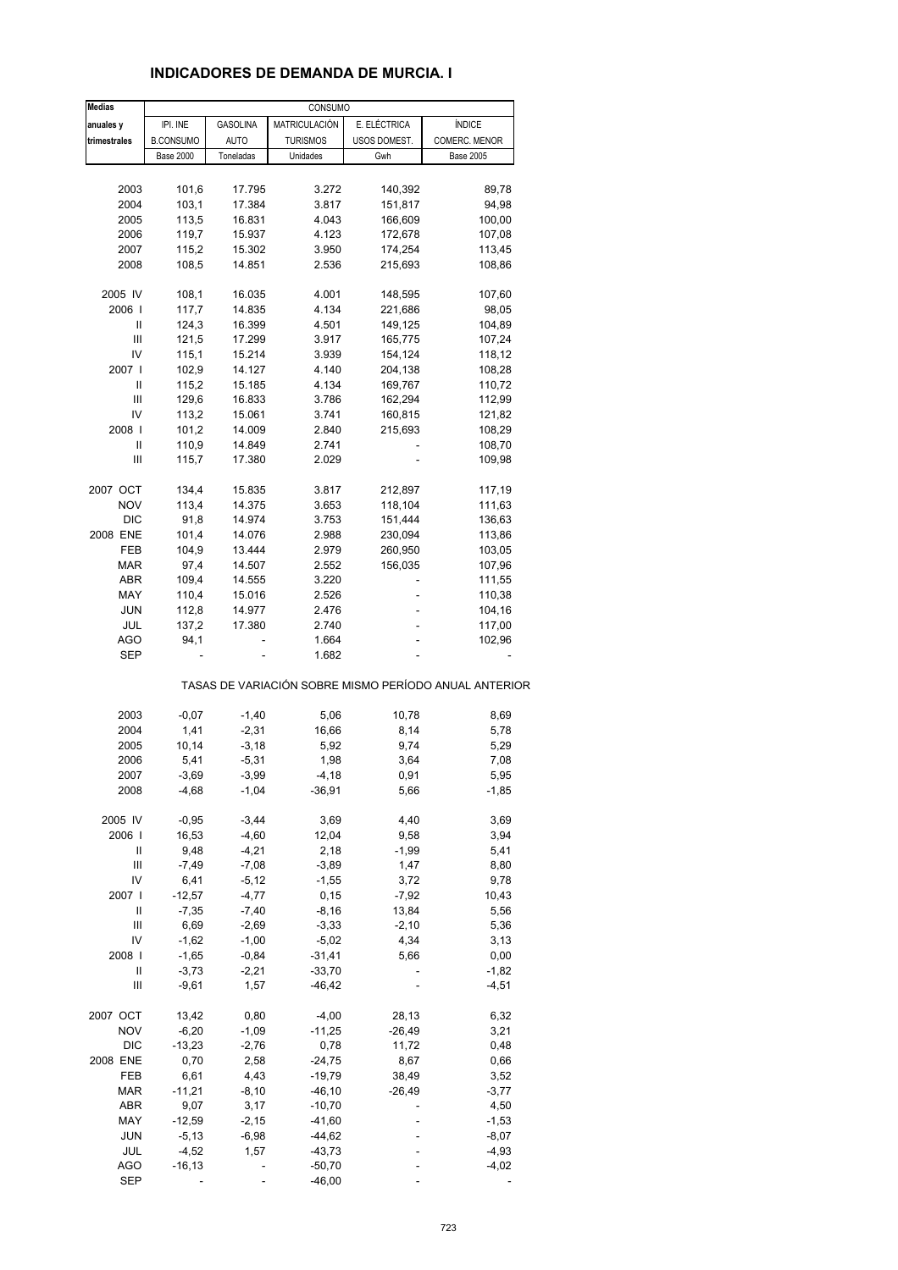| anuales y<br>trimestrales<br>2003<br>2004<br>2005<br>2006 | IPI. INE<br><b>B.CONSUMO</b><br><b>Base 2000</b><br>101,6 | <b>GASOLINA</b><br>AUTO<br>Toneladas | MATRICULACIÓN<br><b>TURISMOS</b><br>Unidades | E. ELÉCTRICA<br>USOS DOMEST.<br>Gwh | <b>ÍNDICE</b><br>COMERC. MENOR<br><b>Base 2005</b>    |
|-----------------------------------------------------------|-----------------------------------------------------------|--------------------------------------|----------------------------------------------|-------------------------------------|-------------------------------------------------------|
|                                                           |                                                           |                                      |                                              |                                     |                                                       |
|                                                           |                                                           |                                      |                                              |                                     |                                                       |
|                                                           |                                                           |                                      |                                              |                                     |                                                       |
|                                                           |                                                           |                                      |                                              |                                     |                                                       |
|                                                           |                                                           | 17.795                               | 3.272                                        | 140,392                             | 89,78                                                 |
|                                                           | 103,1                                                     | 17.384                               | 3.817                                        | 151,817                             | 94,98                                                 |
|                                                           | 113,5                                                     | 16.831                               | 4.043                                        | 166,609                             | 100,00                                                |
|                                                           | 119,7                                                     | 15.937                               | 4.123                                        | 172,678                             | 107,08                                                |
| 2007                                                      | 115,2                                                     | 15.302                               | 3.950                                        | 174,254                             |                                                       |
|                                                           |                                                           |                                      |                                              |                                     | 113,45                                                |
| 2008                                                      | 108,5                                                     | 14.851                               | 2.536                                        | 215,693                             | 108,86                                                |
| 2005 IV                                                   | 108,1                                                     | 16.035                               | 4.001                                        | 148,595                             | 107,60                                                |
| 2006                                                      | 117,7                                                     | 14.835                               | 4.134                                        | 221,686                             | 98,05                                                 |
| Ш                                                         | 124,3                                                     | 16.399                               | 4.501                                        | 149,125                             | 104,89                                                |
| Ш                                                         | 121,5                                                     | 17.299                               | 3.917                                        | 165,775                             | 107,24                                                |
| IV                                                        | 115,1                                                     | 15.214                               | 3.939                                        | 154,124                             | 118,12                                                |
|                                                           |                                                           |                                      |                                              |                                     |                                                       |
| 2007                                                      | 102,9                                                     | 14.127                               | 4.140                                        | 204,138                             | 108,28                                                |
| Ш                                                         | 115,2                                                     | 15.185                               | 4.134                                        | 169,767                             | 110,72                                                |
| Ш                                                         | 129,6                                                     | 16.833                               | 3.786                                        | 162,294                             | 112,99                                                |
| IV                                                        | 113,2                                                     | 15.061                               | 3.741                                        | 160,815                             | 121,82                                                |
| 2008                                                      | 101,2                                                     | 14.009                               | 2.840                                        | 215,693                             | 108,29                                                |
| Ш                                                         | 110,9                                                     | 14.849                               | 2.741                                        |                                     | 108,70                                                |
|                                                           |                                                           |                                      |                                              |                                     |                                                       |
| Ш                                                         | 115,7                                                     | 17.380                               | 2.029                                        |                                     | 109,98                                                |
| 2007 OCT                                                  | 134,4                                                     | 15.835                               | 3.817                                        | 212,897                             | 117,19                                                |
| <b>NOV</b>                                                | 113,4                                                     | 14.375                               | 3.653                                        | 118,104                             | 111,63                                                |
| <b>DIC</b>                                                | 91,8                                                      | 14.974                               | 3.753                                        | 151,444                             | 136,63                                                |
| 2008 ENE                                                  | 101,4                                                     | 14.076                               | 2.988                                        |                                     |                                                       |
|                                                           |                                                           |                                      |                                              | 230,094                             | 113,86                                                |
| FEB                                                       | 104,9                                                     | 13.444                               | 2.979                                        | 260,950                             | 103,05                                                |
| <b>MAR</b>                                                | 97,4                                                      | 14.507                               | 2.552                                        | 156,035                             | 107,96                                                |
| ABR                                                       | 109,4                                                     | 14.555                               | 3.220                                        |                                     | 111,55                                                |
| MAY                                                       | 110,4                                                     | 15.016                               | 2.526                                        |                                     | 110,38                                                |
| <b>JUN</b>                                                | 112,8                                                     | 14.977                               | 2.476                                        | -                                   | 104,16                                                |
| JUL                                                       | 137,2                                                     | 17.380                               | 2.740                                        | ä,                                  | 117,00                                                |
|                                                           |                                                           |                                      |                                              |                                     |                                                       |
| AGO                                                       | 94,1                                                      |                                      | 1.664                                        |                                     | 102,96                                                |
| <b>SEP</b>                                                |                                                           |                                      | 1.682                                        |                                     |                                                       |
|                                                           |                                                           |                                      |                                              |                                     | TASAS DE VARIACIÓN SOBRE MISMO PERÍODO ANUAL ANTERIOR |
| 2003                                                      | $-0,07$                                                   | $-1,40$                              | 5,06                                         | 10,78                               | 8,69                                                  |
| 2004                                                      | 1,41                                                      | $-2,31$                              | 16,66                                        |                                     | 5,78                                                  |
|                                                           |                                                           |                                      |                                              | 8,14                                |                                                       |
| 2005                                                      | 10,14                                                     | $-3,18$                              | 5,92                                         | 9,74                                | 5,29                                                  |
| 2006                                                      | 5,41                                                      | $-5,31$                              | 1,98                                         | 3,64                                | 7,08                                                  |
| 2007                                                      | $-3,69$                                                   | $-3,99$                              | $-4,18$                                      | 0,91                                | 5,95                                                  |
| 2008                                                      | $-4,68$                                                   | $-1,04$                              | $-36,91$                                     | 5,66                                | $-1,85$                                               |
| 2005 IV                                                   | $-0,95$                                                   | $-3,44$                              | 3,69                                         | 4,40                                | 3,69                                                  |
|                                                           |                                                           |                                      |                                              |                                     |                                                       |
| 2006                                                      | 16,53                                                     | $-4,60$                              | 12,04                                        | 9,58                                | 3,94                                                  |
| Ш                                                         | 9,48                                                      | $-4,21$                              | 2,18                                         | $-1,99$                             | 5,41                                                  |
| Ш                                                         | $-7,49$                                                   | $-7,08$                              | $-3,89$                                      | 1,47                                | 8,80                                                  |
| IV                                                        | 6,41                                                      | $-5,12$                              | $-1,55$                                      | 3,72                                | 9,78                                                  |
| 2007                                                      | $-12,57$                                                  | $-4,77$                              | 0, 15                                        | $-7,92$                             | 10,43                                                 |
| Ш                                                         | $-7,35$                                                   | $-7,40$                              | $-8,16$                                      | 13,84                               | 5,56                                                  |
|                                                           |                                                           |                                      |                                              |                                     |                                                       |
| Ш                                                         | 6,69                                                      | $-2,69$                              | $-3,33$                                      | $-2,10$                             | 5,36                                                  |
| IV                                                        | $-1,62$                                                   | $-1,00$                              | $-5,02$                                      | 4,34                                | 3,13                                                  |
| 2008                                                      | $-1,65$                                                   | $-0,84$                              | $-31,41$                                     | 5,66                                | 0,00                                                  |
| Ш                                                         | $-3,73$                                                   | $-2,21$                              | $-33,70$                                     |                                     | $-1,82$                                               |
| Ш                                                         | $-9,61$                                                   | 1,57                                 | $-46, 42$                                    |                                     | $-4,51$                                               |
|                                                           |                                                           |                                      |                                              |                                     |                                                       |
| 2007 OCT                                                  | 13,42                                                     | 0,80                                 | $-4,00$                                      | 28,13                               | 6,32                                                  |
| <b>NOV</b>                                                | $-6,20$                                                   | $-1,09$                              | $-11,25$                                     | $-26,49$                            | 3,21                                                  |
|                                                           | $-13,23$                                                  | $-2,76$                              | 0,78                                         | 11,72                               | 0,48                                                  |
| <b>DIC</b>                                                | 0,70                                                      | 2,58                                 | $-24,75$                                     | 8,67                                | 0,66                                                  |
|                                                           |                                                           | 4,43                                 | $-19,79$                                     | 38,49                               | 3,52                                                  |
| FEB                                                       |                                                           |                                      |                                              |                                     |                                                       |
|                                                           | 6,61                                                      |                                      |                                              |                                     |                                                       |
| 2008 ENE<br>MAR                                           | $-11,21$                                                  | $-8,10$                              | $-46, 10$                                    | $-26,49$                            | $-3,77$                                               |
| ABR                                                       | 9,07                                                      | 3,17                                 | $-10,70$                                     |                                     | 4,50                                                  |
| MAY                                                       | $-12,59$                                                  | $-2,15$                              | $-41,60$                                     |                                     | $-1,53$                                               |
| JUN                                                       | $-5,13$                                                   | $-6,98$                              | $-44,62$                                     |                                     | $-8,07$                                               |
| JUL                                                       | $-4,52$                                                   | 1,57                                 | $-43,73$                                     |                                     | $-4,93$                                               |
| AGO                                                       | $-16, 13$                                                 |                                      | $-50,70$                                     |                                     | -4,02                                                 |

#### **INDICADORES DE DEMANDA DE MURCIA. I**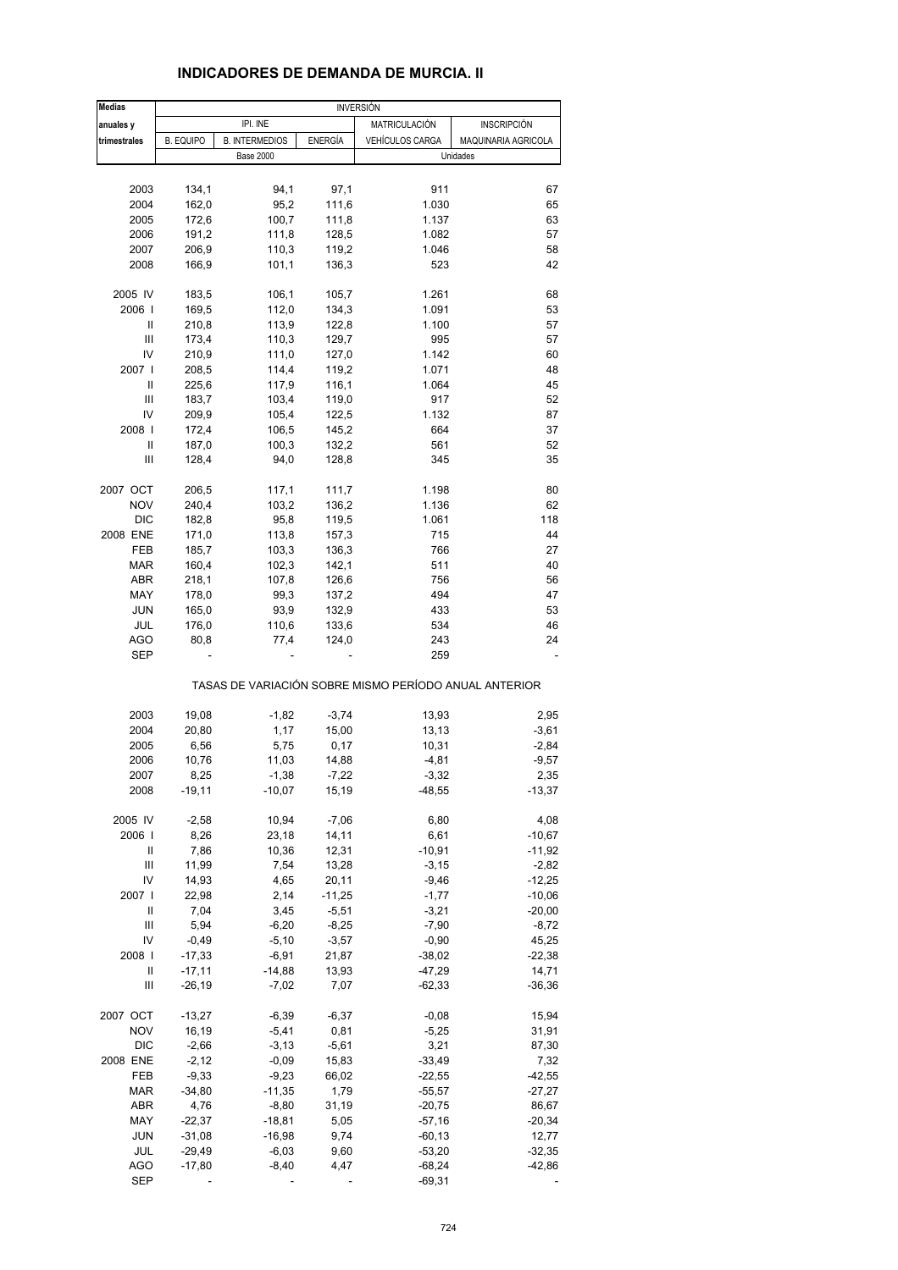| <b>Medias</b>     |                  |                       |                | <b>INVERSIÓN</b>                                      |                     |
|-------------------|------------------|-----------------------|----------------|-------------------------------------------------------|---------------------|
| anuales y         |                  | IPI. INE              |                | MATRICULACIÓN                                         | <b>INSCRIPCIÓN</b>  |
| trimestrales      | <b>B. EQUIPO</b> | <b>B. INTERMEDIOS</b> | <b>ENERGÍA</b> | VEHÍCULOS CARGA                                       | MAQUINARIA AGRICOLA |
|                   |                  | <b>Base 2000</b>      |                |                                                       | Unidades            |
|                   |                  |                       |                |                                                       |                     |
| 2003              | 134,1            | 94,1                  | 97,1           | 911                                                   | 67                  |
|                   |                  |                       |                |                                                       |                     |
| 2004              | 162,0            | 95,2                  | 111,6          | 1.030                                                 | 65                  |
| 2005              | 172,6            | 100,7                 | 111,8          | 1.137                                                 | 63                  |
| 2006              | 191,2            | 111,8                 | 128,5          | 1.082                                                 | 57                  |
| 2007              | 206,9            | 110,3                 | 119,2          | 1.046                                                 | 58                  |
| 2008              | 166,9            | 101,1                 | 136,3          | 523                                                   | 42                  |
|                   |                  |                       |                |                                                       |                     |
| 2005 IV           | 183,5            | 106,1                 | 105,7          | 1.261                                                 | 68                  |
| 2006              | 169,5            | 112,0                 | 134,3          | 1.091                                                 | 53                  |
| Ш                 | 210,8            | 113,9                 | 122,8          | 1.100                                                 | 57                  |
| Ш                 | 173,4            | 110,3                 | 129,7          | 995                                                   | 57                  |
| IV                | 210,9            | 111,0                 | 127,0          | 1.142                                                 | 60                  |
| 2007              | 208,5            | 114,4                 | 119,2          | 1.071                                                 | 48                  |
| Ш                 | 225,6            | 117,9                 | 116,1          | 1.064                                                 | 45                  |
| $\mathsf{III}$    | 183,7            | 103,4                 | 119,0          | 917                                                   | 52                  |
|                   |                  |                       |                |                                                       |                     |
| IV                | 209,9            | 105,4                 | 122,5          | 1.132                                                 | 87                  |
| 2008              | 172,4            | 106,5                 | 145,2          | 664                                                   | 37                  |
| Ш                 | 187,0            | 100,3                 | 132,2          | 561                                                   | 52                  |
| Ш                 | 128,4            | 94,0                  | 128,8          | 345                                                   | 35                  |
| 2007 OCT          | 206,5            | 117,1                 | 111,7          | 1.198                                                 | 80                  |
| <b>NOV</b>        | 240,4            | 103,2                 | 136,2          | 1.136                                                 | 62                  |
| <b>DIC</b>        | 182,8            | 95,8                  | 119,5          | 1.061                                                 | 118                 |
|                   |                  |                       |                |                                                       |                     |
| 2008 ENE          | 171,0            | 113,8                 | 157,3          | 715                                                   | 44                  |
| FEB               | 185,7            | 103,3                 | 136,3          | 766                                                   | 27                  |
| <b>MAR</b>        | 160,4            | 102,3                 | 142,1          | 511                                                   | 40                  |
| <b>ABR</b>        | 218,1            | 107,8                 | 126,6          | 756                                                   | 56                  |
| MAY               | 178,0            | 99,3                  | 137,2          | 494                                                   | 47                  |
| <b>JUN</b>        | 165,0            | 93,9                  | 132,9          | 433                                                   | 53                  |
| JUL               | 176,0            | 110,6                 | 133,6          | 534                                                   | 46                  |
|                   |                  |                       |                |                                                       |                     |
| AGO<br><b>SEP</b> | 80,8             | 77,4                  | 124,0          | 243<br>259                                            | 24                  |
|                   |                  |                       |                | TASAS DE VARIACIÓN SOBRE MISMO PERÍODO ANUAL ANTERIOR |                     |
|                   |                  |                       |                |                                                       |                     |
| 2003              | 19,08            | $-1,82$               | $-3,74$        | 13,93                                                 | 2,95                |
| 2004              | 20,80            | 1,17                  | 15,00          | 13,13                                                 | $-3,61$             |
| 2005              | 6,56             | 5,75                  | 0,17           | 10,31                                                 | $-2,84$             |
| 2006              | 10,76            | 11,03                 | 14,88          | $-4,81$                                               | $-9,57$             |
| 2007              | 8,25             | $-1,38$               | $-7,22$        | $-3,32$                                               | 2,35                |
| 2008              | $-19,11$         | $-10,07$              | 15,19          | $-48,55$                                              | $-13,37$            |
|                   |                  |                       |                |                                                       |                     |
| 2005 IV           | $-2,58$          | 10,94                 | $-7,06$        | 6,80                                                  | 4,08                |
| 2006              | 8,26             | 23,18                 | 14,11          | 6,61                                                  | $-10,67$            |
| Ш                 | 7,86             | 10,36                 | 12,31          | $-10,91$                                              | $-11,92$            |
| $\mathsf{III}$    | 11,99            | 7,54                  | 13,28          | $-3,15$                                               | $-2,82$             |
| IV                | 14,93            | 4,65                  | 20,11          | $-9,46$                                               | $-12,25$            |
| 2007 l            | 22,98            | 2,14                  | $-11,25$       | $-1,77$                                               | $-10,06$            |
| Ш                 | 7,04             | 3,45                  | $-5,51$        | $-3,21$                                               | $-20,00$            |
| Ш                 | 5,94             | $-6,20$               | $-8,25$        | $-7,90$                                               | $-8,72$             |
| IV                | $-0,49$          | $-5,10$               | $-3,57$        | $-0,90$                                               | 45,25               |
|                   |                  |                       |                |                                                       |                     |
| 2008              | $-17,33$         | $-6,91$               | 21,87          | $-38,02$                                              | $-22,38$            |
| Ш                 | $-17,11$         | $-14,88$              | 13,93          | $-47,29$                                              | 14,71               |
| Ш                 | $-26,19$         | $-7,02$               | 7,07           | $-62,33$                                              | $-36,36$            |
| 2007 OCT          | $-13,27$         | $-6,39$               | $-6,37$        | $-0,08$                                               | 15,94               |
| <b>NOV</b>        | 16,19            | $-5,41$               | 0,81           | $-5,25$                                               | 31,91               |
| <b>DIC</b>        | $-2,66$          | $-3, 13$              | $-5,61$        | 3,21                                                  | 87,30               |
| 2008 ENE          | $-2,12$          | $-0,09$               | 15,83          | $-33,49$                                              | 7,32                |
|                   |                  |                       |                |                                                       |                     |
| FEB               | $-9,33$          | $-9,23$               | 66,02          | $-22,55$                                              | $-42,55$            |
| MAR               | $-34,80$         | $-11,35$              | 1,79           | $-55,57$                                              | $-27,27$            |
| ABR               | 4,76             | $-8,80$               | 31,19          | $-20,75$                                              | 86,67               |
| MAY               | $-22,37$         | $-18,81$              | 5,05           | $-57,16$                                              | $-20,34$            |
| <b>JUN</b>        | $-31,08$         | $-16,98$              | 9,74           | $-60,13$                                              | 12,77               |
| JUL               | $-29,49$         | $-6,03$               | 9,60           | $-53,20$                                              | $-32,35$            |
|                   |                  |                       |                |                                                       |                     |
| <b>AGO</b>        | $-17,80$         | $-8,40$               | 4,47           | $-68,24$                                              | $-42,86$            |
| <b>SEP</b>        |                  |                       |                | $-69,31$                                              |                     |

# **INDICADORES DE DEMANDA DE MURCIA. II**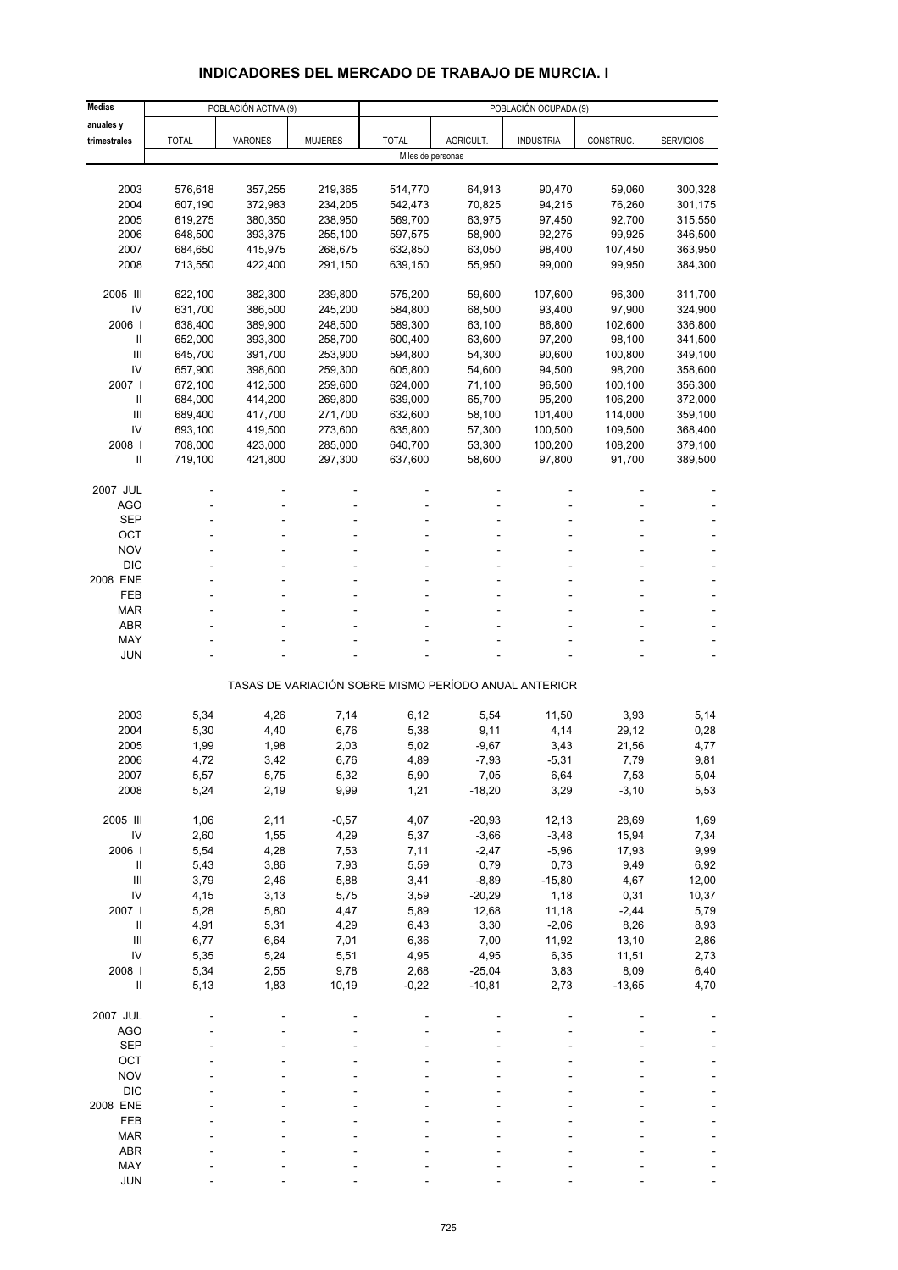# **INDICADORES DEL MERCADO DE TRABAJO DE MURCIA. I**

| <b>Medias</b>  |              | POBLACIÓN ACTIVA (9) |                |                   |           | POBLACIÓN OCUPADA (9)                                 |           |                  |
|----------------|--------------|----------------------|----------------|-------------------|-----------|-------------------------------------------------------|-----------|------------------|
| anuales y      |              |                      |                |                   |           |                                                       |           |                  |
| trimestrales   | <b>TOTAL</b> | <b>VARONES</b>       | <b>MUJERES</b> | <b>TOTAL</b>      | AGRICULT. | <b>INDUSTRIA</b>                                      | CONSTRUC. | <b>SERVICIOS</b> |
|                |              |                      |                | Miles de personas |           |                                                       |           |                  |
|                |              |                      |                |                   |           |                                                       |           |                  |
| 2003           | 576,618      | 357,255              | 219,365        | 514,770           | 64,913    | 90,470                                                | 59,060    | 300,328          |
| 2004           | 607,190      | 372,983              | 234,205        | 542,473           | 70,825    | 94,215                                                | 76,260    | 301,175          |
| 2005           | 619,275      | 380,350              | 238,950        | 569,700           | 63,975    | 97,450                                                | 92,700    | 315,550          |
| 2006           | 648,500      | 393,375              | 255,100        | 597,575           | 58,900    | 92,275                                                | 99,925    | 346,500          |
| 2007           | 684,650      | 415,975              | 268,675        | 632,850           | 63,050    | 98,400                                                | 107,450   | 363,950          |
| 2008           | 713,550      | 422,400              | 291,150        | 639,150           | 55,950    | 99,000                                                | 99,950    | 384,300          |
|                |              |                      |                |                   |           |                                                       |           |                  |
| 2005 III       | 622,100      | 382,300              | 239,800        | 575,200           | 59,600    | 107,600                                               | 96,300    | 311,700          |
| IV             | 631,700      | 386,500              | 245,200        | 584,800           | 68,500    | 93,400                                                | 97,900    | 324,900          |
| 2006           | 638,400      | 389,900              | 248,500        | 589,300           | 63,100    | 86,800                                                | 102,600   | 336,800          |
| $\mathbf{I}$   | 652,000      | 393,300              | 258,700        | 600,400           | 63,600    | 97,200                                                | 98,100    | 341,500          |
| $\mathbf{III}$ | 645,700      | 391,700              | 253,900        | 594,800           | 54,300    | 90,600                                                | 100,800   | 349,100          |
| IV             | 657,900      | 398,600              | 259,300        | 605,800           | 54,600    | 94,500                                                | 98,200    | 358,600          |
| 2007 l         | 672,100      | 412,500              | 259,600        | 624,000           | 71,100    | 96,500                                                | 100,100   | 356,300          |
| $\mathbf{I}$   | 684,000      | 414,200              | 269,800        | 639,000           | 65,700    | 95,200                                                | 106,200   | 372,000          |
| Ш              | 689,400      | 417,700              | 271,700        | 632,600           | 58,100    | 101,400                                               | 114,000   | 359,100          |
| IV             | 693,100      | 419,500              | 273,600        | 635,800           | 57,300    | 100,500                                               | 109,500   | 368,400          |
| 2008           | 708,000      | 423,000              | 285,000        | 640,700           | 53,300    | 100,200                                               | 108,200   | 379,100          |
| $\mathbf{I}$   | 719,100      | 421,800              | 297,300        | 637,600           | 58,600    | 97,800                                                | 91,700    | 389,500          |
|                |              |                      |                |                   |           |                                                       |           |                  |
| 2007 JUL       |              |                      |                |                   |           |                                                       |           |                  |
| <b>AGO</b>     |              |                      |                |                   |           |                                                       |           |                  |
| <b>SEP</b>     |              |                      |                |                   |           |                                                       |           |                  |
| OCT            |              |                      |                |                   |           |                                                       |           |                  |
| <b>NOV</b>     |              |                      |                |                   |           |                                                       |           |                  |
| <b>DIC</b>     |              |                      |                |                   |           |                                                       |           |                  |
| 2008 ENE       |              |                      |                |                   |           |                                                       |           |                  |
| FEB            |              |                      |                |                   |           |                                                       |           |                  |
| <b>MAR</b>     |              |                      |                |                   |           |                                                       |           |                  |
| <b>ABR</b>     |              |                      |                |                   |           |                                                       |           |                  |
| MAY            |              |                      |                |                   |           |                                                       |           |                  |
| <b>JUN</b>     |              |                      |                |                   |           |                                                       |           |                  |
|                |              |                      |                |                   |           |                                                       |           |                  |
|                |              |                      |                |                   |           | TASAS DE VARIACIÓN SOBRE MISMO PERÍODO ANUAL ANTERIOR |           |                  |
|                |              |                      |                |                   |           |                                                       |           |                  |
| 2003           | 5,34         | 4,26                 | 7,14           | 6,12              | 5,54      | 11,50                                                 | 3,93      | 5,14             |
| 2004           | 5,30         | 4,40                 | 6,76           | 5,38              | 9,11      | 4,14                                                  | 29,12     | 0,28             |
| 2005           | 1,99         | 1,98                 | 2,03           | 5,02              | $-9,67$   | 3,43                                                  | 21,56     | 4,77             |
| 2006           | 4,72         | 3,42                 | 6,76           | 4,89              | $-7,93$   | $-5,31$                                               | 7,79      | 9,81             |
| 2007           | 5,57         | 5,75                 | 5,32           | 5,90              | 7,05      | 6,64                                                  | 7,53      | 5,04             |
| 2008           | 5,24         | 2,19                 | 9,99           | 1,21              | $-18,20$  | 3,29                                                  | $-3,10$   | 5,53             |
|                |              |                      |                |                   |           |                                                       |           |                  |
| 2005 III       | 1,06         | 2,11                 | $-0,57$        | 4,07              | $-20,93$  | 12,13                                                 | 28,69     | 1,69             |
| IV             | 2,60         | 1,55                 | 4,29           | 5,37              | $-3,66$   | $-3,48$                                               | 15,94     | 7,34             |
| 2006           | 5,54         | 4,28                 | 7,53           | 7,11              | $-2,47$   | $-5,96$                                               | 17,93     | 9,99             |
| $\, \parallel$ | 5,43         | 3,86                 | 7,93           | 5,59              | 0,79      | 0,73                                                  | 9,49      | 6,92             |
| Ш              | 3,79         | 2,46                 | 5,88           | 3,41              | $-8,89$   | $-15,80$                                              | 4,67      | 12,00            |
| IV             | 4,15         | 3,13                 | 5,75           | 3,59              | $-20,29$  | 1,18                                                  | 0,31      | 10,37            |
| 2007 l         | 5,28         | 5,80                 | 4,47           | 5,89              | 12,68     | 11,18                                                 | $-2,44$   | 5,79             |
| $\, \parallel$ | 4,91         | 5,31                 | 4,29           | 6,43              | 3,30      | $-2,06$                                               | 8,26      | 8,93             |
| Ш              | 6,77         | 6,64                 | 7,01           | 6,36              | 7,00      | 11,92                                                 | 13,10     | 2,86             |
| IV             | 5,35         | 5,24                 | 5,51           | 4,95              | 4,95      | 6,35                                                  | 11,51     | 2,73             |
| 2008 l         | 5,34         | 2,55                 | 9,78           | 2,68              | $-25,04$  | 3,83                                                  | 8,09      | 6,40             |
| $\sf II$       | 5,13         | 1,83                 | 10,19          | $-0,22$           | $-10,81$  | 2,73                                                  | $-13,65$  | 4,70             |
|                |              |                      |                |                   |           |                                                       |           |                  |
| 2007 JUL       |              |                      |                |                   |           |                                                       |           |                  |
| <b>AGO</b>     |              |                      |                |                   |           |                                                       |           |                  |
| <b>SEP</b>     |              |                      |                |                   |           |                                                       |           |                  |
| OCT            |              |                      |                |                   |           |                                                       |           |                  |
| <b>NOV</b>     |              |                      |                |                   |           |                                                       |           |                  |
| <b>DIC</b>     |              |                      |                |                   |           |                                                       |           |                  |
| 2008 ENE       |              |                      |                |                   |           |                                                       |           |                  |
| FEB            |              |                      |                |                   |           |                                                       |           |                  |
| <b>MAR</b>     |              |                      |                |                   |           |                                                       |           |                  |
| ABR            |              |                      |                |                   |           |                                                       |           |                  |
| MAY            |              |                      |                |                   |           |                                                       |           |                  |
| <b>JUN</b>     |              |                      |                |                   |           |                                                       |           |                  |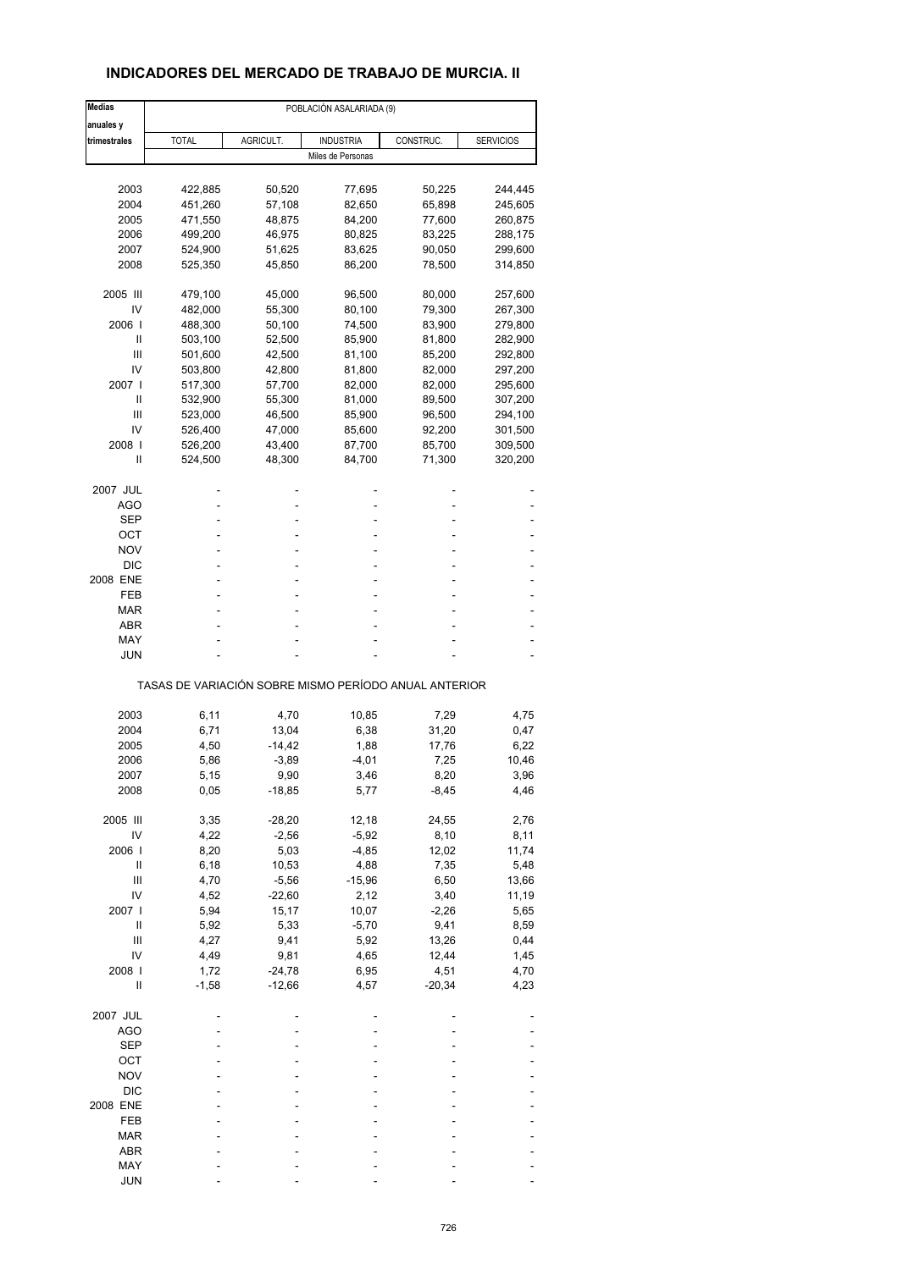# **INDICADORES DEL MERCADO DE TRABAJO DE MURCIA. II**

| <b>Medias</b>   |              |           | POBLACIÓN ASALARIADA (9)                              |           |                  |
|-----------------|--------------|-----------|-------------------------------------------------------|-----------|------------------|
| anuales y       |              |           |                                                       |           |                  |
| trimestrales    | <b>TOTAL</b> | AGRICULT. | <b>INDUSTRIA</b>                                      | CONSTRUC. | <b>SERVICIOS</b> |
|                 |              |           | Miles de Personas                                     |           |                  |
|                 |              |           |                                                       |           |                  |
| 2003            | 422,885      | 50,520    | 77,695                                                | 50,225    | 244,445          |
| 2004            | 451,260      | 57,108    | 82,650                                                | 65,898    | 245,605          |
| 2005            | 471,550      | 48,875    | 84,200                                                | 77,600    | 260,875          |
| 2006            | 499,200      | 46,975    | 80,825                                                | 83,225    | 288,175          |
| 2007            | 524,900      | 51,625    | 83,625                                                | 90,050    | 299,600          |
| 2008            | 525,350      | 45,850    | 86,200                                                | 78,500    | 314,850          |
| 2005 III        | 479,100      | 45,000    | 96,500                                                | 80,000    | 257,600          |
| IV              | 482,000      | 55,300    | 80,100                                                | 79,300    | 267,300          |
| 2006            | 488,300      | 50,100    | 74,500                                                | 83,900    | 279,800          |
| Ш               | 503,100      | 52,500    | 85,900                                                | 81,800    | 282,900          |
| Ш               | 501,600      | 42,500    | 81,100                                                | 85,200    | 292,800          |
| IV              |              |           |                                                       |           |                  |
|                 | 503,800      | 42,800    | 81,800                                                | 82,000    | 297,200          |
| 2007 I          | 517,300      | 57,700    | 82,000                                                | 82,000    | 295,600          |
| Ш               | 532,900      | 55,300    | 81,000                                                | 89,500    | 307,200          |
| Ш               | 523,000      | 46,500    | 85,900                                                | 96,500    | 294,100          |
| IV              | 526,400      | 47,000    | 85,600                                                | 92,200    | 301,500          |
| 2008            | 526,200      | 43,400    | 87,700                                                | 85,700    | 309,500          |
| Ш               | 524,500      | 48,300    | 84,700                                                | 71,300    | 320,200          |
|                 |              |           |                                                       |           |                  |
| 2007 JUL<br>AGO |              |           | ä,                                                    |           |                  |
|                 |              |           | L,                                                    |           |                  |
| <b>SEP</b>      |              |           |                                                       |           |                  |
| ОСТ             |              |           | ä,                                                    |           |                  |
| NOV             |              |           |                                                       |           |                  |
| <b>DIC</b>      |              |           |                                                       |           |                  |
| 2008 ENE        | ÷            |           | ä,                                                    |           |                  |
| FEB             |              |           | ۰                                                     |           |                  |
| MAR             |              |           |                                                       |           |                  |
| ABR             |              |           | ä,                                                    |           |                  |
|                 |              |           |                                                       |           |                  |
| MAY             |              |           |                                                       |           |                  |
| JUN             |              |           |                                                       |           |                  |
|                 |              |           | TASAS DE VARIACIÓN SOBRE MISMO PERÍODO ANUAL ANTERIOR |           |                  |
| 2003            | 6,11         | 4,70      | 10,85                                                 | 7,29      | 4,75             |
| 2004            | 6,71         | 13,04     | 6,38                                                  | 31,20     | 0,47             |
|                 |              |           |                                                       |           |                  |
| 2005            | 4,50         | $-14,42$  | 1,88                                                  | 17,76     | 6,22             |
| 2006            | 5,86         | $-3,89$   | $-4,01$                                               | 7,25      | 10,46            |
| 2007            | 5,15         | 9,90      | 3,46                                                  | 8,20      | 3,96             |
| 2008            | 0,05         | $-18,85$  | 5,77                                                  | $-8,45$   | 4,46             |
| 2005 III        | 3,35         | $-28,20$  | 12,18                                                 | 24,55     | 2,76             |
| IV              | 4,22         | $-2,56$   | $-5,92$                                               | 8,10      | 8,11             |
|                 |              |           |                                                       |           |                  |
| 2006            | 8,20         | 5,03      | $-4,85$                                               | 12,02     | 11,74            |
| Ш               | 6, 18        | 10,53     | 4,88                                                  | 7,35      | 5,48             |
| Ш               | 4,70         | $-5,56$   | $-15,96$                                              | 6,50      | 13,66            |
| IV              | 4,52         | $-22,60$  | 2,12                                                  | 3,40      | 11,19            |
| 2007 l          | 5,94         | 15,17     | 10,07                                                 | $-2,26$   | 5,65             |
| $\sf II$        | 5,92         | 5,33      | $-5,70$                                               | 9,41      | 8,59             |
| Ш               | 4,27         | 9,41      | 5,92                                                  | 13,26     | 0,44             |
| IV              | 4,49         | 9,81      | 4,65                                                  | 12,44     | 1,45             |
|                 |              |           |                                                       |           |                  |
| 2008            | 1,72         | $-24,78$  | 6,95                                                  | 4,51      | 4,70             |
| Ш               | $-1,58$      | $-12,66$  | 4,57                                                  | $-20,34$  | 4,23             |
| 2007 JUL        |              |           |                                                       |           |                  |
| AGO             |              |           |                                                       |           |                  |
| <b>SEP</b>      |              |           |                                                       |           |                  |
| OCT             |              |           |                                                       |           |                  |
| <b>NOV</b>      |              |           |                                                       |           |                  |
|                 |              |           |                                                       |           |                  |
| <b>DIC</b>      |              |           |                                                       |           |                  |
| 2008 ENE        |              |           |                                                       |           |                  |
| FEB             |              |           |                                                       |           |                  |
| MAR             |              |           |                                                       |           |                  |
| ABR             |              |           |                                                       |           |                  |
| MAY             |              |           |                                                       |           |                  |
| <b>JUN</b>      |              |           |                                                       |           |                  |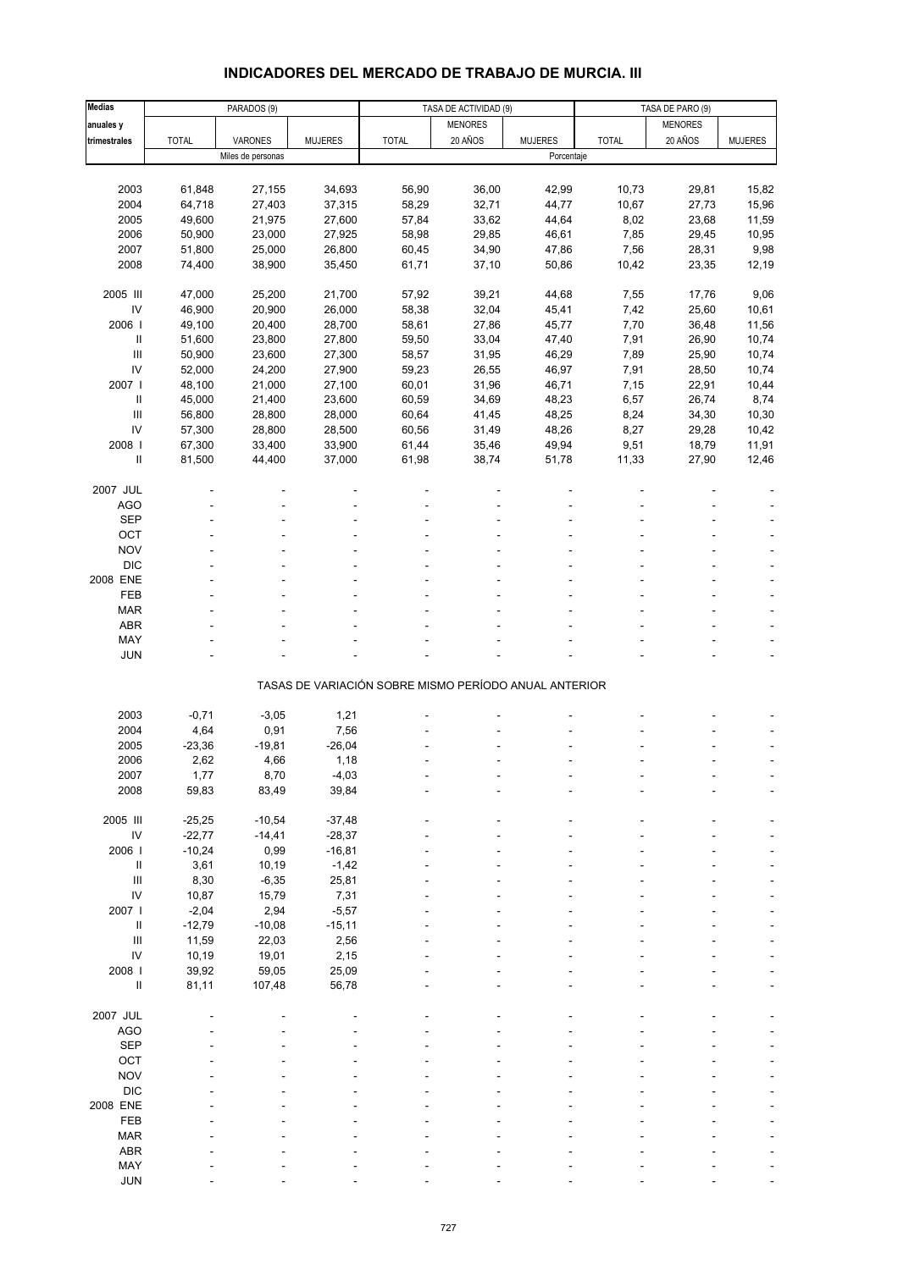# **INDICADORES DEL MERCADO DE TRABAJO DE MURCIA. III**

| <b>Medias</b>              |              | PARADOS (9)       |                |                                                       | TASA DE ACTIVIDAD (9) |                |              | TASA DE PARO (9) |                |  |
|----------------------------|--------------|-------------------|----------------|-------------------------------------------------------|-----------------------|----------------|--------------|------------------|----------------|--|
| anuales y                  |              |                   |                |                                                       | <b>MENORES</b>        |                |              | <b>MENORES</b>   |                |  |
| trimestrales               | <b>TOTAL</b> | VARONES           | <b>MUJERES</b> | <b>TOTAL</b>                                          | 20 AÑOS               | <b>MUJERES</b> | <b>TOTAL</b> | 20 AÑOS          | <b>MUJERES</b> |  |
|                            |              | Miles de personas |                |                                                       |                       | Porcentaje     |              |                  |                |  |
|                            |              |                   |                |                                                       |                       |                |              |                  |                |  |
| 2003                       | 61,848       | 27,155            | 34,693         | 56,90                                                 | 36,00                 | 42,99          | 10,73        | 29,81            | 15,82          |  |
| 2004                       | 64,718       |                   |                | 58,29                                                 |                       | 44,77          | 10,67        | 27,73            |                |  |
|                            |              | 27,403            | 37,315         |                                                       | 32,71                 |                |              |                  | 15,96          |  |
| 2005                       | 49,600       | 21,975            | 27,600         | 57,84                                                 | 33,62                 | 44,64          | 8,02         | 23,68            | 11,59          |  |
| 2006                       | 50,900       | 23,000            | 27,925         | 58,98                                                 | 29,85                 | 46,61          | 7,85         | 29,45            | 10,95          |  |
| 2007                       | 51,800       | 25,000            | 26,800         | 60,45                                                 | 34,90                 | 47,86          | 7,56         | 28,31            | 9,98           |  |
| 2008                       | 74,400       | 38,900            | 35,450         | 61,71                                                 | 37,10                 | 50,86          | 10,42        | 23,35            | 12,19          |  |
|                            |              |                   |                |                                                       |                       |                |              |                  |                |  |
| 2005 III                   | 47,000       | 25,200            | 21,700         | 57,92                                                 | 39,21                 | 44,68          | 7,55         | 17,76            | 9,06           |  |
| IV                         | 46,900       | 20,900            | 26,000         | 58,38                                                 | 32,04                 | 45,41          | 7,42         | 25,60            | 10,61          |  |
| 2006                       | 49,100       | 20,400            | 28,700         | 58,61                                                 | 27,86                 | 45,77          | 7,70         | 36,48            | 11,56          |  |
| Ш                          | 51,600       | 23,800            | 27,800         | 59,50                                                 | 33,04                 | 47,40          | 7,91         | 26,90            | 10,74          |  |
| $\mathsf{III}$             | 50,900       | 23,600            | 27,300         | 58,57                                                 | 31,95                 | 46,29          | 7,89         | 25,90            | 10,74          |  |
| IV                         | 52,000       | 24,200            | 27,900         | 59,23                                                 | 26,55                 | 46,97          | 7,91         | 28,50            | 10,74          |  |
| 2007 l                     | 48,100       | 21,000            | 27,100         | 60,01                                                 | 31,96                 | 46,71          | 7,15         | 22,91            | 10,44          |  |
| $\ensuremath{\mathsf{II}}$ | 45,000       | 21,400            | 23,600         | 60,59                                                 | 34,69                 | 48,23          | 6,57         | 26,74            | 8,74           |  |
| $\mathbf{III}$             | 56,800       | 28,800            | 28,000         | 60,64                                                 | 41,45                 | 48,25          | 8,24         | 34,30            | 10,30          |  |
| IV                         | 57,300       | 28,800            | 28,500         | 60,56                                                 | 31,49                 | 48,26          | 8,27         | 29,28            | 10,42          |  |
| 2008                       | 67,300       | 33,400            | 33,900         | 61,44                                                 |                       |                |              |                  |                |  |
|                            |              |                   |                |                                                       | 35,46                 | 49,94          | 9,51         | 18,79            | 11,91          |  |
| $\sf II$                   | 81,500       | 44,400            | 37,000         | 61,98                                                 | 38,74                 | 51,78          | 11,33        | 27,90            | 12,46          |  |
|                            |              |                   |                |                                                       |                       |                |              |                  |                |  |
| 2007 JUL                   |              |                   |                |                                                       |                       |                |              |                  |                |  |
| <b>AGO</b>                 |              |                   |                |                                                       |                       |                |              |                  |                |  |
| <b>SEP</b>                 |              |                   |                |                                                       |                       |                |              |                  |                |  |
| OCT                        |              |                   |                |                                                       |                       |                |              |                  |                |  |
| <b>NOV</b>                 |              |                   |                |                                                       |                       |                |              |                  |                |  |
| <b>DIC</b>                 |              |                   |                |                                                       |                       |                |              |                  |                |  |
| 2008 ENE                   |              |                   |                |                                                       |                       |                |              |                  |                |  |
| FEB                        |              |                   |                |                                                       |                       |                |              |                  |                |  |
| <b>MAR</b>                 |              |                   |                |                                                       |                       |                |              |                  |                |  |
| <b>ABR</b>                 |              |                   |                |                                                       |                       |                |              |                  |                |  |
| MAY                        |              |                   |                |                                                       |                       |                |              |                  |                |  |
| <b>JUN</b>                 |              |                   |                |                                                       |                       |                |              |                  |                |  |
|                            |              |                   |                |                                                       |                       |                |              |                  |                |  |
|                            |              |                   |                | TASAS DE VARIACIÓN SOBRE MISMO PERÍODO ANUAL ANTERIOR |                       |                |              |                  |                |  |
|                            |              |                   |                |                                                       |                       |                |              |                  |                |  |
| 2003                       | $-0,71$      | $-3,05$           | 1,21           |                                                       |                       |                |              |                  |                |  |
| 2004                       |              |                   |                |                                                       |                       |                |              |                  |                |  |
|                            | 4,64         | 0,91              | 7,56           |                                                       |                       |                |              |                  |                |  |
| 2005                       | $-23,36$     | $-19,81$          | $-26,04$       |                                                       |                       |                |              |                  |                |  |
| 2006                       | 2,62         | 4,66              | 1,18           |                                                       |                       |                |              |                  |                |  |
| 2007                       | 1,77         | 8,70              | $-4,03$        |                                                       |                       |                |              |                  |                |  |
| 2008                       | 59,83        | 83,49             | 39,84          |                                                       |                       |                |              |                  |                |  |
|                            |              |                   |                |                                                       |                       |                |              |                  |                |  |
| 2005 III                   | $-25,25$     | $-10,54$          | $-37,48$       |                                                       |                       |                |              |                  |                |  |
| ${\sf IV}$                 | $-22,77$     | $-14,41$          | $-28,37$       |                                                       |                       |                |              |                  |                |  |
| 2006                       | $-10,24$     | 0,99              | $-16,81$       |                                                       |                       |                |              |                  |                |  |
| Ш                          | 3,61         | 10,19             | $-1,42$        |                                                       |                       |                |              |                  |                |  |
| $\mathbf{III}$             | 8,30         | $-6,35$           | 25,81          |                                                       |                       |                |              |                  |                |  |
| IV                         | 10,87        | 15,79             | 7,31           |                                                       |                       |                |              |                  |                |  |
| 2007 l                     | $-2,04$      | 2,94              | $-5,57$        |                                                       |                       |                |              |                  |                |  |
| $\ensuremath{\mathsf{II}}$ | $-12,79$     | $-10,08$          | $-15,11$       |                                                       |                       |                |              |                  |                |  |
| $\mathbf{III}$             | 11,59        | 22,03             | 2,56           |                                                       |                       |                |              |                  |                |  |
| IV                         | 10,19        | 19,01             | 2,15           |                                                       |                       |                |              |                  |                |  |
| 2008 l                     | 39,92        | 59,05             | 25,09          |                                                       |                       |                |              |                  |                |  |
| Ш                          | 81,11        | 107,48            | 56,78          |                                                       |                       |                |              |                  |                |  |
|                            |              |                   |                |                                                       |                       |                |              |                  |                |  |
| 2007 JUL                   |              |                   |                |                                                       |                       |                |              |                  |                |  |
|                            |              |                   |                |                                                       |                       |                |              |                  |                |  |
| <b>AGO</b>                 |              |                   |                |                                                       |                       |                |              |                  |                |  |
| <b>SEP</b>                 |              |                   |                |                                                       |                       |                |              |                  |                |  |
| OCT                        |              |                   |                |                                                       |                       |                |              |                  |                |  |
| <b>NOV</b>                 |              |                   |                |                                                       |                       |                |              |                  |                |  |
| <b>DIC</b>                 |              |                   |                |                                                       |                       |                |              |                  |                |  |
| 2008 ENE                   |              |                   |                |                                                       |                       |                |              |                  |                |  |
| FEB                        |              |                   |                |                                                       |                       |                |              |                  |                |  |
| <b>MAR</b>                 |              |                   |                |                                                       |                       |                |              |                  |                |  |
| <b>ABR</b>                 |              |                   |                |                                                       |                       |                |              |                  |                |  |
| MAY                        |              |                   |                |                                                       |                       |                |              |                  |                |  |
| <b>JUN</b>                 |              |                   |                |                                                       |                       |                |              |                  |                |  |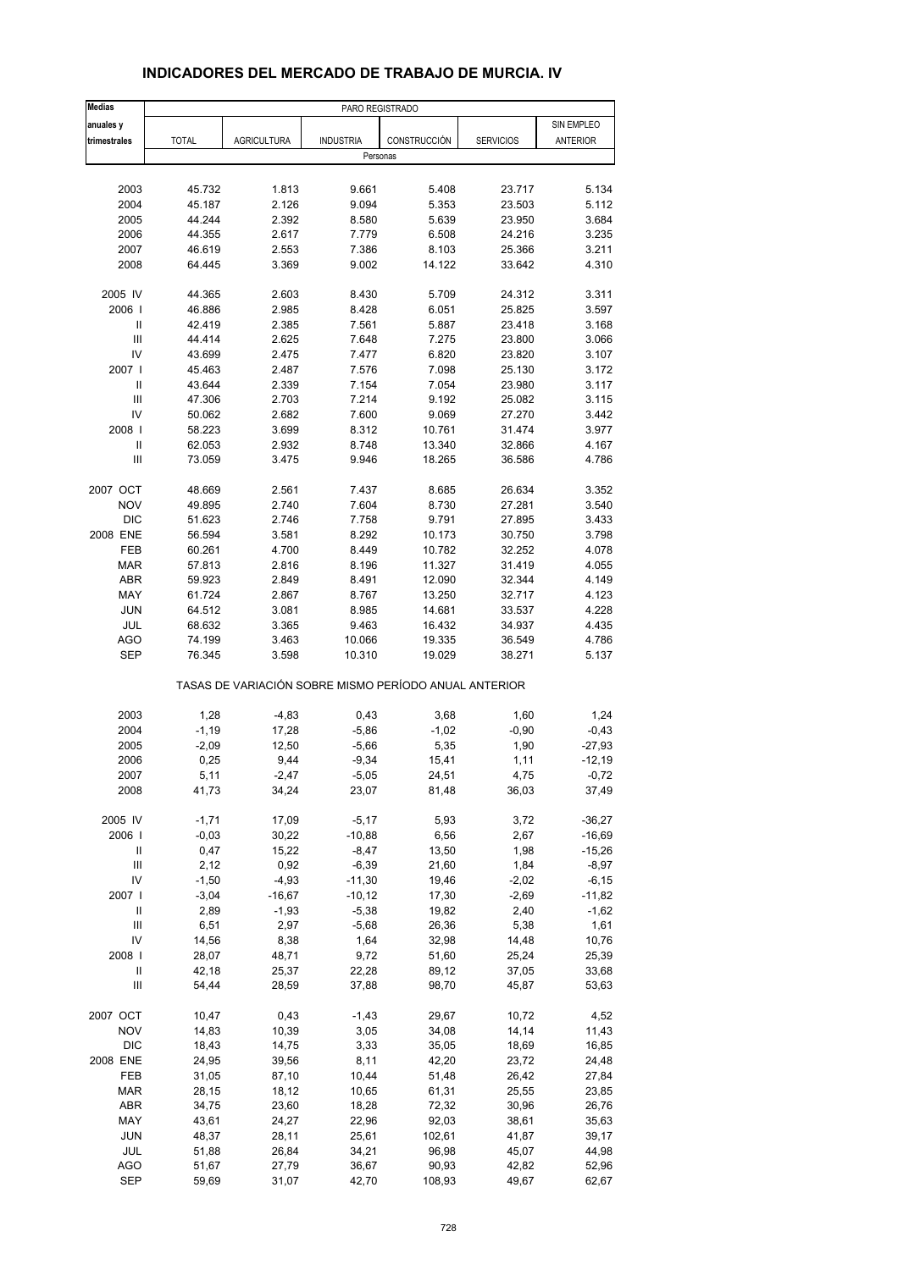| <b>Medias</b>              |              |                    | PARO REGISTRADO                                       |              |                  |                 |
|----------------------------|--------------|--------------------|-------------------------------------------------------|--------------|------------------|-----------------|
| anuales y                  |              |                    |                                                       |              |                  | SIN EMPLEO      |
| trimestrales               | <b>TOTAL</b> | <b>AGRICULTURA</b> | <b>INDUSTRIA</b>                                      | CONSTRUCCIÓN | <b>SERVICIOS</b> | <b>ANTERIOR</b> |
|                            |              |                    | Personas                                              |              |                  |                 |
|                            |              |                    |                                                       |              |                  |                 |
| 2003                       | 45.732       | 1.813              | 9.661                                                 | 5.408        | 23.717           | 5.134           |
| 2004                       | 45.187       | 2.126              | 9.094                                                 | 5.353        | 23.503           | 5.112           |
| 2005                       | 44.244       | 2.392              | 8.580                                                 | 5.639        | 23.950           | 3.684           |
| 2006                       | 44.355       | 2.617              | 7.779                                                 | 6.508        | 24.216           | 3.235           |
| 2007                       | 46.619       | 2.553              | 7.386                                                 | 8.103        | 25.366           | 3.211           |
| 2008                       | 64.445       | 3.369              | 9.002                                                 | 14.122       | 33.642           | 4.310           |
| 2005 IV                    | 44.365       | 2.603              | 8.430                                                 | 5.709        | 24.312           | 3.311           |
| 2006                       | 46.886       | 2.985              | 8.428                                                 | 6.051        | 25.825           | 3.597           |
| Ш                          | 42.419       | 2.385              | 7.561                                                 | 5.887        | 23.418           | 3.168           |
| $\mathbf{III}$             | 44.414       | 2.625              | 7.648                                                 | 7.275        | 23.800           | 3.066           |
| IV                         | 43.699       | 2.475              | 7.477                                                 | 6.820        | 23.820           | 3.107           |
| 2007 l                     | 45.463       | 2.487              | 7.576                                                 | 7.098        | 25.130           | 3.172           |
| $\ensuremath{\mathsf{II}}$ | 43.644       | 2.339              | 7.154                                                 | 7.054        | 23.980           | 3.117           |
| $\mathbf{III}$             | 47.306       | 2.703              | 7.214                                                 | 9.192        | 25.082           | 3.115           |
| IV                         | 50.062       | 2.682              | 7.600                                                 | 9.069        | 27.270           | 3.442           |
| 2008                       | 58.223       | 3.699              | 8.312                                                 | 10.761       | 31.474           | 3.977           |
| $\mathbf{II}$              | 62.053       | 2.932              | 8.748                                                 | 13.340       | 32.866           | 4.167           |
| Ш                          | 73.059       | 3.475              | 9.946                                                 | 18.265       | 36.586           | 4.786           |
| 2007 OCT                   | 48.669       | 2.561              | 7.437                                                 | 8.685        | 26.634           | 3.352           |
| <b>NOV</b>                 | 49.895       | 2.740              | 7.604                                                 | 8.730        | 27.281           | 3.540           |
| <b>DIC</b>                 | 51.623       | 2.746              | 7.758                                                 | 9.791        | 27.895           | 3.433           |
| 2008 ENE                   | 56.594       | 3.581              | 8.292                                                 | 10.173       | 30.750           | 3.798           |
| FEB                        | 60.261       | 4.700              | 8.449                                                 | 10.782       | 32.252           | 4.078           |
| <b>MAR</b>                 | 57.813       | 2.816              | 8.196                                                 | 11.327       | 31.419           | 4.055           |
| <b>ABR</b>                 | 59.923       | 2.849              | 8.491                                                 | 12.090       | 32.344           | 4.149           |
| MAY                        | 61.724       | 2.867              | 8.767                                                 | 13.250       | 32.717           | 4.123           |
| <b>JUN</b>                 | 64.512       | 3.081              | 8.985                                                 | 14.681       | 33.537           | 4.228           |
| JUL                        | 68.632       | 3.365              | 9.463                                                 | 16.432       | 34.937           | 4.435           |
| <b>AGO</b>                 | 74.199       | 3.463              | 10.066                                                | 19.335       | 36.549           | 4.786           |
| <b>SEP</b>                 | 76.345       | 3.598              | 10.310                                                | 19.029       | 38.271           | 5.137           |
|                            |              |                    | TASAS DE VARIACIÓN SOBRE MISMO PERÍODO ANUAL ANTERIOR |              |                  |                 |
| 2003                       | 1,28         | $-4,83$            | 0,43                                                  | 3,68         | 1,60             | 1,24            |
| 2004                       | $-1,19$      | 17,28              | $-5,86$                                               | $-1,02$      | $-0,90$          | $-0,43$         |
| 2005                       | $-2,09$      | 12,50              | $-5,66$                                               | 5,35         | 1,90             | $-27,93$        |
| 2006                       | 0,25         | 9,44               | $-9,34$                                               | 15,41        | 1,11             | $-12,19$        |
| 2007                       | 5,11         | $-2,47$            | -5,05                                                 | 24,51        | 4,75             | $-0,72$         |
| 2008                       | 41,73        | 34,24              | 23,07                                                 | 81,48        | 36,03            | 37,49           |
| 2005 IV                    | $-1,71$      | 17,09              | $-5,17$                                               | 5,93         | 3,72             | $-36,27$        |
| 2006                       | $-0,03$      | 30,22              | $-10,88$                                              | 6,56         | 2,67             | $-16,69$        |
| Ш                          | 0,47         | 15,22              | $-8,47$                                               | 13,50        | 1,98             | $-15,26$        |
| $\mathsf{III}$             | 2,12         | 0,92               | $-6,39$                                               | 21,60        | 1,84             | $-8,97$         |
| IV                         | $-1,50$      | $-4,93$            | $-11,30$                                              | 19,46        | $-2,02$          | $-6,15$         |
| 2007 l                     | $-3,04$      | $-16,67$           | $-10,12$                                              | 17,30        | $-2,69$          | $-11,82$        |
| $\label{eq:1} \mathsf{II}$ | 2,89         | $-1,93$            | $-5,38$                                               | 19,82        | 2,40             | $-1,62$         |
| Ш                          | 6,51         | 2,97               | $-5,68$                                               | 26,36        | 5,38             | 1,61            |
| IV                         | 14,56        | 8,38               | 1,64                                                  | 32,98        | 14,48            | 10,76           |
| 2008                       | 28,07        | 48,71              | 9,72                                                  | 51,60        | 25,24            | 25,39           |
| Ш                          | 42,18        | 25,37              | 22,28                                                 | 89,12        | 37,05            | 33,68           |
| Ш                          | 54,44        | 28,59              | 37,88                                                 | 98,70        | 45,87            | 53,63           |
| 2007 OCT                   | 10,47        | 0,43               | -1,43                                                 | 29,67        | 10,72            | 4,52            |
| <b>NOV</b>                 | 14,83        | 10,39              | 3,05                                                  | 34,08        | 14,14            | 11,43           |
| <b>DIC</b>                 | 18,43        | 14,75              | 3,33                                                  | 35,05        | 18,69            | 16,85           |
| 2008 ENE                   | 24,95        | 39,56              | 8,11                                                  | 42,20        | 23,72            | 24,48           |
| FEB                        | 31,05        | 87,10              | 10,44                                                 | 51,48        | 26,42            | 27,84           |
| <b>MAR</b>                 | 28,15        | 18,12              | 10,65                                                 | 61,31        | 25,55            | 23,85           |
| ABR                        | 34,75        | 23,60              | 18,28                                                 | 72,32        | 30,96            | 26,76           |
| MAY                        | 43,61        | 24,27              | 22,96                                                 | 92,03        | 38,61            | 35,63           |
| <b>JUN</b>                 | 48,37        | 28,11              | 25,61                                                 | 102,61       | 41,87            | 39,17           |
| <b>JUL</b>                 | 51,88        | 26,84              | 34,21                                                 | 96,98        | 45,07            | 44,98           |
| <b>AGO</b>                 | 51,67        | 27,79              | 36,67                                                 | 90,93        | 42,82            | 52,96           |
| <b>SEP</b>                 | 59,69        | 31,07              | 42,70                                                 | 108,93       | 49,67            | 62,67           |

# **INDICADORES DEL MERCADO DE TRABAJO DE MURCIA. IV**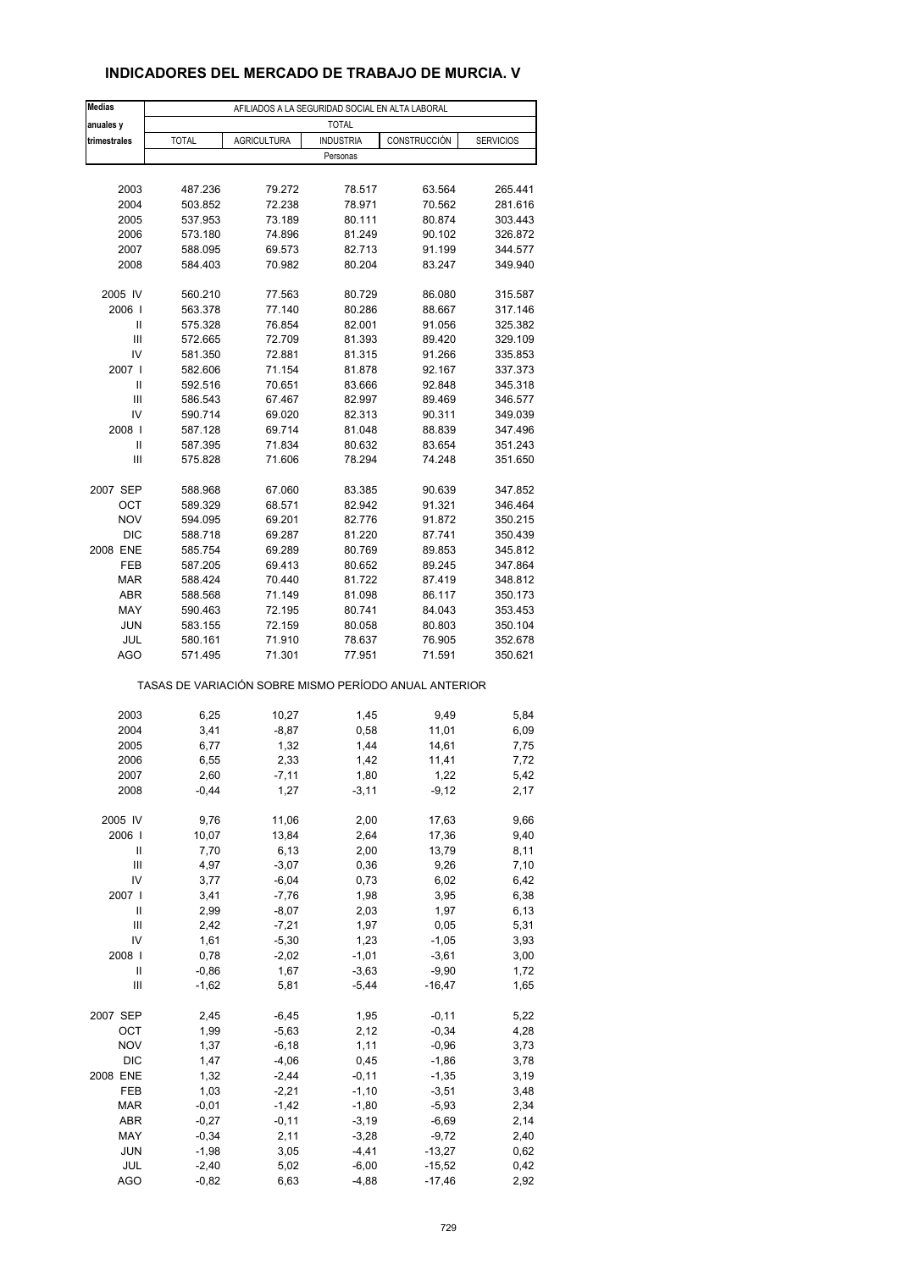# **INDICADORES DEL MERCADO DE TRABAJO DE MURCIA. V**

| <b>Medias</b> |                                                       |                    | AFILIADOS A LA SEGURIDAD SOCIAL EN ALTA LABORAL |                 |                  |
|---------------|-------------------------------------------------------|--------------------|-------------------------------------------------|-----------------|------------------|
| anuales y     |                                                       |                    | <b>TOTAL</b>                                    |                 |                  |
| trimestrales  | <b>TOTAL</b>                                          | <b>AGRICULTURA</b> | <b>INDUSTRIA</b>                                | CONSTRUCCIÓN    | <b>SERVICIOS</b> |
|               |                                                       |                    | Personas                                        |                 |                  |
|               |                                                       |                    |                                                 |                 |                  |
| 2003          | 487.236                                               | 79.272             | 78.517                                          | 63.564          | 265.441          |
| 2004          | 503.852                                               | 72.238             | 78.971                                          | 70.562          | 281.616          |
| 2005          | 537.953                                               | 73.189             | 80.111                                          | 80.874          | 303.443          |
| 2006          | 573.180                                               | 74.896             | 81.249                                          | 90.102          | 326.872          |
| 2007          | 588.095                                               | 69.573             | 82.713                                          | 91.199          | 344.577          |
| 2008          | 584.403                                               | 70.982             | 80.204                                          | 83.247          | 349.940          |
| 2005 IV       | 560.210                                               | 77.563             | 80.729                                          | 86.080          | 315.587          |
| 2006          | 563.378                                               | 77.140             | 80.286                                          | 88.667          | 317.146          |
| Ш             | 575.328                                               | 76.854             | 82.001                                          | 91.056          | 325.382          |
| Ш             | 572.665                                               | 72.709             | 81.393                                          | 89.420          | 329.109          |
| IV            | 581.350                                               | 72.881             | 81.315                                          | 91.266          | 335.853          |
| 2007 l        | 582.606                                               | 71.154             | 81.878                                          | 92.167          | 337.373          |
| Ш             | 592.516                                               | 70.651             | 83.666                                          | 92.848          | 345.318          |
| Ш             | 586.543                                               | 67.467             | 82.997                                          | 89.469          | 346.577          |
| IV            | 590.714                                               | 69.020             | 82.313                                          | 90.311          | 349.039          |
| 2008          | 587.128                                               | 69.714             | 81.048                                          | 88.839          | 347.496          |
| Ш             | 587.395                                               | 71.834             | 80.632                                          | 83.654          | 351.243          |
| Ш             | 575.828                                               | 71.606             | 78.294                                          | 74.248          | 351.650          |
|               |                                                       |                    |                                                 |                 |                  |
| 2007 SEP      | 588.968                                               | 67.060             | 83.385                                          | 90.639          | 347.852          |
| ОСТ           | 589.329                                               | 68.571             | 82.942                                          | 91.321          | 346.464          |
| <b>NOV</b>    | 594.095                                               | 69.201             | 82.776                                          | 91.872          | 350.215          |
| <b>DIC</b>    | 588.718                                               | 69.287             | 81.220                                          | 87.741          | 350.439          |
| 2008 ENE      | 585.754                                               | 69.289             | 80.769                                          | 89.853          | 345.812          |
| FEB           | 587.205                                               | 69.413             | 80.652                                          | 89.245          | 347.864          |
| <b>MAR</b>    | 588.424                                               | 70.440             | 81.722                                          | 87.419          | 348.812          |
| <b>ABR</b>    | 588.568                                               | 71.149             | 81.098                                          | 86.117          | 350.173          |
| MAY           | 590.463                                               | 72.195             | 80.741                                          | 84.043          | 353.453          |
| <b>JUN</b>    | 583.155                                               | 72.159             | 80.058                                          | 80.803          | 350.104          |
| JUL           | 580.161                                               | 71.910             | 78.637                                          | 76.905          | 352.678          |
| AGO           | 571.495                                               | 71.301             | 77.951                                          | 71.591          | 350.621          |
|               | TASAS DE VARIACIÓN SOBRE MISMO PERÍODO ANUAL ANTERIOR |                    |                                                 |                 |                  |
|               |                                                       |                    |                                                 |                 |                  |
| 2003<br>2004  | 6,25<br>3,41                                          | 10,27<br>$-8,87$   | 1,45<br>0,58                                    | 9,49<br>11,01   | 5,84<br>6,09     |
| 2005          | 6,77                                                  | 1,32               | 1,44                                            | 14,61           | 7,75             |
| 2006          | 6,55                                                  | 2,33               | 1,42                                            | 11,41           | 7,72             |
| 2007          |                                                       |                    |                                                 |                 |                  |
| 2008          | 2,60<br>$-0,44$                                       | -7,11<br>1,27      | 1,80<br>$-3,11$                                 | 1,22<br>$-9,12$ | 5,42<br>2,17     |
|               |                                                       |                    |                                                 |                 |                  |
| 2005 IV       | 9,76                                                  | 11,06              | 2,00                                            | 17,63           | 9,66             |
| 2006          | 10,07                                                 | 13,84              | 2,64                                            | 17,36           | 9,40             |
| Ш             | 7,70                                                  | 6, 13              | 2,00                                            | 13,79           | 8,11             |
| Ш             | 4,97                                                  | $-3,07$            | 0,36                                            | 9,26            | 7,10             |
| IV            | 3,77                                                  | $-6,04$            | 0,73                                            | 6,02            | 6,42             |
| 2007 l        | 3,41                                                  | $-7,76$            | 1,98                                            | 3,95            | 6,38             |
| Ш             | 2,99                                                  | $-8,07$            | 2,03                                            | 1,97            | 6,13             |
| Ш             | 2,42                                                  | $-7,21$            | 1,97                                            | 0,05            | 5,31             |
| IV            | 1,61                                                  | $-5,30$            | 1,23                                            | $-1,05$         | 3,93             |
| 2008          | 0,78                                                  | $-2,02$            | $-1,01$                                         | $-3,61$         | 3,00             |
| Ш             | $-0,86$                                               | 1,67               | $-3,63$                                         | $-9,90$         | 1,72             |
| Ш             | $-1,62$                                               | 5,81               | $-5,44$                                         | $-16,47$        | 1,65             |
| 2007 SEP      | 2,45                                                  | $-6,45$            | 1,95                                            | $-0,11$         | 5,22             |
| ОСТ           | 1,99                                                  | $-5,63$            | 2,12                                            | $-0,34$         | 4,28             |
| <b>NOV</b>    | 1,37                                                  | $-6,18$            | 1,11                                            | $-0,96$         | 3,73             |
| DIC           | 1,47                                                  | $-4,06$            | 0,45                                            | $-1,86$         | 3,78             |
| 2008 ENE      | 1,32                                                  | $-2,44$            | $-0, 11$                                        | $-1,35$         | 3,19             |
| FEB           | 1,03                                                  | $-2,21$            | $-1,10$                                         | $-3,51$         | 3,48             |
| <b>MAR</b>    | $-0,01$                                               | $-1,42$            | $-1,80$                                         | $-5,93$         | 2,34             |
| ABR           | $-0,27$                                               | $-0, 11$           | $-3,19$                                         | $-6,69$         | 2,14             |
| MAY           | $-0,34$                                               | 2,11               | $-3,28$                                         | $-9,72$         | 2,40             |
| <b>JUN</b>    | $-1,98$                                               | 3,05               | $-4,41$                                         | $-13,27$        | 0,62             |
| JUL           | $-2,40$                                               | 5,02               | $-6,00$                                         | $-15,52$        | 0,42             |
| <b>AGO</b>    | $-0,82$                                               | 6,63               | $-4,88$                                         | $-17,46$        | 2,92             |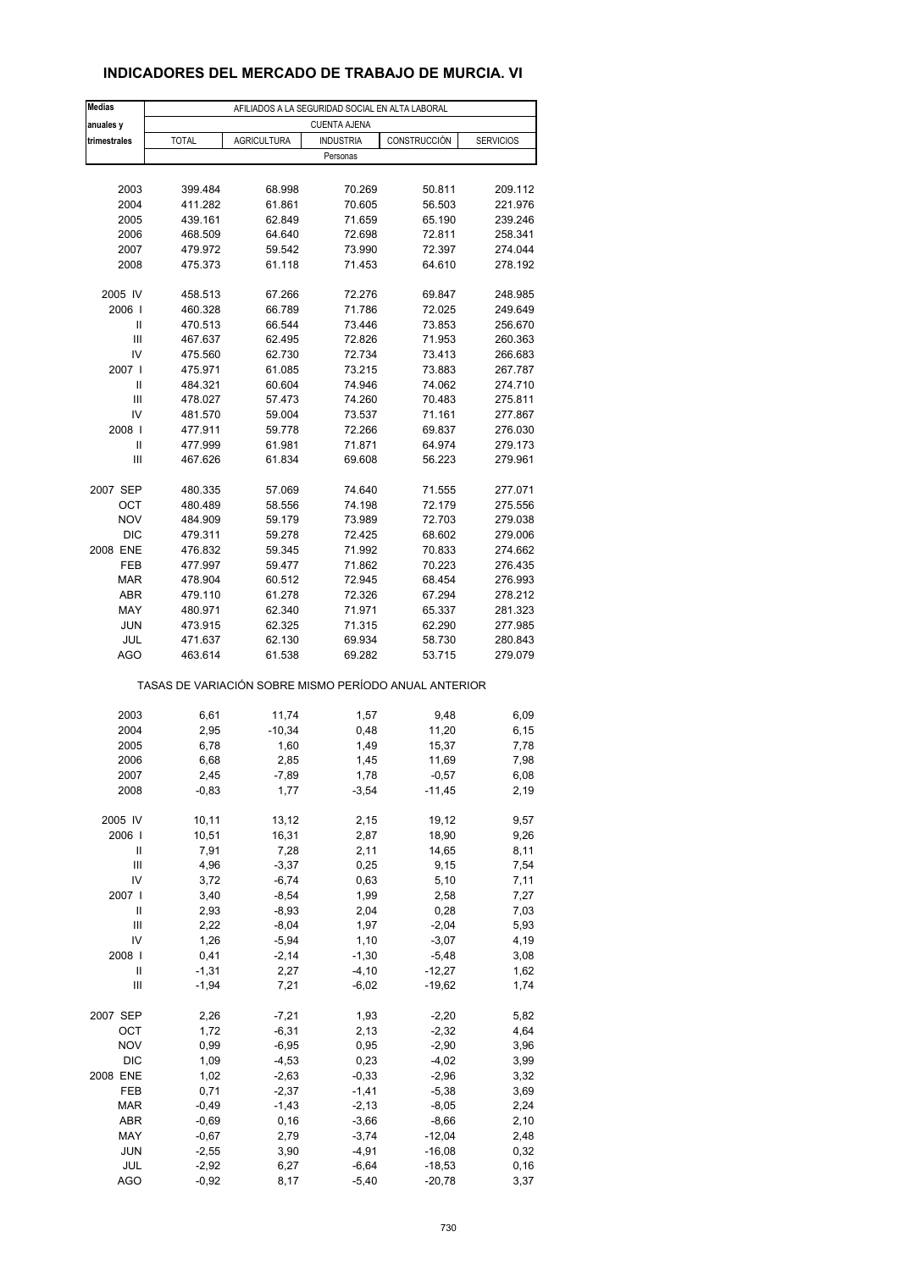#### **INDICADORES DEL MERCADO DE TRABAJO DE MURCIA. VI**

| <b>Medias</b> | AFILIADOS A LA SEGURIDAD SOCIAL EN ALTA LABORAL       |                    |                     |                     |                  |  |  |  |  |  |
|---------------|-------------------------------------------------------|--------------------|---------------------|---------------------|------------------|--|--|--|--|--|
| anuales y     |                                                       |                    | <b>CUENTA AJENA</b> |                     |                  |  |  |  |  |  |
| trimestrales  | <b>TOTAL</b>                                          | <b>AGRICULTURA</b> | <b>INDUSTRIA</b>    | CONSTRUCCIÓN        | <b>SERVICIOS</b> |  |  |  |  |  |
|               |                                                       |                    | Personas            |                     |                  |  |  |  |  |  |
| 2003          | 399.484                                               | 68.998             | 70.269              | 50.811              | 209.112          |  |  |  |  |  |
| 2004          | 411.282                                               | 61.861             | 70.605              | 56.503              | 221.976          |  |  |  |  |  |
| 2005          | 439.161                                               | 62.849             | 71.659              | 65.190              | 239.246          |  |  |  |  |  |
| 2006          | 468.509                                               | 64.640             | 72.698              | 72.811              | 258.341          |  |  |  |  |  |
| 2007          | 479.972                                               | 59.542             | 73.990              | 72.397              | 274.044          |  |  |  |  |  |
| 2008          | 475.373                                               | 61.118             | 71.453              | 64.610              | 278.192          |  |  |  |  |  |
|               |                                                       |                    |                     |                     |                  |  |  |  |  |  |
| 2005 IV       | 458.513                                               | 67.266             | 72.276              | 69.847              | 248.985          |  |  |  |  |  |
| 2006          | 460.328                                               | 66.789             | 71.786              | 72.025              | 249.649          |  |  |  |  |  |
| Ш             | 470.513                                               | 66.544             | 73.446              | 73.853              | 256.670          |  |  |  |  |  |
| Ш             | 467.637                                               | 62.495             | 72.826              | 71.953              | 260.363          |  |  |  |  |  |
| IV            | 475.560                                               | 62.730             | 72.734              | 73.413              | 266.683          |  |  |  |  |  |
| 2007 l        | 475.971                                               | 61.085             | 73.215              | 73.883              | 267.787          |  |  |  |  |  |
| Ш             | 484.321                                               | 60.604             | 74.946              | 74.062              | 274.710          |  |  |  |  |  |
| Ш             | 478.027                                               | 57.473             | 74.260              | 70.483              | 275.811          |  |  |  |  |  |
| IV            | 481.570                                               | 59.004             | 73.537              | 71.161              | 277.867          |  |  |  |  |  |
| 2008          | 477.911                                               | 59.778             | 72.266              | 69.837              | 276.030          |  |  |  |  |  |
| Ш             | 477.999                                               | 61.981             | 71.871              | 64.974              | 279.173          |  |  |  |  |  |
| Ш             | 467.626                                               | 61.834             | 69.608              | 56.223              | 279.961          |  |  |  |  |  |
| 2007 SEP      | 480.335                                               | 57.069             | 74.640              | 71.555              | 277.071          |  |  |  |  |  |
| OCT           | 480.489                                               | 58.556             | 74.198              | 72.179              | 275.556          |  |  |  |  |  |
| <b>NOV</b>    | 484.909                                               | 59.179             | 73.989              | 72.703              | 279.038          |  |  |  |  |  |
| <b>DIC</b>    | 479.311                                               | 59.278             | 72.425              | 68.602              | 279.006          |  |  |  |  |  |
| 2008 ENE      | 476.832                                               | 59.345             | 71.992              | 70.833              | 274.662          |  |  |  |  |  |
| FEB           | 477.997                                               | 59.477             | 71.862              | 70.223              | 276.435          |  |  |  |  |  |
| <b>MAR</b>    | 478.904                                               | 60.512             | 72.945              | 68.454              | 276.993          |  |  |  |  |  |
| <b>ABR</b>    | 479.110                                               | 61.278             | 72.326              | 67.294              | 278.212          |  |  |  |  |  |
| MAY           | 480.971                                               | 62.340             | 71.971              | 65.337              | 281.323          |  |  |  |  |  |
| <b>JUN</b>    | 473.915                                               | 62.325             | 71.315              | 62.290              | 277.985          |  |  |  |  |  |
| JUL           | 471.637                                               | 62.130             | 69.934              | 58.730              | 280.843          |  |  |  |  |  |
| AGO           | 463.614                                               | 61.538             | 69.282              | 53.715              | 279.079          |  |  |  |  |  |
|               | TASAS DE VARIACIÓN SOBRE MISMO PERÍODO ANUAL ANTERIOR |                    |                     |                     |                  |  |  |  |  |  |
|               |                                                       |                    |                     |                     |                  |  |  |  |  |  |
| 2003          | 6,61                                                  | 11,74              | 1,57                | 9,48                | 6,09             |  |  |  |  |  |
| 2004          | 2,95                                                  | $-10,34$           | 0,48                | 11,20               | 6,15             |  |  |  |  |  |
| 2005          | 6,78                                                  | 1,60               | 1,49                | 15,37               | 7,78             |  |  |  |  |  |
| 2006          | 6,68                                                  | 2,85               | 1,45                | 11,69               | 7,98             |  |  |  |  |  |
| 2007<br>2008  | 2,45<br>$-0,83$                                       | -7,89<br>1,77      | 1,78<br>$-3,54$     | $-0,57$<br>$-11,45$ | 6,08<br>2,19     |  |  |  |  |  |
|               |                                                       |                    |                     |                     |                  |  |  |  |  |  |
| 2005 IV       | 10,11                                                 | 13,12              | 2,15                | 19,12               | 9,57             |  |  |  |  |  |
| 2006          | 10,51                                                 | 16,31              | 2,87                | 18,90               | 9,26             |  |  |  |  |  |
| Ш             | 7,91                                                  | 7,28               | 2,11                | 14,65               | 8,11             |  |  |  |  |  |
| Ш             | 4,96                                                  | $-3,37$            | 0,25                | 9,15                | 7,54             |  |  |  |  |  |
| IV            | 3,72                                                  | $-6,74$            | 0,63                | 5,10                | 7,11             |  |  |  |  |  |
| 2007          | 3,40                                                  | $-8,54$            | 1,99                | 2,58                | 7,27             |  |  |  |  |  |
| Ш             | 2,93                                                  | $-8,93$            | 2,04                | 0,28                | 7,03             |  |  |  |  |  |
| Ш             | 2,22                                                  | $-8,04$            | 1,97                | $-2,04$             | 5,93             |  |  |  |  |  |
| IV            | 1,26                                                  | $-5,94$            | 1,10                | $-3,07$             | 4,19             |  |  |  |  |  |
| 2008          | 0,41                                                  | $-2,14$            | $-1,30$             | $-5,48$             | 3,08             |  |  |  |  |  |
| Ш             | $-1,31$                                               | 2,27               | $-4, 10$            | $-12,27$            | 1,62             |  |  |  |  |  |
| Ш             | $-1,94$                                               | 7,21               | $-6,02$             | $-19,62$            | 1,74             |  |  |  |  |  |
| 2007 SEP      | 2,26                                                  | $-7,21$            | 1,93                | $-2,20$             | 5,82             |  |  |  |  |  |
| ОСТ           | 1,72                                                  | $-6,31$            | 2,13                | $-2,32$             | 4,64             |  |  |  |  |  |
| <b>NOV</b>    | 0,99                                                  | $-6,95$            | 0,95                | $-2,90$             | 3,96             |  |  |  |  |  |
| <b>DIC</b>    | 1,09                                                  | $-4,53$            | 0,23                | $-4,02$             | 3,99             |  |  |  |  |  |
| 2008 ENE      | 1,02                                                  | $-2,63$            | $-0,33$             | $-2,96$             | 3,32             |  |  |  |  |  |
| FEB           | 0,71                                                  | $-2,37$            | $-1,41$             | $-5,38$             | 3,69             |  |  |  |  |  |
| <b>MAR</b>    | $-0,49$                                               | $-1,43$            | $-2, 13$            | $-8,05$             | 2,24             |  |  |  |  |  |
| ABR           | $-0,69$                                               | 0, 16              | $-3,66$             | $-8,66$             | 2,10             |  |  |  |  |  |
| MAY           | $-0,67$                                               | 2,79               | $-3,74$             | $-12,04$            | 2,48             |  |  |  |  |  |
| <b>JUN</b>    | $-2,55$                                               | 3,90               | $-4,91$             | $-16,08$            | 0,32             |  |  |  |  |  |
| JUL           | $-2,92$                                               | 6,27               | $-6,64$             | $-18,53$            | 0, 16            |  |  |  |  |  |
| <b>AGO</b>    | $-0,92$                                               | 8,17               | $-5,40$             | $-20,78$            | 3,37             |  |  |  |  |  |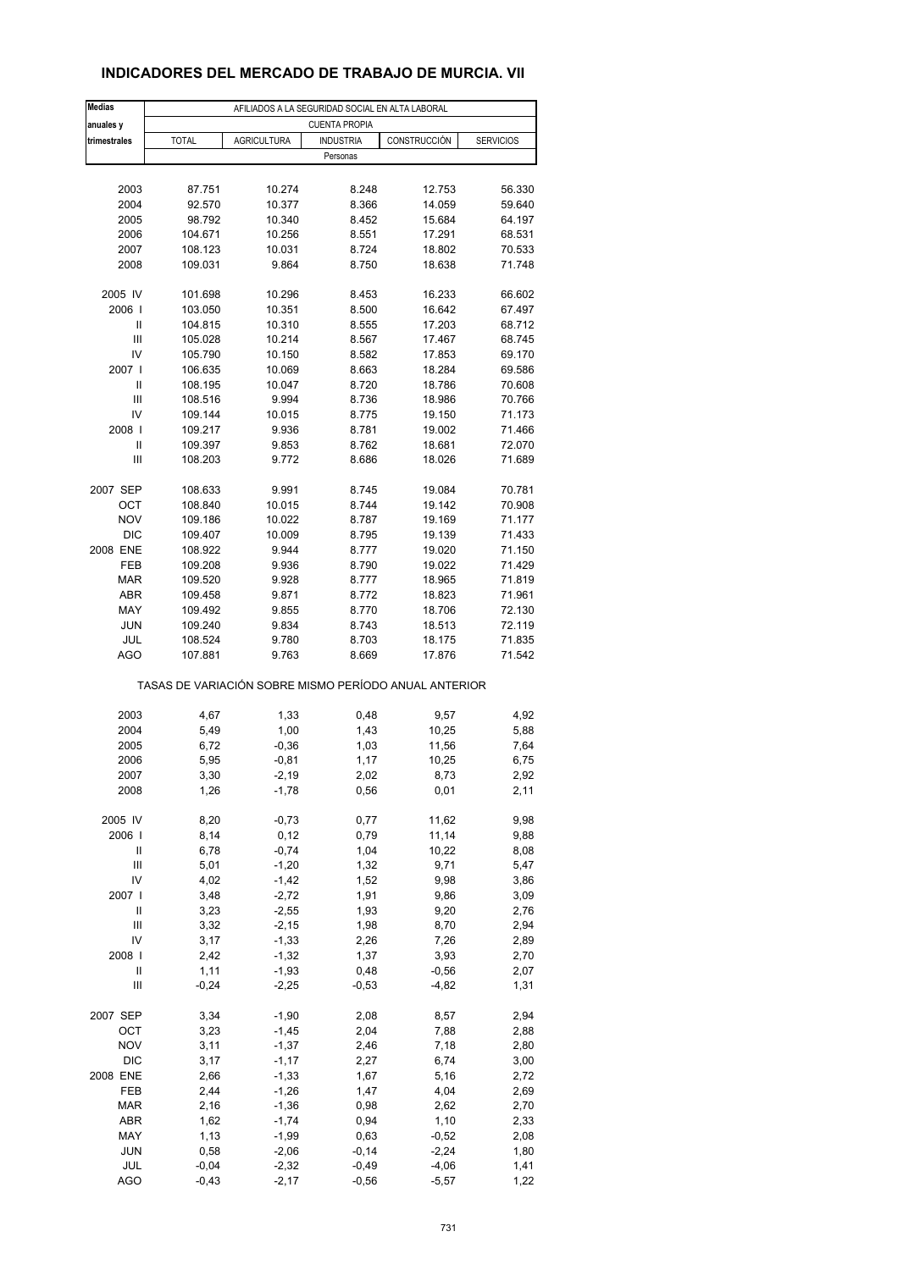#### **INDICADORES DEL MERCADO DE TRABAJO DE MURCIA. VII**

| <b>Medias</b>                      |              |                    | AFILIADOS A LA SEGURIDAD SOCIAL EN ALTA LABORAL       |              |                  |
|------------------------------------|--------------|--------------------|-------------------------------------------------------|--------------|------------------|
| anuales y                          |              |                    | <b>CUENTA PROPIA</b>                                  |              |                  |
| trimestrales                       | <b>TOTAL</b> | <b>AGRICULTURA</b> | <b>INDUSTRIA</b>                                      | CONSTRUCCIÓN | <b>SERVICIOS</b> |
|                                    |              |                    | Personas                                              |              |                  |
|                                    |              |                    |                                                       |              |                  |
| 2003                               | 87.751       | 10.274             | 8.248                                                 | 12.753       | 56.330           |
| 2004                               | 92.570       | 10.377             | 8.366                                                 | 14.059       | 59.640           |
| 2005                               | 98.792       | 10.340             | 8.452                                                 | 15.684       | 64.197           |
| 2006                               | 104.671      | 10.256             | 8.551                                                 | 17.291       | 68.531           |
| 2007                               | 108.123      | 10.031             | 8.724                                                 | 18.802       | 70.533           |
| 2008                               | 109.031      | 9.864              | 8.750                                                 | 18.638       | 71.748           |
|                                    |              |                    |                                                       |              |                  |
| 2005 IV                            | 101.698      | 10.296             | 8.453                                                 | 16.233       | 66.602           |
| 2006                               | 103.050      | 10.351             | 8.500                                                 | 16.642       | 67.497           |
| Ш                                  | 104.815      | 10.310             | 8.555                                                 | 17.203       | 68.712           |
| Ш                                  | 105.028      | 10.214             | 8.567                                                 | 17.467       | 68.745           |
| IV                                 | 105.790      | 10.150             | 8.582                                                 | 17.853       | 69.170           |
| 2007 l                             | 106.635      | 10.069             | 8.663                                                 | 18.284       | 69.586           |
| Ш                                  | 108.195      | 10.047             | 8.720                                                 | 18.786       | 70.608           |
| $\mathsf{III}$                     | 108.516      | 9.994              | 8.736                                                 | 18.986       | 70.766           |
| IV                                 | 109.144      | 10.015             | 8.775                                                 | 19.150       | 71.173           |
| 2008                               | 109.217      | 9.936              | 8.781                                                 | 19.002       | 71.466           |
| Ш                                  | 109.397      | 9.853              | 8.762                                                 | 18.681       | 72.070           |
| Ш                                  | 108.203      | 9.772              | 8.686                                                 | 18.026       | 71.689           |
|                                    |              |                    |                                                       |              |                  |
| 2007 SEP                           | 108.633      | 9.991              | 8.745                                                 | 19.084       | 70.781           |
| ОСТ                                | 108.840      | 10.015             | 8.744                                                 | 19.142       | 70.908           |
| <b>NOV</b>                         | 109.186      | 10.022             | 8.787                                                 | 19.169       | 71.177           |
| <b>DIC</b>                         | 109.407      | 10.009             | 8.795                                                 | 19.139       | 71.433           |
| 2008 ENE                           | 108.922      | 9.944              | 8.777                                                 | 19.020       | 71.150           |
| FEB                                | 109.208      | 9.936              | 8.790                                                 | 19.022       | 71.429           |
| <b>MAR</b>                         | 109.520      | 9.928              | 8.777                                                 | 18.965       | 71.819           |
| <b>ABR</b>                         | 109.458      | 9.871              | 8.772                                                 | 18.823       | 71.961           |
| MAY                                | 109.492      | 9.855              | 8.770                                                 | 18.706       | 72.130           |
| <b>JUN</b>                         | 109.240      | 9.834              | 8.743                                                 | 18.513       | 72.119           |
| JUL                                | 108.524      | 9.780              | 8.703                                                 | 18.175       | 71.835           |
| <b>AGO</b>                         | 107.881      | 9.763              | 8.669                                                 | 17.876       | 71.542           |
|                                    |              |                    | TASAS DE VARIACIÓN SOBRE MISMO PERÍODO ANUAL ANTERIOR |              |                  |
|                                    |              |                    |                                                       |              |                  |
| 2003                               | 4,67         | 1,33               | 0,48                                                  | 9,57         | 4,92             |
| 2004                               | 5,49         | 1,00               | 1,43                                                  | 10,25        | 5,88             |
| 2005                               | 6,72         | $-0,36$            | 1,03                                                  | 11,56        | 7,64             |
| 2006                               | 5,95         | $-0,81$            | 1,17                                                  | 10,25        | 6,75             |
| 2007                               | 3,30         | -2,19              | 2,02                                                  | 8,73         | 2,92             |
| 2008                               | 1,26         | $-1,78$            | 0,56                                                  | 0,01         | 2,11             |
| 2005 IV                            | 8,20         | $-0,73$            |                                                       | 11,62        | 9,98             |
| 2006                               | 8,14         | 0,12               | 0,77<br>0,79                                          | 11,14        | 9,88             |
| Ш                                  | 6,78         | $-0,74$            | 1,04                                                  | 10,22        | 8,08             |
| Ш                                  | 5,01         | $-1,20$            | 1,32                                                  | 9,71         | 5,47             |
| IV                                 | 4,02         | $-1,42$            | 1,52                                                  | 9,98         | 3,86             |
| 2007 l                             | 3,48         | $-2,72$            | 1,91                                                  | 9,86         | 3,09             |
| Ш                                  | 3,23         | $-2,55$            | 1,93                                                  | 9,20         | 2,76             |
| Ш                                  | 3,32         | $-2,15$            | 1,98                                                  | 8,70         | 2,94             |
| IV                                 | 3,17         | $-1,33$            | 2,26                                                  | 7,26         | 2,89             |
| 2008                               | 2,42         | $-1,32$            | 1,37                                                  | 3,93         | 2,70             |
| Ш                                  | 1,11         | $-1,93$            | 0,48                                                  | $-0,56$      | 2,07             |
| $\ensuremath{\mathsf{III}}\xspace$ | $-0,24$      | $-2,25$            | $-0,53$                                               | $-4,82$      | 1,31             |
|                                    |              |                    |                                                       |              |                  |
| 2007 SEP                           | 3,34         | $-1,90$            | 2,08                                                  | 8,57         | 2,94             |
| OCT                                | 3,23         | $-1,45$            | 2,04                                                  | 7,88         | 2,88             |
| <b>NOV</b>                         | 3,11         | $-1,37$            | 2,46                                                  | 7,18         | 2,80             |
| <b>DIC</b>                         | 3,17         | $-1, 17$           | 2,27                                                  | 6,74         | 3,00             |
| 2008 ENE                           | 2,66         | $-1,33$            | 1,67                                                  | 5,16         | 2,72             |
| FEB                                | 2,44         | $-1,26$            | 1,47                                                  | 4,04         | 2,69             |
| $\sf{MAR}$                         | 2,16         | $-1,36$            | 0,98                                                  | 2,62         | 2,70             |
| ABR                                | 1,62         | $-1,74$            | 0,94                                                  | 1,10         | 2,33             |
| MAY                                | 1,13         | $-1,99$            | 0,63                                                  | $-0,52$      | 2,08             |
| <b>JUN</b>                         | 0,58         | $-2,06$            | $-0,14$                                               | $-2,24$      | 1,80             |
| JUL                                | $-0,04$      | $-2,32$            | $-0,49$                                               | $-4,06$      | 1,41             |
| <b>AGO</b>                         | $-0,43$      | $-2,17$            | $-0,56$                                               | $-5,57$      | 1,22             |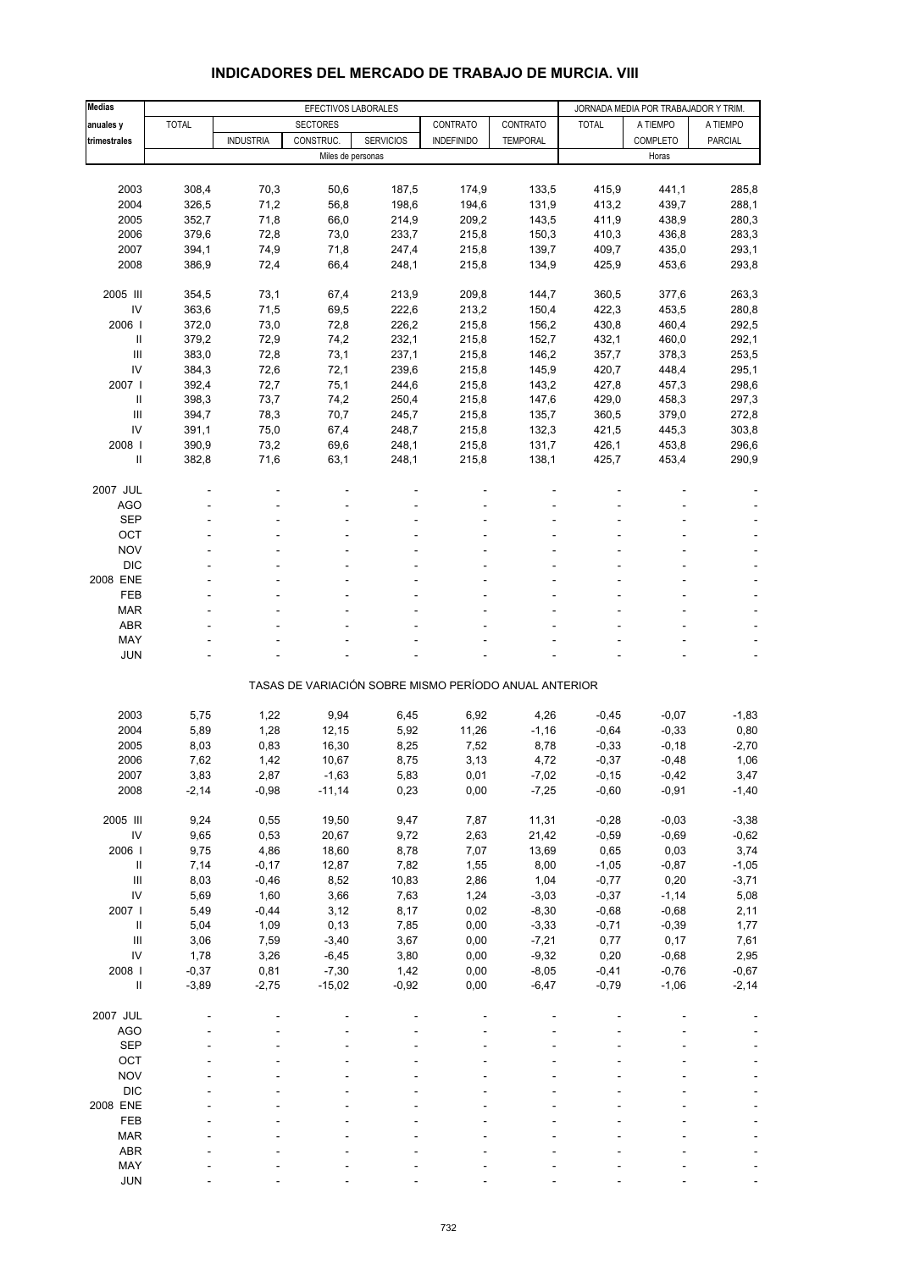| <b>Medias</b>                      |              | EFECTIVOS LABORALES |                   |                  |                                                       |                 | JORNADA MEDIA POR TRABAJADOR Y TRIM. |          |                |
|------------------------------------|--------------|---------------------|-------------------|------------------|-------------------------------------------------------|-----------------|--------------------------------------|----------|----------------|
| anuales y                          | <b>TOTAL</b> |                     | <b>SECTORES</b>   |                  | CONTRATO                                              | CONTRATO        | <b>TOTAL</b>                         | A TIEMPO | A TIEMPO       |
| trimestrales                       |              | <b>INDUSTRIA</b>    | CONSTRUC.         | <b>SERVICIOS</b> | <b>INDEFINIDO</b>                                     | <b>TEMPORAL</b> |                                      | COMPLETO | <b>PARCIAL</b> |
|                                    |              |                     | Miles de personas |                  |                                                       |                 |                                      | Horas    |                |
|                                    |              |                     |                   |                  |                                                       |                 |                                      |          |                |
| 2003                               | 308,4        | 70,3                | 50,6              | 187,5            | 174,9                                                 | 133,5           | 415,9                                | 441,1    | 285,8          |
| 2004                               | 326,5        | 71,2                | 56,8              | 198,6            | 194,6                                                 | 131,9           | 413,2                                | 439,7    | 288,1          |
| 2005                               | 352,7        | 71,8                | 66,0              | 214,9            | 209,2                                                 | 143,5           | 411,9                                | 438,9    | 280,3          |
| 2006                               | 379,6        | 72,8                | 73,0              | 233,7            | 215,8                                                 | 150,3           | 410,3                                | 436,8    | 283,3          |
| 2007                               | 394,1        | 74,9                | 71,8              | 247,4            | 215,8                                                 | 139,7           | 409,7                                | 435,0    | 293,1          |
| 2008                               | 386,9        | 72,4                | 66,4              | 248,1            | 215,8                                                 | 134,9           | 425,9                                | 453,6    | 293,8          |
|                                    |              |                     |                   |                  |                                                       |                 |                                      |          |                |
| 2005 III                           | 354,5        | 73,1                | 67,4              | 213,9            | 209,8                                                 | 144,7           | 360,5                                | 377,6    | 263,3          |
| IV                                 | 363,6        | 71,5                | 69,5              | 222,6            | 213,2                                                 | 150,4           | 422,3                                | 453,5    | 280,8          |
| 2006                               | 372,0        | 73,0                | 72,8              | 226,2            | 215,8                                                 | 156,2           | 430,8                                | 460,4    | 292,5          |
| Ш                                  | 379,2        | 72,9                | 74,2              | 232,1            | 215,8                                                 | 152,7           | 432,1                                | 460,0    | 292,1          |
| $\mathbf{III}$                     | 383,0        | 72,8                | 73,1              | 237,1            | 215,8                                                 | 146,2           | 357,7                                | 378,3    | 253,5          |
| IV                                 | 384,3        | 72,6                | 72,1              | 239,6            | 215,8                                                 | 145,9           | 420,7                                | 448,4    | 295,1          |
| 2007 l                             | 392,4        | 72,7                | 75,1              | 244,6            | 215,8                                                 | 143,2           | 427,8                                | 457,3    | 298,6          |
| Ш                                  | 398,3        | 73,7                | 74,2              | 250,4            | 215,8                                                 | 147,6           | 429,0                                | 458,3    | 297,3          |
| $\mathbf{III}$                     | 394,7        | 78,3                | 70,7              | 245,7            | 215,8                                                 | 135,7           | 360,5                                | 379,0    | 272,8          |
| IV                                 | 391,1        | 75,0                | 67,4              | 248,7            | 215,8                                                 | 132,3           | 421,5                                | 445,3    | 303,8          |
| 2008                               | 390,9        | 73,2                | 69,6              | 248,1            | 215,8                                                 | 131,7           | 426,1                                | 453,8    | 296,6          |
| Ш                                  | 382,8        | 71,6                | 63,1              | 248,1            | 215,8                                                 | 138,1           | 425,7                                | 453,4    | 290,9          |
|                                    |              |                     |                   |                  |                                                       |                 |                                      |          |                |
| 2007 JUL                           |              |                     |                   |                  |                                                       |                 |                                      |          |                |
|                                    |              |                     |                   |                  |                                                       |                 |                                      |          |                |
| AGO                                |              |                     |                   |                  |                                                       |                 |                                      |          |                |
| <b>SEP</b>                         |              |                     |                   |                  |                                                       |                 |                                      |          |                |
| OCT                                |              |                     |                   |                  |                                                       |                 |                                      |          |                |
| <b>NOV</b>                         |              |                     |                   |                  |                                                       |                 |                                      |          |                |
| <b>DIC</b>                         |              |                     |                   |                  |                                                       |                 |                                      |          |                |
| 2008 ENE                           |              |                     |                   |                  |                                                       |                 |                                      |          |                |
| FEB                                |              |                     |                   |                  |                                                       |                 |                                      |          |                |
| <b>MAR</b>                         |              |                     |                   |                  |                                                       |                 |                                      |          |                |
| <b>ABR</b>                         |              |                     |                   |                  |                                                       |                 |                                      |          |                |
| MAY                                |              |                     |                   |                  |                                                       |                 |                                      |          |                |
| <b>JUN</b>                         |              |                     |                   |                  |                                                       |                 |                                      |          |                |
|                                    |              |                     |                   |                  |                                                       |                 |                                      |          |                |
|                                    |              |                     |                   |                  | TASAS DE VARIACIÓN SOBRE MISMO PERÍODO ANUAL ANTERIOR |                 |                                      |          |                |
|                                    |              |                     |                   |                  |                                                       |                 |                                      |          |                |
| 2003                               | 5,75         | 1,22                | 9,94              | 6,45             | 6,92                                                  | 4,26            | $-0,45$                              | $-0,07$  | $-1,83$        |
| 2004                               | 5,89         | 1,28                | 12,15             | 5,92             | 11,26                                                 | $-1,16$         | $-0,64$                              | $-0,33$  | 0,80           |
| 2005                               | 8,03         | 0,83                | 16,30             | 8,25             | 7,52                                                  | 8,78            | $-0,33$                              | $-0,18$  | $-2,70$        |
| 2006                               | 7,62         | 1,42                | 10,67             | 8,75             | 3,13                                                  | 4,72            | $-0,37$                              | $-0,48$  | 1,06           |
| 2007                               | 3,83         | 2,87                | $-1,63$           | 5,83             | 0,01                                                  | -7,02           | $-0,15$                              | $-0,42$  | 3,47           |
| 2008                               | $-2,14$      | $-0,98$             | $-11,14$          | 0,23             | 0,00                                                  | $-7,25$         | $-0,60$                              | $-0,91$  | $-1,40$        |
|                                    |              |                     |                   |                  |                                                       |                 |                                      |          |                |
| 2005 III                           | 9,24         | 0,55                | 19,50             | 9,47             | 7,87                                                  | 11,31           | $-0,28$                              | $-0,03$  | $-3,38$        |
| ${\sf IV}$                         | 9,65         | 0,53                | 20,67             | 9,72             | 2,63                                                  | 21,42           | $-0,59$                              | $-0,69$  | $-0,62$        |
| 2006                               | 9,75         | 4,86                | 18,60             | 8,78             | 7,07                                                  | 13,69           | 0,65                                 | 0,03     | 3,74           |
| $\ensuremath{\mathsf{II}}$         | 7,14         | $-0,17$             | 12,87             | 7,82             | 1,55                                                  | 8,00            | $-1,05$                              | $-0,87$  | $-1,05$        |
| $\ensuremath{\mathsf{III}}\xspace$ | 8,03         | $-0,46$             | 8,52              | 10,83            | 2,86                                                  | 1,04            | $-0,77$                              | 0,20     | $-3,71$        |
| IV                                 | 5,69         | 1,60                | 3,66              | 7,63             | 1,24                                                  | $-3,03$         | $-0,37$                              | $-1,14$  | 5,08           |
| 2007 l                             | 5,49         | $-0,44$             | 3,12              | 8,17             | 0,02                                                  | $-8,30$         | $-0,68$                              | $-0,68$  | 2,11           |
| $\ensuremath{\mathsf{II}}$         | 5,04         | 1,09                | 0, 13             | 7,85             | 0,00                                                  | $-3,33$         | $-0,71$                              | $-0,39$  | 1,77           |
| $\ensuremath{\mathsf{III}}\xspace$ | 3,06         | 7,59                | $-3,40$           | 3,67             | 0,00                                                  | $-7,21$         | 0,77                                 | 0,17     | 7,61           |
| IV                                 | 1,78         | 3,26                | $-6,45$           | 3,80             | 0,00                                                  | $-9,32$         | 0,20                                 | $-0,68$  | 2,95           |
| 2008 l                             | $-0,37$      | 0,81                | $-7,30$           | 1,42             | 0,00                                                  | $-8,05$         | $-0,41$                              | $-0,76$  | $-0,67$        |
| Ш                                  | $-3,89$      | $-2,75$             | $-15,02$          | $-0,92$          | 0,00                                                  | $-6,47$         | $-0,79$                              | $-1,06$  | $-2,14$        |
|                                    |              |                     |                   |                  |                                                       |                 |                                      |          |                |
| 2007 JUL                           |              |                     |                   |                  |                                                       |                 |                                      |          |                |
| <b>AGO</b>                         |              |                     |                   |                  |                                                       |                 |                                      |          |                |
| <b>SEP</b>                         |              |                     |                   |                  |                                                       |                 |                                      |          |                |
| OCT                                |              |                     |                   |                  |                                                       |                 |                                      |          |                |
| <b>NOV</b>                         |              |                     |                   |                  |                                                       |                 |                                      |          |                |
| <b>DIC</b>                         |              |                     |                   |                  |                                                       |                 |                                      |          |                |
| 2008 ENE                           |              |                     |                   |                  |                                                       |                 |                                      |          |                |
| FEB                                |              |                     |                   |                  |                                                       |                 |                                      |          |                |
| <b>MAR</b>                         |              |                     |                   |                  |                                                       |                 |                                      |          |                |
| ABR                                |              |                     |                   |                  |                                                       |                 |                                      |          |                |
| MAY                                |              |                     |                   |                  |                                                       |                 |                                      |          |                |

#### **INDICADORES DEL MERCADO DE TRABAJO DE MURCIA. VIII**

JUN - - - - - - - - -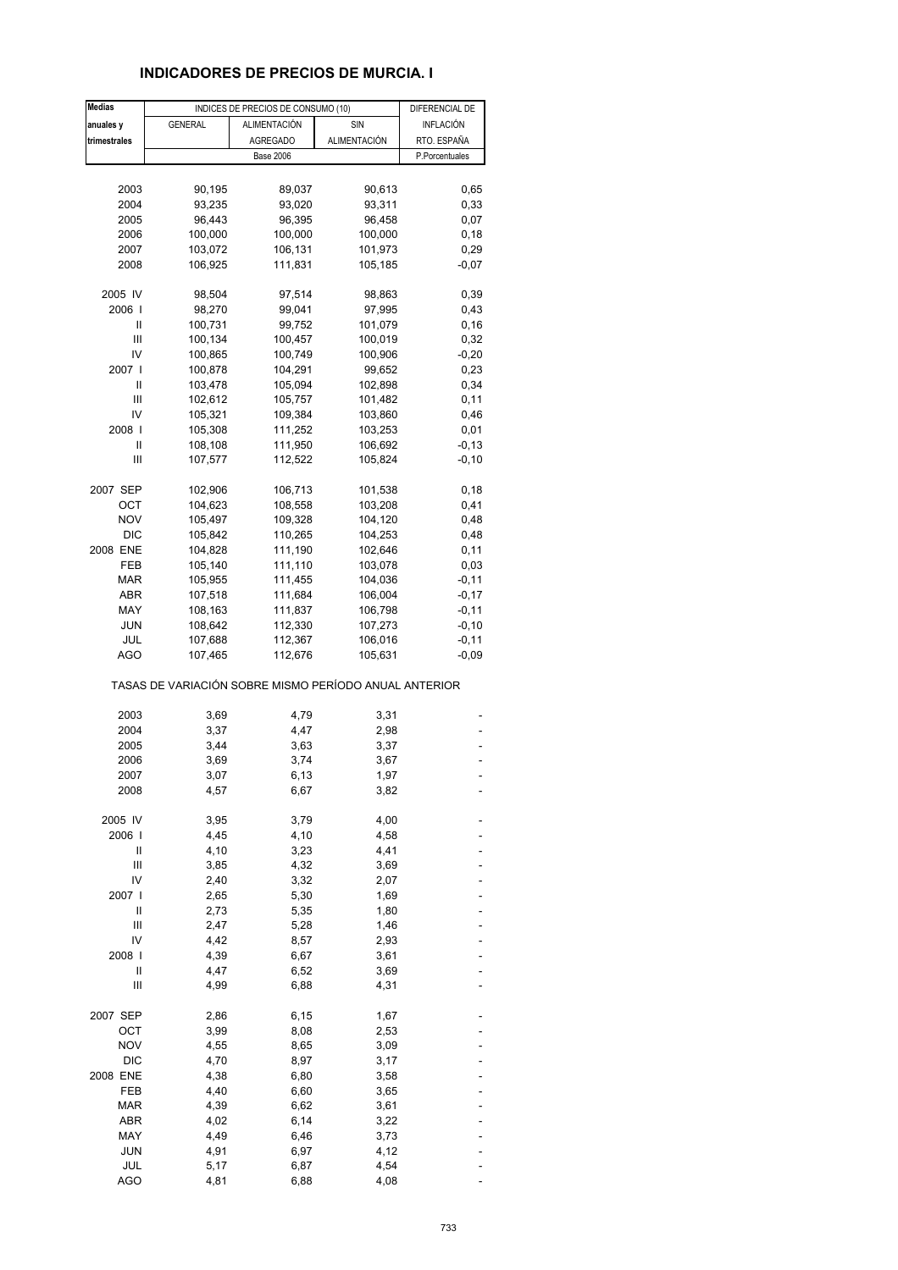# **INDICADORES DE PRECIOS DE MURCIA. I**

| <b>Medias</b> |                                                       | INDICES DE PRECIOS DE CONSUMO (10) |              | DIFERENCIAL DE |
|---------------|-------------------------------------------------------|------------------------------------|--------------|----------------|
| anuales y     | <b>GENERAL</b>                                        | ALIMENTACIÓN                       | SIN          | INFLACIÓN      |
| trimestrales  |                                                       | <b>AGREGADO</b>                    | ALIMENTACIÓN | RTO. ESPAÑA    |
|               |                                                       | <b>Base 2006</b>                   |              | P.Porcentuales |
|               |                                                       |                                    |              |                |
| 2003          |                                                       |                                    |              |                |
|               | 90,195                                                | 89,037                             | 90,613       | 0,65           |
| 2004          | 93,235                                                | 93,020                             | 93,311       | 0,33           |
| 2005          | 96,443                                                | 96,395                             | 96,458       | 0,07           |
| 2006          | 100,000                                               | 100,000                            | 100,000      | 0,18           |
| 2007          | 103,072                                               | 106,131                            | 101,973      | 0,29           |
| 2008          | 106,925                                               | 111,831                            | 105,185      | $-0,07$        |
| 2005 IV       |                                                       |                                    |              |                |
| 2006          | 98,504                                                | 97,514                             | 98,863       | 0,39           |
|               | 98,270                                                | 99,041                             | 97,995       | 0,43           |
| Ш             | 100,731                                               | 99,752                             | 101,079      | 0, 16          |
| Ш             | 100,134                                               | 100,457                            | 100,019      | 0,32           |
| IV            | 100,865                                               | 100,749                            | 100,906      | $-0,20$        |
| 2007 l        | 100,878                                               | 104,291                            | 99,652       | 0,23           |
| Ш             | 103,478                                               | 105,094                            | 102,898      | 0,34           |
| Ш             | 102,612                                               | 105,757                            | 101,482      | 0,11           |
| IV            | 105,321                                               | 109,384                            | 103,860      | 0,46           |
| 2008          |                                                       |                                    |              |                |
|               | 105,308                                               | 111,252                            | 103,253      | 0,01           |
| Ш             | 108,108                                               | 111,950                            | 106,692      | $-0,13$        |
| Ш             | 107,577                                               | 112,522                            | 105,824      | $-0, 10$       |
| 2007 SEP      | 102,906                                               | 106,713                            | 101,538      | 0,18           |
| ОСТ           | 104,623                                               | 108,558                            | 103,208      | 0,41           |
| <b>NOV</b>    | 105,497                                               | 109,328                            | 104,120      | 0,48           |
|               |                                                       |                                    |              |                |
| <b>DIC</b>    | 105,842                                               | 110,265                            | 104,253      | 0,48           |
| 2008 ENE      | 104,828                                               | 111,190                            | 102,646      | 0,11           |
| FEB           | 105,140                                               | 111,110                            | 103,078      | 0,03           |
| MAR           | 105,955                                               | 111,455                            | 104,036      | $-0,11$        |
| ABR           | 107,518                                               | 111,684                            | 106,004      | $-0,17$        |
| MAY           | 108,163                                               | 111,837                            | 106,798      | $-0,11$        |
| JUN           | 108,642                                               | 112,330                            | 107,273      | $-0, 10$       |
| JUL           | 107,688                                               | 112,367                            | 106,016      | $-0,11$        |
| AGO           | 107,465                                               | 112,676                            | 105,631      | $-0,09$        |
|               | TASAS DE VARIACIÓN SOBRE MISMO PERÍODO ANUAL ANTERIOR |                                    |              |                |
|               |                                                       |                                    |              |                |
| 2003          | 3,69                                                  | 4,79                               | 3,31         |                |
| 2004          | 3,37                                                  | 4,47                               | 2,98         |                |
| 2005          | 3,44                                                  | 3,63                               | 3,37         |                |
| 2006          | 3,69                                                  | 3,74                               | 3,67         |                |
| 2007          | 3,07                                                  | 6,13                               | 1,97         |                |
| 2008          | 4,57                                                  | 6,67                               | 3,82         |                |
|               |                                                       |                                    |              |                |
| 2005 IV       | 3,95                                                  | 3,79                               | 4,00         |                |
| 2006          | 4,45                                                  | 4,10                               | 4,58         |                |
| Ш             | 4,10                                                  | 3,23                               | 4,41         |                |
| Ш             | 3,85                                                  | 4,32                               | 3,69         |                |
| IV            | 2,40                                                  | 3,32                               | 2,07         |                |
| 2007          | 2,65                                                  | 5,30                               | 1,69         |                |
| $\mathsf{I}$  | 2,73                                                  | 5,35                               | 1,80         |                |
|               |                                                       |                                    |              |                |
| Ш             | 2,47                                                  | 5,28                               | 1,46         |                |
| IV            | 4,42                                                  | 8,57                               | 2,93         |                |
| 2008          | 4,39                                                  | 6,67                               | 3,61         |                |
| Ш             | 4,47                                                  | 6,52                               | 3,69         |                |
| Ш             | 4,99                                                  | 6,88                               | 4,31         |                |
| 2007 SEP      | 2,86                                                  | 6,15                               | 1,67         |                |
| ОСТ           | 3,99                                                  | 8,08                               | 2,53         |                |
|               |                                                       |                                    |              |                |
| <b>NOV</b>    | 4,55                                                  | 8,65                               | 3,09         |                |
| <b>DIC</b>    | 4,70                                                  | 8,97                               | 3,17         |                |
| 2008 ENE      | 4,38                                                  | 6,80                               | 3,58         |                |
| FEB           | 4,40                                                  | 6,60                               | 3,65         |                |
| <b>MAR</b>    | 4,39                                                  | 6,62                               | 3,61         |                |
| ABR           | 4,02                                                  | 6,14                               | 3,22         |                |
| MAY           | 4,49                                                  | 6,46                               | 3,73         |                |
| <b>JUN</b>    |                                                       |                                    |              |                |
|               | 4,91                                                  | 6,97                               | 4,12         |                |
| JUL           | 5,17                                                  | 6,87                               | 4,54         |                |
| <b>AGO</b>    | 4,81                                                  | 6,88                               | 4,08         |                |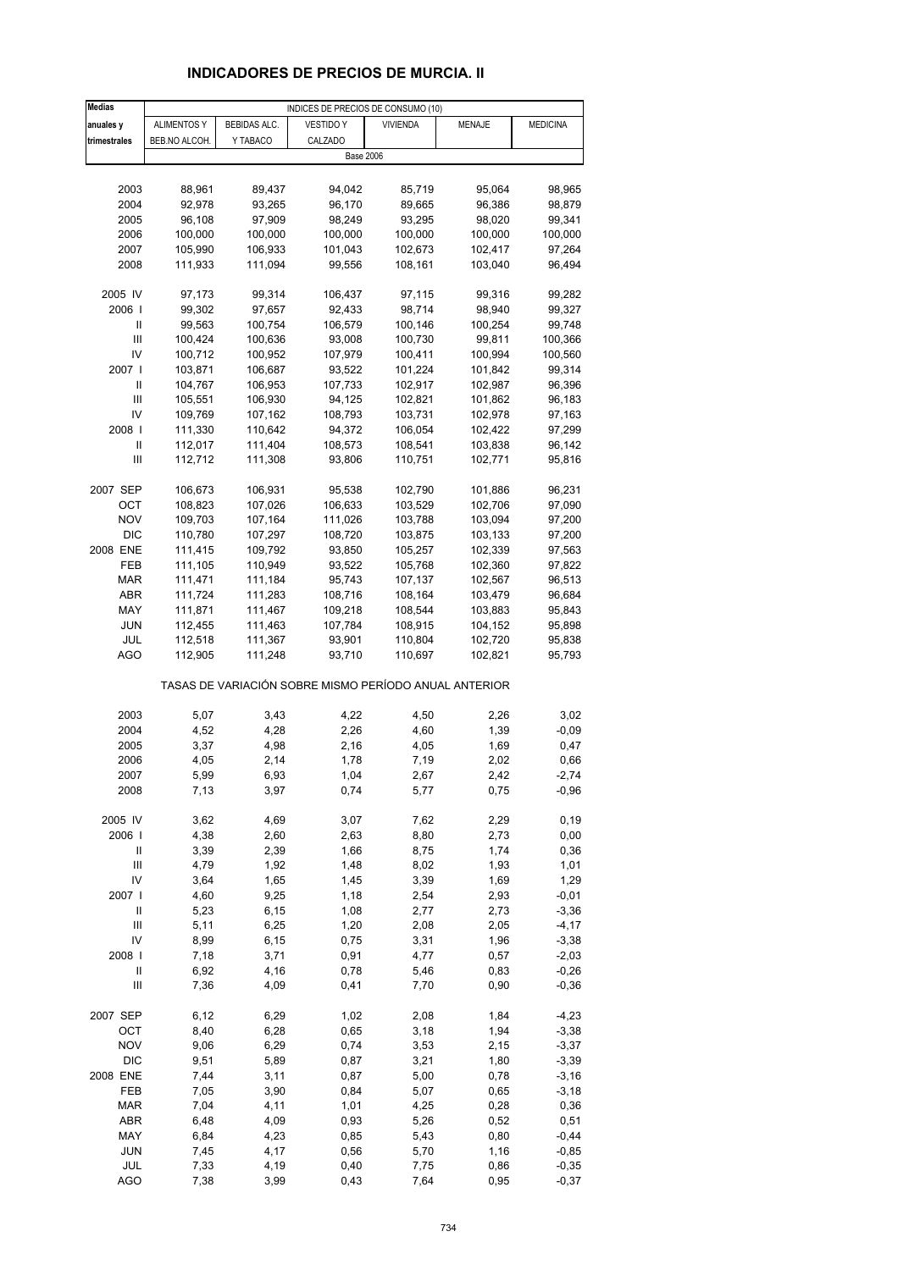# **INDICADORES DE PRECIOS DE MURCIA. II**

| <b>Medias</b>              |                    |              | INDICES DE PRECIOS DE CONSUMO (10)                    |                 |         |                 |
|----------------------------|--------------------|--------------|-------------------------------------------------------|-----------------|---------|-----------------|
| anuales y                  | <b>ALIMENTOS Y</b> | BEBIDAS ALC. | <b>VESTIDO Y</b>                                      | <b>VIVIENDA</b> | MENAJE  | <b>MEDICINA</b> |
| trimestrales               | BEB.NO ALCOH.      | Y TABACO     | CALZADO                                               |                 |         |                 |
|                            |                    |              | <b>Base 2006</b>                                      |                 |         |                 |
|                            |                    |              |                                                       |                 |         |                 |
| 2003                       | 88,961             | 89,437       | 94,042                                                | 85,719          | 95,064  | 98,965          |
| 2004                       | 92,978             | 93,265       | 96,170                                                | 89,665          | 96,386  | 98,879          |
| 2005                       | 96,108             | 97,909       | 98,249                                                | 93,295          | 98,020  | 99,341          |
| 2006                       | 100,000            | 100,000      | 100,000                                               | 100,000         | 100,000 | 100,000         |
| 2007                       | 105,990            | 106,933      | 101,043                                               | 102,673         | 102,417 | 97,264          |
| 2008                       | 111,933            | 111,094      | 99,556                                                | 108,161         | 103,040 | 96,494          |
|                            |                    |              |                                                       |                 |         |                 |
| 2005 IV                    | 97,173             | 99,314       | 106,437                                               | 97,115          | 99,316  | 99,282          |
| 2006                       | 99,302             | 97,657       | 92,433                                                | 98,714          | 98,940  | 99,327          |
| Ш                          | 99,563             | 100,754      | 106,579                                               | 100,146         | 100,254 | 99,748          |
| $\mathbf{III}$             | 100,424            | 100,636      | 93,008                                                | 100,730         | 99,811  | 100,366         |
| IV                         | 100,712            | 100,952      | 107,979                                               | 100,411         | 100,994 | 100,560         |
| 2007                       | 103,871            | 106,687      | 93,522                                                | 101,224         | 101,842 | 99,314          |
| Ш                          | 104,767            | 106,953      | 107,733                                               | 102,917         | 102,987 | 96,396          |
| Ш                          | 105,551            | 106,930      | 94,125                                                | 102,821         | 101,862 | 96,183          |
| IV                         | 109,769            | 107,162      | 108,793                                               | 103,731         | 102,978 | 97,163          |
| 2008                       | 111,330            | 110,642      | 94,372                                                | 106,054         | 102,422 | 97,299          |
| Ш                          | 112,017            | 111,404      | 108,573                                               | 108,541         | 103,838 | 96,142          |
| $\mathbf{III}$             | 112,712            | 111,308      | 93,806                                                | 110,751         | 102,771 | 95,816          |
| 2007 SEP                   | 106,673            | 106,931      | 95,538                                                | 102,790         | 101,886 | 96,231          |
| ОСТ                        | 108,823            | 107,026      | 106,633                                               | 103,529         | 102,706 | 97,090          |
| <b>NOV</b>                 | 109,703            | 107,164      | 111,026                                               | 103,788         | 103,094 | 97,200          |
| <b>DIC</b>                 | 110,780            | 107,297      | 108,720                                               | 103,875         | 103,133 | 97,200          |
| 2008 ENE                   | 111,415            | 109,792      | 93,850                                                | 105,257         | 102,339 | 97,563          |
| FEB                        | 111,105            | 110,949      | 93,522                                                | 105,768         | 102,360 | 97,822          |
| MAR                        | 111,471            | 111,184      | 95,743                                                | 107,137         | 102,567 | 96,513          |
| <b>ABR</b>                 | 111,724            | 111,283      | 108,716                                               | 108,164         | 103,479 | 96,684          |
| MAY                        | 111,871            | 111,467      | 109,218                                               | 108,544         | 103,883 | 95,843          |
| JUN                        | 112,455            | 111,463      | 107,784                                               | 108,915         | 104,152 | 95,898          |
| JUL                        | 112,518            | 111,367      | 93,901                                                | 110,804         | 102,720 | 95,838          |
| AGO                        | 112,905            | 111,248      | 93,710                                                | 110,697         | 102,821 | 95,793          |
|                            |                    |              | TASAS DE VARIACIÓN SOBRE MISMO PERÍODO ANUAL ANTERIOR |                 |         |                 |
|                            |                    |              |                                                       |                 |         |                 |
| 2003                       | 5,07               | 3,43         | 4,22                                                  | 4,50            | 2,26    | 3,02            |
| 2004                       | 4,52               | 4,28         | 2,26                                                  | 4,60            | 1,39    | -0,09           |
| 2005                       | 3,37               | 4,98         | 2,16                                                  | 4,05            | 1,69    | 0,47            |
| 2006                       | 4,05               | 2,14         | 1,78                                                  | 7,19            | 2,02    | 0,66            |
| 2007                       | 5,99               | 6,93         | 1,04                                                  | 2,67            | 2,42    | $-2,74$         |
| 2008                       | 7,13               | 3,97         | 0,74                                                  | 5,77            | 0,75    | $-0,96$         |
|                            |                    |              |                                                       |                 |         |                 |
| 2005 IV                    | 3,62               | 4,69         | 3,07                                                  | 7,62            | 2,29    | 0, 19           |
| 2006                       | 4,38               | 2,60         | 2,63                                                  | 8,80            | 2,73    | 0,00            |
| Ш                          | 3,39               | 2,39         | 1,66                                                  | 8,75            | 1,74    | 0,36            |
| $\mathbf{III}$             | 4,79               | 1,92         | 1,48                                                  | 8,02            | 1,93    | 1,01            |
| IV                         | 3,64               | 1,65         | 1,45                                                  | 3,39            | 1,69    | 1,29            |
| 2007                       | 4,60               | 9,25         | 1,18                                                  | 2,54            | 2,93    | $-0,01$         |
| $\sf II$                   | 5,23               | 6,15         | 1,08                                                  | 2,77            | 2,73    | $-3,36$         |
| $\mathsf{III}$             | 5,11               | 6,25         | 1,20                                                  | 2,08            | 2,05    | $-4, 17$        |
| IV                         | 8,99               | 6, 15        | 0,75                                                  | 3,31            | 1,96    | $-3,38$         |
| 2008                       | 7,18               | 3,71         | 0,91                                                  | 4,77            | 0,57    | $-2,03$         |
| $\ensuremath{\mathsf{II}}$ | 6,92               | 4,16         | 0,78                                                  | 5,46            | 0,83    | $-0,26$         |
| Ш                          | 7,36               | 4,09         | 0,41                                                  | 7,70            | 0,90    | $-0,36$         |
| 2007 SEP                   | 6, 12              | 6,29         | 1,02                                                  | 2,08            | 1,84    | $-4,23$         |
| OCT                        | 8,40               | 6,28         | 0,65                                                  | 3,18            | 1,94    | $-3,38$         |
| <b>NOV</b>                 | 9,06               | 6,29         | 0,74                                                  | 3,53            | 2,15    | $-3,37$         |
| <b>DIC</b>                 | 9,51               | 5,89         | 0,87                                                  | 3,21            | 1,80    | $-3,39$         |
| 2008 ENE                   | 7,44               | 3,11         | 0,87                                                  | 5,00            | 0,78    | $-3,16$         |
| FEB                        | 7,05               | 3,90         | 0,84                                                  | 5,07            | 0,65    | $-3,18$         |
| <b>MAR</b>                 | 7,04               | 4,11         | 1,01                                                  | 4,25            | 0,28    | 0,36            |
| ABR                        | 6,48               | 4,09         | 0,93                                                  | 5,26            | 0,52    | 0,51            |
| MAY                        | 6,84               | 4,23         | 0,85                                                  | 5,43            | 0,80    | $-0,44$         |
| <b>JUN</b>                 | 7,45               | 4,17         | 0,56                                                  | 5,70            | 1,16    | $-0,85$         |
| JUL                        | 7,33               | 4,19         | 0,40                                                  | 7,75            | 0,86    | $-0,35$         |
| <b>AGO</b>                 | 7,38               | 3,99         | 0,43                                                  | 7,64            | 0,95    | $-0,37$         |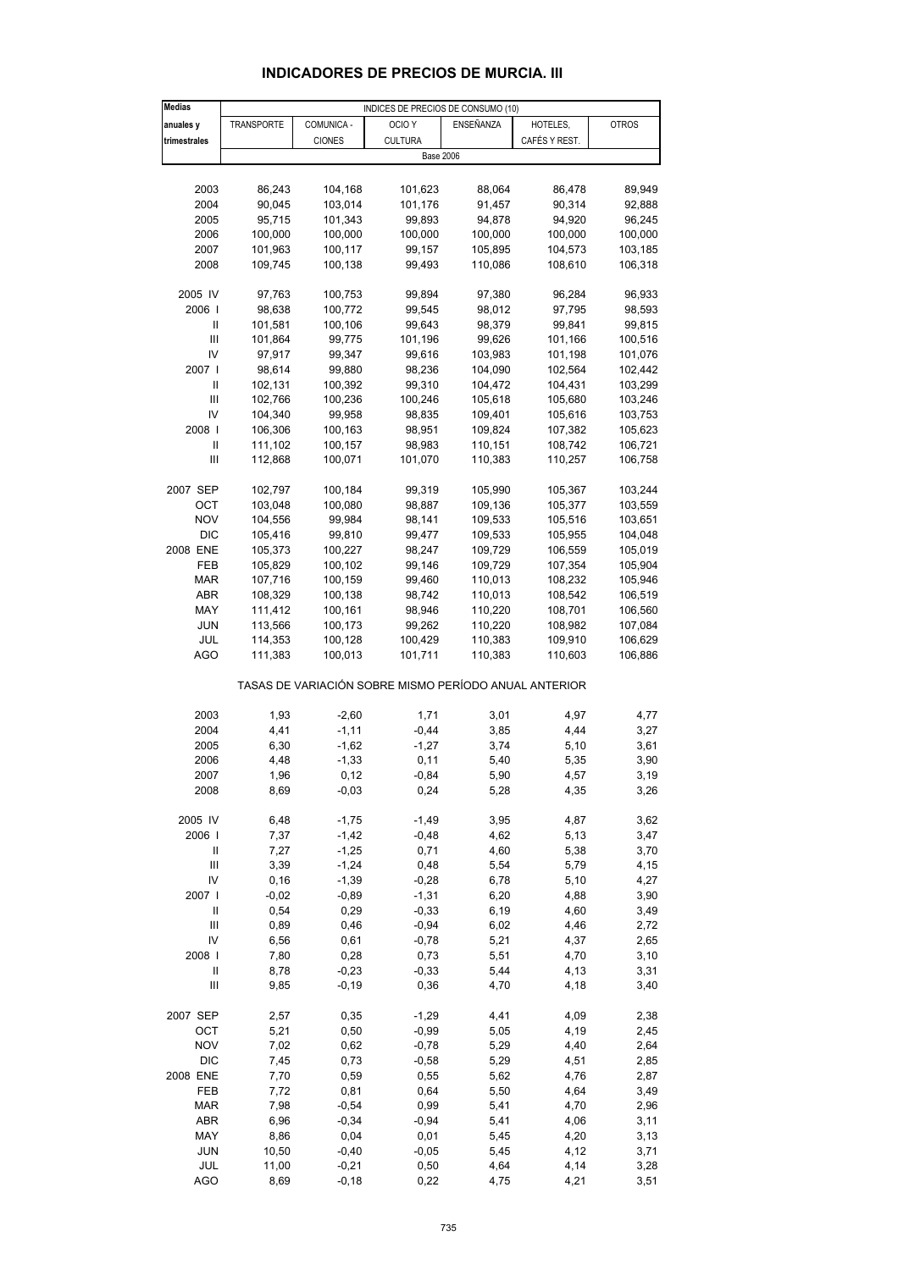# **INDICADORES DE PRECIOS DE MURCIA. III**

| <b>Medias</b> |            |               | INDICES DE PRECIOS DE CONSUMO (10)                    |           |               |              |
|---------------|------------|---------------|-------------------------------------------------------|-----------|---------------|--------------|
| anuales y     | TRANSPORTE | COMUNICA -    | OCIO <sub>Y</sub>                                     | ENSEÑANZA | HOTELES,      | <b>OTROS</b> |
| trimestrales  |            | <b>CIONES</b> | <b>CULTURA</b>                                        |           | CAFÉS Y REST. |              |
|               |            |               | <b>Base 2006</b>                                      |           |               |              |
|               |            |               |                                                       |           |               |              |
|               | 86,243     |               |                                                       |           |               |              |
| 2003          |            | 104,168       | 101,623                                               | 88,064    | 86,478        | 89,949       |
| 2004          | 90,045     | 103,014       | 101,176                                               | 91,457    | 90,314        | 92,888       |
| 2005          | 95,715     | 101,343       | 99,893                                                | 94,878    | 94,920        | 96,245       |
| 2006          | 100,000    | 100,000       | 100,000                                               | 100,000   | 100,000       | 100,000      |
| 2007          | 101,963    | 100,117       | 99,157                                                | 105,895   | 104,573       | 103,185      |
| 2008          | 109,745    | 100,138       | 99,493                                                | 110,086   | 108,610       | 106,318      |
|               |            |               |                                                       |           |               |              |
| 2005 IV       | 97,763     | 100,753       | 99,894                                                | 97,380    | 96,284        | 96,933       |
| 2006          | 98,638     | 100,772       | 99,545                                                | 98,012    | 97,795        | 98,593       |
| Ш             | 101,581    | 100,106       | 99,643                                                | 98,379    | 99,841        | 99,815       |
| Ш             | 101,864    | 99,775        | 101,196                                               | 99,626    | 101,166       | 100,516      |
| IV            | 97,917     | 99,347        | 99,616                                                | 103,983   | 101,198       | 101,076      |
| 2007          | 98,614     | 99,880        | 98,236                                                | 104,090   | 102,564       | 102,442      |
| Ш             | 102,131    | 100,392       | 99,310                                                | 104,472   | 104,431       | 103,299      |
| Ш             | 102,766    | 100,236       | 100,246                                               | 105,618   | 105,680       | 103,246      |
| IV            | 104,340    | 99,958        | 98,835                                                | 109,401   | 105,616       | 103,753      |
| 2008          | 106,306    | 100,163       | 98,951                                                | 109,824   | 107,382       | 105,623      |
| Ш             | 111,102    | 100,157       | 98,983                                                | 110,151   | 108,742       | 106,721      |
| Ш             |            |               | 101,070                                               |           |               | 106,758      |
|               | 112,868    | 100,071       |                                                       | 110,383   | 110,257       |              |
|               |            |               |                                                       |           |               |              |
| 2007 SEP      | 102,797    | 100,184       | 99,319                                                | 105,990   | 105,367       | 103,244      |
| OCT           | 103,048    | 100,080       | 98,887                                                | 109,136   | 105,377       | 103,559      |
| <b>NOV</b>    | 104,556    | 99,984        | 98,141                                                | 109,533   | 105,516       | 103,651      |
| <b>DIC</b>    | 105,416    | 99,810        | 99,477                                                | 109,533   | 105,955       | 104,048      |
| 2008 ENE      | 105,373    | 100,227       | 98,247                                                | 109,729   | 106,559       | 105,019      |
| FEB           | 105,829    | 100,102       | 99,146                                                | 109,729   | 107,354       | 105,904      |
| <b>MAR</b>    | 107,716    | 100,159       | 99,460                                                | 110,013   | 108,232       | 105,946      |
| <b>ABR</b>    | 108,329    | 100,138       | 98,742                                                | 110,013   | 108,542       | 106,519      |
| MAY           | 111,412    | 100,161       | 98,946                                                | 110,220   | 108,701       | 106,560      |
| JUN           | 113,566    | 100,173       | 99,262                                                | 110,220   | 108,982       | 107,084      |
| JUL           | 114,353    | 100,128       | 100,429                                               | 110,383   | 109,910       | 106,629      |
| AGO           | 111,383    | 100,013       | 101,711                                               | 110,383   | 110,603       | 106,886      |
|               |            |               | TASAS DE VARIACIÓN SOBRE MISMO PERÍODO ANUAL ANTERIOR |           |               |              |
|               |            |               |                                                       |           |               |              |
| 2003          | 1,93       | $-2,60$       | 1,71                                                  | 3,01      | 4,97          | 4,77         |
| 2004          | 4,41       | $-1,11$       | $-0,44$                                               | 3,85      | 4,44          | 3,27         |
| 2005          | 6,30       | $-1,62$       | $-1,27$                                               | 3,74      | 5,10          | 3,61         |
| 2006          | 4,48       | $-1,33$       | 0,11                                                  | 5,40      | 5,35          | 3,90         |
| 2007          | 1,96       | 0,12          | $-0,84$                                               | 5,90      | 4,57          | 3,19         |
| 2008          | 8,69       | $-0,03$       | 0,24                                                  | 5,28      | 4,35          | 3,26         |
|               |            |               |                                                       |           |               |              |
| 2005 IV       | 6,48       | $-1,75$       | $-1,49$                                               | 3,95      | 4,87          | 3,62         |
| 2006          | 7,37       | $-1,42$       | $-0,48$                                               | 4,62      | 5,13          | 3,47         |
| Ш             | 7,27       | $-1,25$       | 0,71                                                  | 4,60      | 5,38          | 3,70         |
| Ш             | 3,39       | $-1,24$       | 0,48                                                  | 5,54      | 5,79          | 4,15         |
| IV            | 0, 16      | $-1,39$       | $-0,28$                                               | 6,78      | 5,10          | 4,27         |
| 2007 l        | $-0,02$    | $-0,89$       | $-1,31$                                               | 6,20      | 4,88          | 3,90         |
| Ш             | 0,54       | 0,29          | $-0,33$                                               | 6,19      | 4,60          | 3,49         |
| Ш             | 0,89       | 0,46          | $-0,94$                                               | 6,02      | 4,46          | 2,72         |
| IV            | 6,56       | 0,61          | $-0,78$                                               | 5,21      | 4,37          | 2,65         |
| 2008          | 7,80       | 0,28          | 0,73                                                  | 5,51      | 4,70          | 3,10         |
|               |            |               |                                                       |           |               |              |
| Ш             | 8,78       | $-0,23$       | $-0,33$                                               | 5,44      | 4,13          | 3,31         |
| Ш             | 9,85       | $-0,19$       | 0,36                                                  | 4,70      | 4,18          | 3,40         |
| 2007 SEP      | 2,57       | 0,35          | $-1,29$                                               | 4,41      | 4,09          | 2,38         |
| OCT           | 5,21       | 0,50          | $-0,99$                                               | 5,05      | 4,19          | 2,45         |
| <b>NOV</b>    | 7,02       | 0,62          | $-0,78$                                               | 5,29      | 4,40          | 2,64         |
| <b>DIC</b>    | 7,45       | 0,73          | $-0,58$                                               | 5,29      | 4,51          | 2,85         |
| 2008 ENE      | 7,70       | 0,59          | 0,55                                                  | 5,62      | 4,76          | 2,87         |
| FEB           | 7,72       | 0,81          | 0,64                                                  | 5,50      | 4,64          | 3,49         |
| <b>MAR</b>    | 7,98       | $-0,54$       | 0,99                                                  | 5,41      | 4,70          | 2,96         |
| ABR           | 6,96       | $-0,34$       | $-0,94$                                               | 5,41      | 4,06          | 3,11         |
| MAY           | 8,86       | 0,04          | 0,01                                                  | 5,45      | 4,20          | 3,13         |
| <b>JUN</b>    | 10,50      | $-0,40$       | $-0,05$                                               | 5,45      | 4,12          | 3,71         |
| JUL           | 11,00      | $-0,21$       | 0,50                                                  | 4,64      | 4,14          | 3,28         |
| <b>AGO</b>    |            |               |                                                       |           |               |              |
|               | 8,69       | $-0,18$       | 0,22                                                  | 4,75      | 4,21          | 3,51         |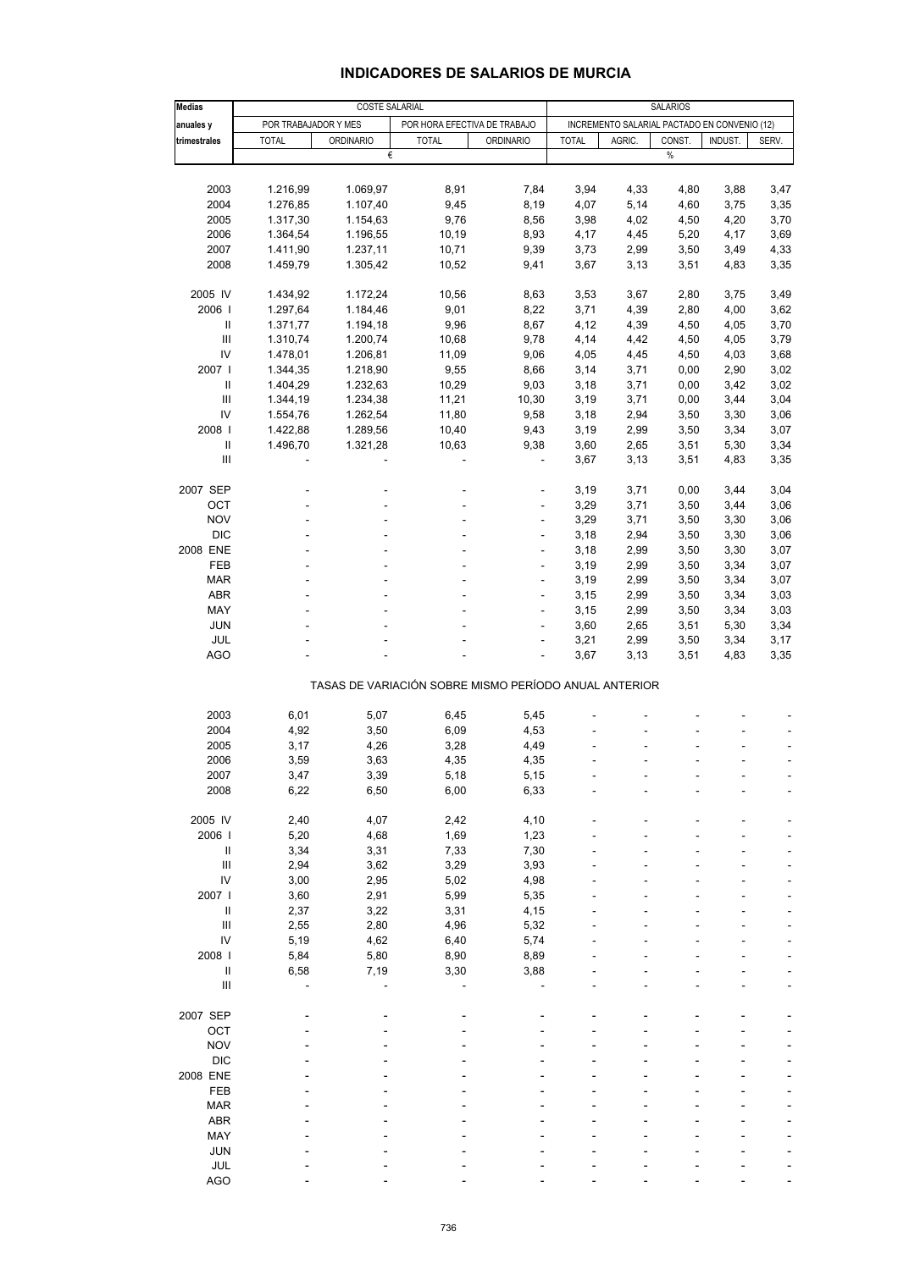## **INDICADORES DE SALARIOS DE MURCIA**

| <b>Medias</b>                      | <b>COSTE SALARIAL</b><br><b>SALARIOS</b> |                  |                              |                                                       |              |                                              |        |         |       |
|------------------------------------|------------------------------------------|------------------|------------------------------|-------------------------------------------------------|--------------|----------------------------------------------|--------|---------|-------|
| anuales y                          | POR TRABAJADOR Y MES                     |                  | POR HORA EFECTIVA DE TRABAJO |                                                       |              | INCREMENTO SALARIAL PACTADO EN CONVENIO (12) |        |         |       |
| trimestrales                       | <b>TOTAL</b>                             | <b>ORDINARIO</b> | <b>TOTAL</b>                 | <b>ORDINARIO</b>                                      | <b>TOTAL</b> | AGRIC.                                       | CONST. | INDUST. | SERV. |
|                                    |                                          | €                |                              |                                                       |              |                                              | $\%$   |         |       |
|                                    |                                          |                  |                              |                                                       |              |                                              |        |         |       |
| 2003                               | 1.216,99                                 | 1.069,97         | 8,91                         | 7,84                                                  | 3,94         | 4,33                                         | 4,80   | 3,88    | 3,47  |
| 2004                               | 1.276,85                                 | 1.107,40         | 9,45                         | 8,19                                                  | 4,07         | 5,14                                         | 4,60   | 3,75    | 3,35  |
| 2005                               | 1.317,30                                 | 1.154,63         | 9,76                         | 8,56                                                  | 3,98         | 4,02                                         | 4,50   | 4,20    | 3,70  |
| 2006                               | 1.364,54                                 | 1.196,55         | 10,19                        | 8,93                                                  | 4,17         | 4,45                                         | 5,20   | 4,17    | 3,69  |
| 2007                               | 1.411,90                                 | 1.237,11         | 10,71                        | 9,39                                                  | 3,73         | 2,99                                         | 3,50   | 3,49    | 4,33  |
| 2008                               | 1.459,79                                 | 1.305,42         | 10,52                        | 9,41                                                  | 3,67         | 3,13                                         | 3,51   | 4,83    | 3,35  |
|                                    |                                          |                  |                              |                                                       |              |                                              |        |         |       |
| 2005 IV                            | 1.434,92                                 | 1.172,24         | 10,56                        | 8,63                                                  | 3,53         | 3,67                                         | 2,80   | 3,75    | 3,49  |
| 2006                               | 1.297,64                                 | 1.184,46         | 9,01                         | 8,22                                                  | 3,71         | 4,39                                         | 2,80   | 4,00    | 3,62  |
| $\ensuremath{\mathsf{II}}$         | 1.371,77                                 | 1.194,18         | 9,96                         | 8,67                                                  | 4,12         | 4,39                                         | 4,50   | 4,05    | 3,70  |
| Ш                                  | 1.310,74                                 | 1.200,74         | 10,68                        | 9,78                                                  | 4,14         | 4,42                                         | 4,50   | 4,05    | 3,79  |
| IV                                 | 1.478,01                                 | 1.206,81         | 11,09                        | 9,06                                                  | 4,05         | 4,45                                         | 4,50   | 4,03    | 3,68  |
| 2007                               | 1.344,35                                 | 1.218,90         | 9,55                         | 8,66                                                  | 3,14         | 3,71                                         | 0,00   | 2,90    | 3,02  |
| Ш                                  | 1.404,29                                 | 1.232,63         | 10,29                        | 9,03                                                  | 3,18         | 3,71                                         | 0,00   | 3,42    | 3,02  |
| $\ensuremath{\mathsf{III}}\xspace$ | 1.344,19                                 | 1.234,38         | 11,21                        | 10,30                                                 | 3,19         | 3,71                                         | 0,00   | 3,44    | 3,04  |
| IV                                 | 1.554,76                                 | 1.262,54         | 11,80                        | 9,58                                                  | 3,18         | 2,94                                         | 3,50   | 3,30    | 3,06  |
| 2008                               | 1.422,88                                 | 1.289,56         | 10,40                        | 9,43                                                  | 3,19         | 2,99                                         | 3,50   | 3,34    | 3,07  |
| $\ensuremath{\mathsf{II}}$         | 1.496,70                                 | 1.321,28         | 10,63                        | 9,38                                                  | 3,60         | 2,65                                         | 3,51   | 5,30    | 3,34  |
| $\ensuremath{\mathsf{III}}\xspace$ |                                          |                  |                              |                                                       | 3,67         | 3,13                                         | 3,51   | 4,83    | 3,35  |
|                                    |                                          |                  |                              |                                                       |              |                                              |        |         |       |
| 2007 SEP                           |                                          |                  |                              | ÷,                                                    | 3,19         | 3,71                                         | 0,00   | 3,44    | 3,04  |
| OCT                                |                                          |                  |                              |                                                       | 3,29         | 3,71                                         | 3,50   | 3,44    | 3,06  |
| <b>NOV</b>                         |                                          |                  |                              | ä,                                                    | 3,29         | 3,71                                         | 3,50   | 3,30    | 3,06  |
| <b>DIC</b>                         |                                          |                  |                              | ÷                                                     | 3,18         | 2,94                                         | 3,50   | 3,30    | 3,06  |
| 2008 ENE                           |                                          |                  |                              |                                                       | 3,18         | 2,99                                         | 3,50   | 3,30    | 3,07  |
| FEB                                |                                          |                  |                              | L,                                                    | 3,19         | 2,99                                         | 3,50   | 3,34    | 3,07  |
| <b>MAR</b>                         |                                          |                  |                              | ÷                                                     | 3,19         | 2,99                                         | 3,50   | 3,34    | 3,07  |
| <b>ABR</b>                         |                                          |                  |                              |                                                       | 3,15         | 2,99                                         | 3,50   | 3,34    | 3,03  |
| MAY                                |                                          |                  |                              | L,                                                    | 3,15         | 2,99                                         | 3,50   | 3,34    | 3,03  |
| <b>JUN</b>                         |                                          |                  |                              | ÷,                                                    | 3,60         | 2,65                                         | 3,51   | 5,30    | 3,34  |
| JUL                                |                                          |                  |                              | ٠                                                     | 3,21         | 2,99                                         | 3,50   | 3,34    | 3,17  |
| <b>AGO</b>                         |                                          |                  |                              | L,                                                    | 3,67         | 3,13                                         | 3,51   | 4,83    | 3,35  |
|                                    |                                          |                  |                              | TASAS DE VARIACIÓN SOBRE MISMO PERÍODO ANUAL ANTERIOR |              |                                              |        |         |       |
|                                    |                                          |                  |                              |                                                       |              |                                              |        |         |       |
| 2003                               | 6,01                                     | 5,07             | 6,45                         | 5,45                                                  |              |                                              |        |         |       |
| 2004                               | 4,92                                     | 3,50             | 6,09                         | 4,53                                                  |              |                                              |        |         |       |
| 2005                               | 3,17                                     | 4,26             | 3,28                         | 4,49                                                  |              |                                              |        |         |       |
| 2006                               | 3,59                                     | 3,63             | 4,35                         | 4,35                                                  |              |                                              |        |         |       |
| 2007                               | 3,47                                     | 3,39             | 5,18                         | 5,15                                                  |              |                                              |        |         |       |
| 2008                               | 6,22                                     | 6,50             | 6,00                         | 6,33                                                  |              |                                              |        |         |       |
| 2005 IV                            | 2,40                                     | 4,07             | 2,42                         | 4,10                                                  |              |                                              |        |         |       |
| 2006                               | 5,20                                     | 4,68             | 1,69                         | 1,23                                                  |              |                                              |        |         |       |
| Ш                                  | 3,34                                     |                  | 7,33                         | 7,30                                                  |              |                                              |        |         |       |
| $\ensuremath{\mathsf{III}}\xspace$ |                                          | 3,31             |                              |                                                       |              |                                              |        |         |       |
| IV                                 | 2,94                                     | 3,62             | 3,29                         | 3,93                                                  |              |                                              |        |         |       |
|                                    | 3,00                                     | 2,95             | 5,02                         | 4,98                                                  |              |                                              |        |         |       |
| 2007 l                             | 3,60                                     | 2,91             | 5,99                         | 5,35                                                  |              |                                              |        |         |       |
| Ш                                  | 2,37                                     | 3,22             | 3,31                         | 4,15                                                  |              |                                              |        |         |       |
| $\ensuremath{\mathsf{III}}\xspace$ | 2,55                                     | 2,80             | 4,96                         | 5,32                                                  |              |                                              |        |         |       |
| IV                                 | 5,19                                     | 4,62             | 6,40                         | 5,74                                                  |              |                                              |        |         |       |
| 2008                               | 5,84                                     | 5,80             | 8,90                         | 8,89                                                  |              |                                              |        |         |       |
| Ш                                  | 6,58                                     | 7,19             | 3,30                         | 3,88                                                  |              |                                              |        |         |       |
| $\ensuremath{\mathsf{III}}\xspace$ |                                          |                  |                              |                                                       |              |                                              |        |         |       |
| 2007 SEP                           |                                          |                  |                              |                                                       |              |                                              |        |         |       |
| OCT                                |                                          |                  |                              |                                                       |              |                                              |        |         |       |
| <b>NOV</b>                         |                                          |                  |                              |                                                       |              |                                              |        |         |       |
| <b>DIC</b>                         |                                          |                  |                              |                                                       |              |                                              |        |         |       |
| 2008 ENE                           |                                          |                  |                              |                                                       |              |                                              |        |         |       |
| FEB                                |                                          |                  |                              |                                                       |              |                                              |        |         |       |
| MAR                                |                                          |                  |                              |                                                       |              |                                              |        |         |       |
| <b>ABR</b>                         |                                          |                  |                              |                                                       |              |                                              |        |         |       |
|                                    |                                          |                  |                              |                                                       |              |                                              |        |         |       |
| MAY                                |                                          |                  |                              |                                                       |              |                                              |        |         |       |
| <b>JUN</b>                         |                                          |                  |                              |                                                       |              |                                              |        |         |       |
| JUL                                |                                          |                  |                              |                                                       |              |                                              |        |         |       |
| <b>AGO</b>                         |                                          |                  |                              |                                                       |              |                                              |        |         |       |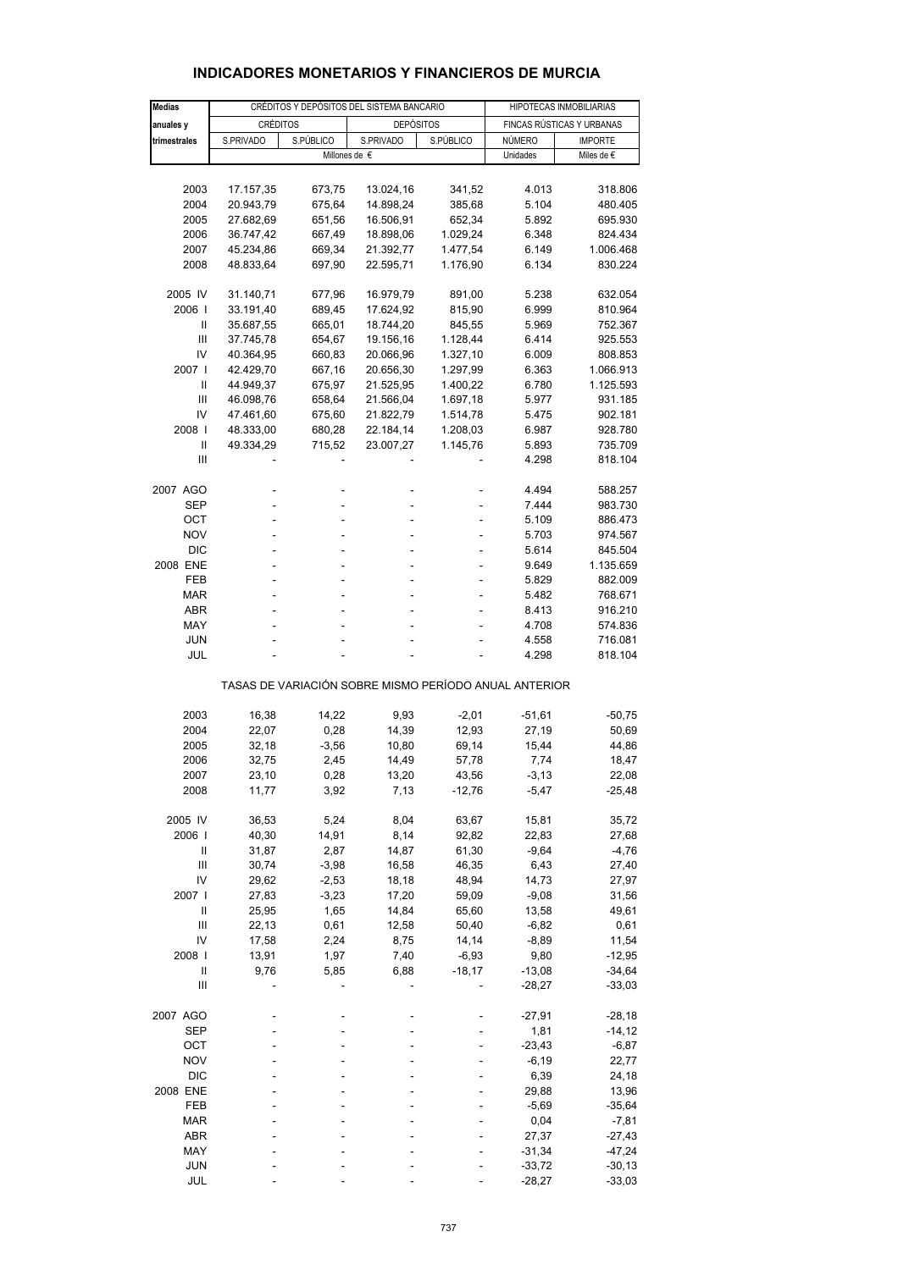| <b>Medias</b>  |                                                       | CRÉDITOS Y DEPÓSITOS DEL SISTEMA BANCARIO | HIPOTECAS INMOBILIARIAS             |           |                           |                |  |  |  |  |
|----------------|-------------------------------------------------------|-------------------------------------------|-------------------------------------|-----------|---------------------------|----------------|--|--|--|--|
| anuales y      |                                                       |                                           | <b>DEPÓSITOS</b>                    |           | FINCAS RÚSTICAS Y URBANAS |                |  |  |  |  |
|                | <b>CRÉDITOS</b><br>S.PÚBLICO                          |                                           |                                     |           |                           |                |  |  |  |  |
| trimestrales   | S.PRIVADO                                             |                                           | S.PRIVADO<br>Millones de $\epsilon$ | S.PÚBLICO | NÚMERO                    | <b>IMPORTE</b> |  |  |  |  |
|                |                                                       |                                           |                                     |           | Unidades                  | Miles de €     |  |  |  |  |
|                |                                                       |                                           |                                     |           |                           |                |  |  |  |  |
| 2003           | 17.157,35                                             | 673,75                                    | 13.024,16                           | 341,52    | 4.013                     | 318.806        |  |  |  |  |
| 2004           | 20.943,79                                             | 675,64                                    | 14.898,24                           | 385,68    | 5.104                     | 480.405        |  |  |  |  |
| 2005           | 27.682,69                                             | 651,56                                    | 16.506,91                           | 652,34    | 5.892                     | 695.930        |  |  |  |  |
| 2006           | 36.747,42                                             | 667,49                                    | 18.898,06                           | 1.029,24  | 6.348                     | 824.434        |  |  |  |  |
| 2007           | 45.234,86                                             | 669,34                                    | 21.392,77                           | 1.477,54  | 6.149                     | 1.006.468      |  |  |  |  |
| 2008           | 48.833,64                                             | 697,90                                    | 22.595,71                           | 1.176,90  | 6.134                     | 830.224        |  |  |  |  |
|                |                                                       |                                           |                                     |           |                           |                |  |  |  |  |
| 2005 IV        | 31.140,71                                             | 677,96                                    | 16.979,79                           | 891,00    | 5.238                     | 632.054        |  |  |  |  |
| 2006           | 33.191,40                                             | 689,45                                    | 17.624,92                           | 815,90    | 6.999                     | 810.964        |  |  |  |  |
| Ш              | 35.687,55                                             | 665,01                                    | 18.744,20                           | 845,55    | 5.969                     | 752.367        |  |  |  |  |
| Ш              | 37.745,78                                             | 654,67                                    | 19.156,16                           | 1.128,44  | 6.414                     | 925.553        |  |  |  |  |
| IV             | 40.364,95                                             | 660,83                                    | 20.066,96                           | 1.327,10  | 6.009                     | 808.853        |  |  |  |  |
| 2007 l         | 42.429,70                                             | 667,16                                    | 20.656,30                           | 1.297,99  | 6.363                     | 1.066.913      |  |  |  |  |
| Ш              | 44.949,37                                             | 675,97                                    | 21.525,95                           | 1.400,22  | 6.780                     | 1.125.593      |  |  |  |  |
| Ш              | 46.098,76                                             | 658,64                                    | 21.566,04                           | 1.697,18  | 5.977                     | 931.185        |  |  |  |  |
| IV             | 47.461,60                                             | 675,60                                    | 21.822,79                           | 1.514,78  | 5.475                     | 902.181        |  |  |  |  |
| 2008           |                                                       | 680,28                                    | 22.184,14                           |           |                           |                |  |  |  |  |
|                | 48.333,00                                             |                                           |                                     | 1.208,03  | 6.987                     | 928.780        |  |  |  |  |
| Ш              | 49.334,29                                             | 715,52                                    | 23.007,27                           | 1.145,76  | 5.893                     | 735.709        |  |  |  |  |
| Ш              |                                                       |                                           |                                     |           | 4.298                     | 818.104        |  |  |  |  |
| 2007 AGO       |                                                       |                                           |                                     |           | 4.494                     | 588.257        |  |  |  |  |
| SEP            | L,                                                    |                                           |                                     |           | 7.444                     | 983.730        |  |  |  |  |
| OCT            | -                                                     |                                           |                                     |           | 5.109                     | 886.473        |  |  |  |  |
| <b>NOV</b>     | L,                                                    |                                           |                                     |           | 5.703                     | 974.567        |  |  |  |  |
|                |                                                       |                                           |                                     |           |                           |                |  |  |  |  |
| <b>DIC</b>     |                                                       |                                           |                                     |           | 5.614                     | 845.504        |  |  |  |  |
| 2008 ENE       | L.                                                    |                                           |                                     | ä,        | 9.649                     | 1.135.659      |  |  |  |  |
| FEB            | L,                                                    |                                           |                                     |           | 5.829                     | 882.009        |  |  |  |  |
| MAR            |                                                       |                                           |                                     |           | 5.482                     | 768.671        |  |  |  |  |
| <b>ABR</b>     | L.                                                    |                                           |                                     |           | 8.413                     | 916.210        |  |  |  |  |
| MAY            |                                                       |                                           |                                     |           | 4.708                     | 574.836        |  |  |  |  |
| <b>JUN</b>     |                                                       |                                           |                                     |           | 4.558                     | 716.081        |  |  |  |  |
| JUL            |                                                       |                                           |                                     |           | 4.298                     | 818.104        |  |  |  |  |
|                | TASAS DE VARIACIÓN SOBRE MISMO PERÍODO ANUAL ANTERIOR |                                           |                                     |           |                           |                |  |  |  |  |
|                |                                                       |                                           |                                     |           |                           |                |  |  |  |  |
| 2003           | 16,38                                                 | 14,22                                     | 9,93                                | $-2,01$   | $-51,61$                  | $-50,75$       |  |  |  |  |
| 2004           | 22,07                                                 | 0,28                                      | 14,39                               | 12,93     | 27,19                     | 50,69          |  |  |  |  |
| 2005           | 32,18                                                 | $-3,56$                                   | 10,80                               | 69,14     | 15,44                     | 44,86          |  |  |  |  |
| 2006           | 32,75                                                 | 2,45                                      | 14,49                               | 57,78     | 7,74                      | 18,47          |  |  |  |  |
| 2007           | 23,10                                                 | 0,28                                      | 13,20                               | 43,56     | $-3, 13$                  | 22,08          |  |  |  |  |
| 2008           | 11,77                                                 | 3,92                                      | 7,13                                | $-12,76$  | $-5,47$                   | $-25,48$       |  |  |  |  |
|                |                                                       |                                           |                                     |           |                           |                |  |  |  |  |
| 2005 IV        | 36,53                                                 | 5,24                                      | 8,04                                | 63,67     | 15,81                     | 35,72          |  |  |  |  |
| 2006           | 40,30                                                 | 14,91                                     | 8,14                                | 92,82     | 22,83                     | 27,68          |  |  |  |  |
| Ш              | 31,87                                                 | 2,87                                      | 14,87                               | 61,30     | $-9,64$                   | $-4,76$        |  |  |  |  |
| Ш              | 30,74                                                 | $-3,98$                                   | 16,58                               | 46,35     | 6,43                      | 27,40          |  |  |  |  |
| IV             | 29,62                                                 | $-2,53$                                   | 18,18                               | 48,94     | 14,73                     | 27,97          |  |  |  |  |
| 2007           | 27,83                                                 | $-3,23$                                   | 17,20                               |           | $-9,08$                   |                |  |  |  |  |
|                |                                                       |                                           |                                     | 59,09     |                           | 31,56          |  |  |  |  |
| Ш              | 25,95                                                 | 1,65                                      | 14,84                               | 65,60     | 13,58                     | 49,61          |  |  |  |  |
| $\mathbf{III}$ | 22,13                                                 | 0,61                                      | 12,58                               | 50,40     | $-6,82$                   | 0,61           |  |  |  |  |
| IV             | 17,58                                                 | 2,24                                      | 8,75                                | 14,14     | $-8,89$                   | 11,54          |  |  |  |  |
| 2008           | 13,91                                                 | 1,97                                      | 7,40                                | $-6,93$   | 9,80                      | $-12,95$       |  |  |  |  |
| Ш              | 9,76                                                  | 5,85                                      | 6,88                                | $-18,17$  | $-13,08$                  | $-34,64$       |  |  |  |  |
| Ш              |                                                       |                                           |                                     |           | $-28,27$                  | $-33,03$       |  |  |  |  |
| 2007 AGO       |                                                       |                                           |                                     |           | -27,91                    | $-28,18$       |  |  |  |  |
|                |                                                       |                                           |                                     |           |                           |                |  |  |  |  |
| <b>SEP</b>     |                                                       |                                           |                                     |           | 1,81                      | -14,12         |  |  |  |  |
| OCT            |                                                       |                                           |                                     |           | $-23,43$                  | $-6,87$        |  |  |  |  |
| <b>NOV</b>     |                                                       |                                           |                                     |           | $-6,19$                   | 22,77          |  |  |  |  |
| DIC            |                                                       |                                           |                                     |           | 6,39                      | 24,18          |  |  |  |  |
| 2008 ENE       |                                                       |                                           |                                     |           | 29,88                     | 13,96          |  |  |  |  |
| FEB            |                                                       |                                           |                                     |           | $-5,69$                   | -35,64         |  |  |  |  |
| <b>MAR</b>     |                                                       |                                           |                                     |           | 0,04                      | -7,81          |  |  |  |  |
| ABR            |                                                       |                                           |                                     |           | 27,37                     | -27,43         |  |  |  |  |
| MAY            |                                                       |                                           |                                     |           | $-31,34$                  | $-47,24$       |  |  |  |  |

#### **INDICADORES MONETARIOS Y FINANCIEROS DE MURCIA**

 JUN - - - - -33,72 -30,13 JUL - - - - -28,27 -33,03